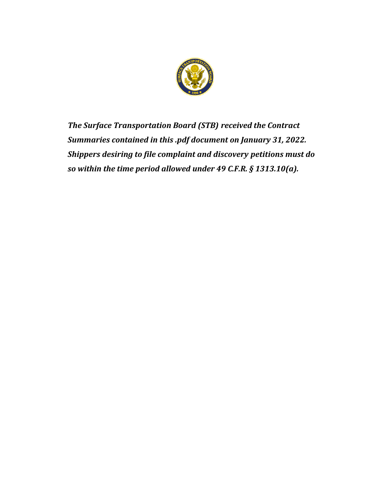

*The Surface Transportation Board (STB) received the Contract Summaries contained in this .pdf document on January 31, 2022. Shippers desiring to file complaint and discovery petitions must do so within the time period allowed under 49 C.F.R. § 1313.10(a).*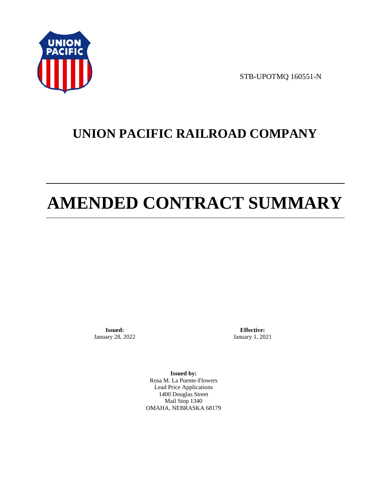

STB-UPOTMQ 160551-N

# **UNION PACIFIC RAILROAD COMPANY**

# **AMENDED CONTRACT SUMMARY**

**Issued:**  January 28, 2022

**Effective:** January 1, 2021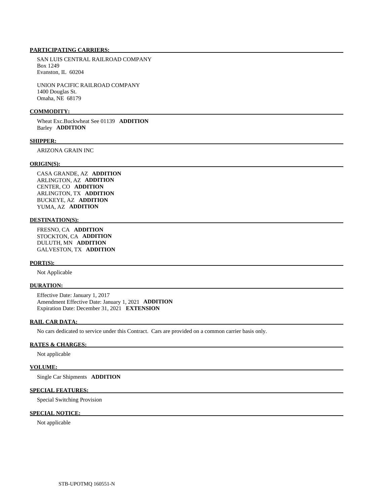SAN LUIS CENTRAL RAILROAD COMPANY Box 1249 Evanston, IL 60204

 UNION PACIFIC RAILROAD COMPANY 1400 Douglas St. Omaha, NE 68179

### **COMMODITY:**

 Wheat Exc.Buckwheat See 01139 **ADDITION**  Barley **ADDITION** 

## **SHIPPER:**

ARIZONA GRAIN INC

# **ORIGIN(S):**

 CASA GRANDE, AZ **ADDITION**  ARLINGTON, AZ **ADDITION**  CENTER, CO **ADDITION**  ARLINGTON, TX **ADDITION**  BUCKEYE, AZ **ADDITION**  YUMA, AZ **ADDITION** 

# **DESTINATION(S):**

 FRESNO, CA **ADDITION**  STOCKTON, CA **ADDITION**  DULUTH, MN **ADDITION**  GALVESTON, TX **ADDITION** 

# **PORT(S):**

Not Applicable

# **DURATION:**

 Effective Date: January 1, 2017 Amendment Effective Date: January 1, 2021 **ADDITION**  Expiration Date: December 31, 2021 **EXTENSION** 

# **RAIL CAR DATA:**

No cars dedicated to service under this Contract. Cars are provided on a common carrier basis only.

# **RATES & CHARGES:**

Not applicable

### **VOLUME:**

Single Car Shipments **ADDITION** 

## **SPECIAL FEATURES:**

Special Switching Provision

# **SPECIAL NOTICE:**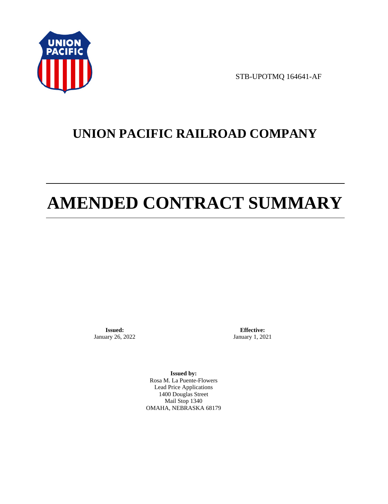

STB-UPOTMQ 164641-AF

# **UNION PACIFIC RAILROAD COMPANY**

# **AMENDED CONTRACT SUMMARY**

**Issued:**  January 26, 2022

**Effective:** January 1, 2021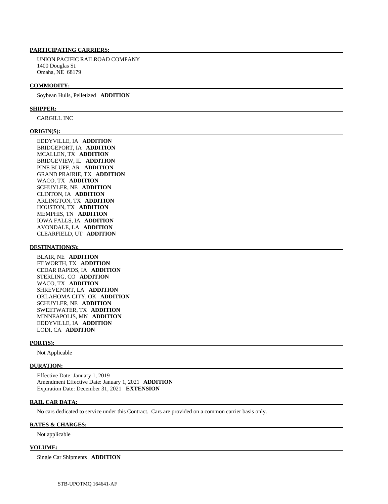UNION PACIFIC RAILROAD COMPANY 1400 Douglas St. Omaha, NE 68179

#### **COMMODITY:**

Soybean Hulls, Pelletized **ADDITION** 

## **SHIPPER:**

CARGILL INC

#### **ORIGIN(S):**

 EDDYVILLE, IA **ADDITION**  BRIDGEPORT, IA **ADDITION**  MCALLEN, TX **ADDITION**  BRIDGEVIEW, IL **ADDITION**  PINE BLUFF, AR **ADDITION**  GRAND PRAIRIE, TX **ADDITION**  WACO, TX **ADDITION**  SCHUYLER, NE **ADDITION**  CLINTON, IA **ADDITION**  ARLINGTON, TX **ADDITION**  HOUSTON, TX **ADDITION**  MEMPHIS, TN **ADDITION**  IOWA FALLS, IA **ADDITION**  AVONDALE, LA **ADDITION**  CLEARFIELD, UT **ADDITION** 

#### **DESTINATION(S):**

 BLAIR, NE **ADDITION**  FT WORTH, TX **ADDITION**  CEDAR RAPIDS, IA **ADDITION**  STERLING, CO **ADDITION**  WACO, TX **ADDITION**  SHREVEPORT, LA **ADDITION**  OKLAHOMA CITY, OK **ADDITION**  SCHUYLER, NE **ADDITION**  SWEETWATER, TX **ADDITION**  MINNEAPOLIS, MN **ADDITION**  EDDYVILLE, IA **ADDITION**  LODI, CA **ADDITION** 

#### **PORT(S):**

Not Applicable

#### **DURATION:**

 Effective Date: January 1, 2019 Amendment Effective Date: January 1, 2021 **ADDITION**  Expiration Date: December 31, 2021 **EXTENSION** 

### **RAIL CAR DATA:**

No cars dedicated to service under this Contract. Cars are provided on a common carrier basis only.

#### **RATES & CHARGES:**

Not applicable

## **VOLUME:**

Single Car Shipments **ADDITION**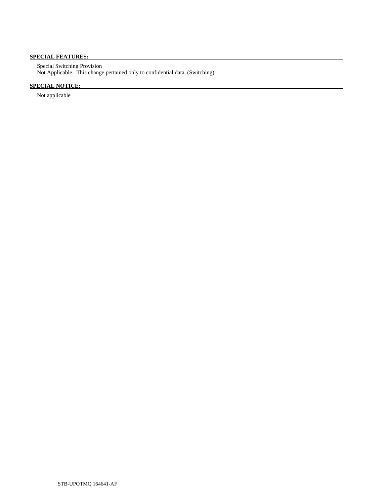# **SPECIAL FEATURES:**

 Special Switching Provision Not Applicable. This change pertained only to confidential data. (Switching)

# **SPECIAL NOTICE:**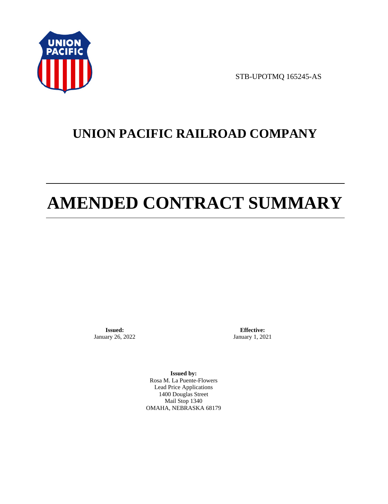

STB-UPOTMQ 165245-AS

# **UNION PACIFIC RAILROAD COMPANY**

# **AMENDED CONTRACT SUMMARY**

**Issued:**  January 26, 2022

**Effective:** January 1, 2021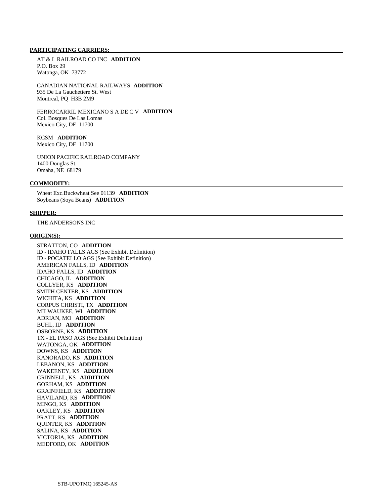AT & L RAILROAD CO INC **ADDITION**  P.O. Box 29 Watonga, OK 73772

 CANADIAN NATIONAL RAILWAYS **ADDITION**  935 De La Gauchetiere St. West Montreal, PQ H3B 2M9

 FERROCARRIL MEXICANO S A DE C V **ADDITION**  Col. Bosques De Las Lomas Mexico City, DF 11700

# KCSM **ADDITION**

Mexico City, DF 11700

 UNION PACIFIC RAILROAD COMPANY 1400 Douglas St. Omaha, NE 68179

# **COMMODITY:**

 Wheat Exc.Buckwheat See 01139 **ADDITION**  Soybeans (Soya Beans) **ADDITION** 

### **SHIPPER:**

THE ANDERSONS INC

# **ORIGIN(S):**

 STRATTON, CO **ADDITION**  ID - IDAHO FALLS AGS (See Exhibit Definition) ID - POCATELLO AGS (See Exhibit Definition) AMERICAN FALLS, ID **ADDITION**  IDAHO FALLS, ID **ADDITION**  CHICAGO, IL **ADDITION**  COLLYER, KS **ADDITION**  SMITH CENTER, KS **ADDITION**  WICHITA, KS **ADDITION**  CORPUS CHRISTI, TX **ADDITION**  MILWAUKEE, WI **ADDITION**  ADRIAN, MO **ADDITION**  BUHL, ID **ADDITION**  OSBORNE, KS **ADDITION**  TX - EL PASO AGS (See Exhibit Definition) WATONGA, OK **ADDITION**  DOWNS, KS **ADDITION**  KANORADO, KS **ADDITION**  LEBANON, KS **ADDITION**  WAKEENEY, KS **ADDITION**  GRINNELL, KS **ADDITION**  GORHAM, KS **ADDITION**  GRAINFIELD, KS **ADDITION**  HAVILAND, KS **ADDITION**  MINGO, KS **ADDITION**  OAKLEY, KS **ADDITION**  PRATT, KS **ADDITION**  QUINTER, KS **ADDITION**  SALINA, KS **ADDITION**  VICTORIA, KS **ADDITION**  MEDFORD, OK **ADDITION**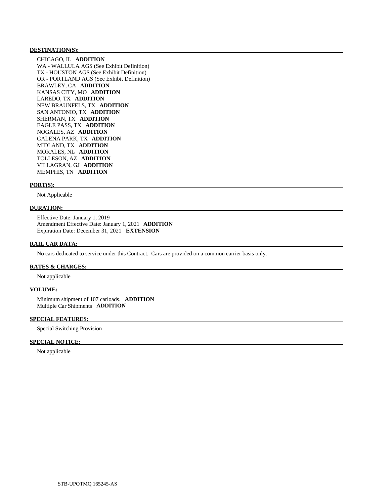## **DESTINATION(S):**

 CHICAGO, IL **ADDITION**  WA - WALLULA AGS (See Exhibit Definition) TX - HOUSTON AGS (See Exhibit Definition) OR - PORTLAND AGS (See Exhibit Definition) BRAWLEY, CA **ADDITION**  KANSAS CITY, MO **ADDITION**  LAREDO, TX **ADDITION**  NEW BRAUNFELS, TX **ADDITION**  SAN ANTONIO, TX **ADDITION**  SHERMAN, TX **ADDITION**  EAGLE PASS, TX **ADDITION**  NOGALES, AZ **ADDITION**  GALENA PARK, TX **ADDITION**  MIDLAND, TX **ADDITION**  MORALES, NL **ADDITION**  TOLLESON, AZ **ADDITION**  VILLAGRAN, GJ **ADDITION**  MEMPHIS, TN **ADDITION** 

#### **PORT(S):**

Not Applicable

# **DURATION:**

 Effective Date: January 1, 2019 Amendment Effective Date: January 1, 2021 **ADDITION**  Expiration Date: December 31, 2021 **EXTENSION** 

# **RAIL CAR DATA:**

No cars dedicated to service under this Contract. Cars are provided on a common carrier basis only.

# **RATES & CHARGES:**

Not applicable

### **VOLUME:**

 Minimum shipment of 107 carloads. **ADDITION**  Multiple Car Shipments **ADDITION** 

# **SPECIAL FEATURES:**

Special Switching Provision

# **SPECIAL NOTICE:**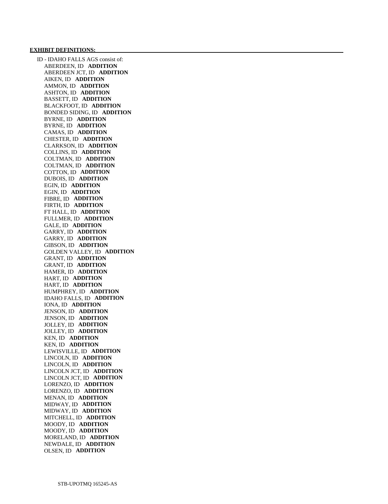#### **EXHIBIT DEFINITIONS:**

 ID - IDAHO FALLS AGS consist of: ABERDEEN, ID **ADDITION**  ABERDEEN JCT, ID **ADDITION**  AIKEN, ID **ADDITION**  AMMON, ID **ADDITION**  ASHTON, ID **ADDITION**  BASSETT, ID **ADDITION**  BLACKFOOT, ID **ADDITION**  BONDED SIDING, ID **ADDITION**  BYRNE, ID **ADDITION**  BYRNE, ID **ADDITION**  CAMAS, ID **ADDITION**  CHESTER, ID **ADDITION**  CLARKSON, ID **ADDITION**  COLLINS, ID **ADDITION**  COLTMAN, ID **ADDITION**  COLTMAN, ID **ADDITION**  COTTON, ID **ADDITION**  DUBOIS, ID **ADDITION**  EGIN, ID **ADDITION**  EGIN, ID **ADDITION**  FIBRE, ID **ADDITION**  FIRTH, ID **ADDITION**  FT HALL, ID **ADDITION**  FULLMER, ID **ADDITION**  GALE, ID **ADDITION**  GARRY, ID **ADDITION**  GARRY, ID **ADDITION**  GIBSON, ID **ADDITION**  GOLDEN VALLEY, ID **ADDITION**  GRANT, ID **ADDITION**  GRANT, ID **ADDITION**  HAMER, ID **ADDITION**  HART, ID **ADDITION**  HART, ID **ADDITION**  HUMPHREY, ID **ADDITION**  IDAHO FALLS, ID **ADDITION**  IONA, ID **ADDITION**  JENSON, ID **ADDITION**  JENSON, ID **ADDITION**  JOLLEY, ID **ADDITION**  JOLLEY, ID **ADDITION**  KEN, ID **ADDITION**  KEN, ID **ADDITION**  LEWISVILLE, ID **ADDITION**  LINCOLN, ID **ADDITION**  LINCOLN, ID **ADDITION**  LINCOLN JCT, ID **ADDITION**  LINCOLN JCT, ID **ADDITION**  LORENZO, ID **ADDITION**  LORENZO, ID **ADDITION**  MENAN, ID **ADDITION**  MIDWAY, ID **ADDITION**  MIDWAY, ID **ADDITION**  MITCHELL, ID **ADDITION**  MOODY, ID **ADDITION**  MOODY, ID **ADDITION**  MORELAND, ID **ADDITION**  NEWDALE, ID **ADDITION**  OLSEN, ID **ADDITION**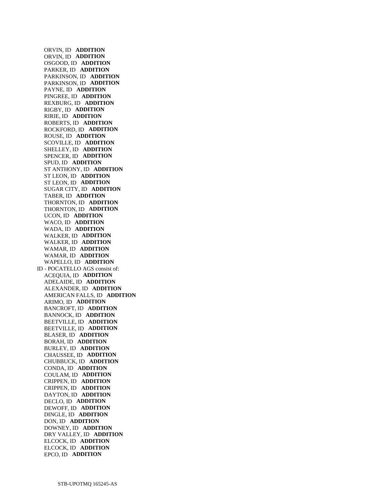ORVIN, ID **ADDITION**  ORVIN, ID **ADDITION**  OSGOOD, ID **ADDITION**  PARKER, ID **ADDITION**  PARKINSON, ID **ADDITION**  PARKINSON, ID **ADDITION**  PAYNE, ID **ADDITION**  PINGREE, ID **ADDITION**  REXBURG, ID **ADDITION**  RIGBY, ID **ADDITION**  RIRIE, ID **ADDITION**  ROBERTS, ID **ADDITION**  ROCKFORD, ID **ADDITION**  ROUSE, ID **ADDITION**  SCOVILLE, ID **ADDITION**  SHELLEY, ID **ADDITION**  SPENCER, ID **ADDITION**  SPUD, ID **ADDITION**  ST ANTHONY, ID **ADDITION**  ST LEON, ID **ADDITION**  ST LEON, ID **ADDITION**  SUGAR CITY, ID **ADDITION**  TABER, ID **ADDITION**  THORNTON, ID **ADDITION**  THORNTON, ID **ADDITION**  UCON, ID **ADDITION**  WACO, ID **ADDITION**  WADA, ID **ADDITION**  WALKER, ID **ADDITION**  WALKER, ID **ADDITION**  WAMAR, ID **ADDITION**  WAMAR, ID **ADDITION**  WAPELLO, ID **ADDITION**  ID - POCATELLO AGS consist of: ACEQUIA, ID **ADDITION**  ADELAIDE, ID **ADDITION**  ALEXANDER, ID **ADDITION**  AMERICAN FALLS, ID **ADDITION**  ARIMO, ID **ADDITION**  BANCROFT, ID **ADDITION**  BANNOCK, ID **ADDITION**  BEETVILLE, ID **ADDITION**  BEETVILLE, ID **ADDITION**  BLASER, ID **ADDITION**  BORAH, ID **ADDITION**  BURLEY, ID **ADDITION**  CHAUSSEE, ID **ADDITION**  CHUBBUCK, ID **ADDITION**  CONDA, ID **ADDITION**  COULAM, ID **ADDITION**  CRIPPEN, ID **ADDITION**  CRIPPEN, ID **ADDITION**  DAYTON, ID **ADDITION**  DECLO, ID **ADDITION**  DEWOFF, ID **ADDITION**  DINGLE, ID **ADDITION**  DON, ID **ADDITION**  DOWNEY, ID **ADDITION**  DRY VALLEY, ID **ADDITION**  ELCOCK, ID **ADDITION**  ELCOCK, ID **ADDITION**  EPCO, ID **ADDITION**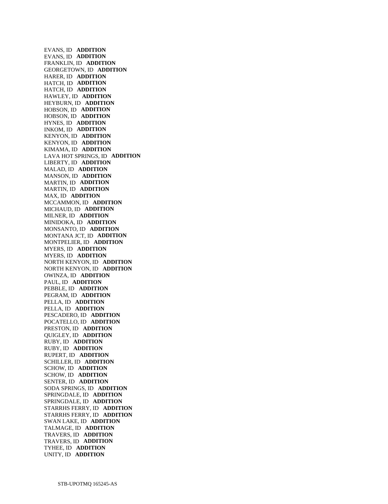EVANS, ID **ADDITION**  EVANS, ID **ADDITION**  FRANKLIN, ID **ADDITION**  GEORGETOWN, ID **ADDITION**  HARER, ID **ADDITION**  HATCH, ID **ADDITION**  HATCH, ID **ADDITION**  HAWLEY, ID **ADDITION**  HEYBURN, ID **ADDITION**  HOBSON, ID **ADDITION**  HOBSON, ID **ADDITION**  HYNES, ID **ADDITION**  INKOM, ID **ADDITION**  KENYON, ID **ADDITION**  KENYON, ID **ADDITION**  KIMAMA, ID **ADDITION**  LAVA HOT SPRINGS, ID **ADDITION**  LIBERTY, ID **ADDITION**  MALAD, ID **ADDITION**  MANSON, ID **ADDITION**  MARTIN, ID **ADDITION**  MARTIN, ID **ADDITION**  MAX, ID **ADDITION**  MCCAMMON, ID **ADDITION**  MICHAUD, ID **ADDITION**  MILNER, ID **ADDITION**  MINIDOKA, ID **ADDITION**  MONSANTO, ID **ADDITION**  MONTANA JCT, ID **ADDITION**  MONTPELIER, ID **ADDITION**  MYERS, ID **ADDITION**  MYERS, ID **ADDITION**  NORTH KENYON, ID **ADDITION**  NORTH KENYON, ID **ADDITION**  OWINZA, ID **ADDITION**  PAUL, ID **ADDITION**  PEBBLE, ID **ADDITION**  PEGRAM, ID **ADDITION**  PELLA, ID **ADDITION**  PELLA, ID **ADDITION**  PESCADERO, ID **ADDITION**  POCATELLO, ID **ADDITION**  PRESTON, ID **ADDITION**  QUIGLEY, ID **ADDITION**  RUBY, ID **ADDITION**  RUBY, ID **ADDITION**  RUPERT, ID **ADDITION**  SCHILLER, ID **ADDITION**  SCHOW, ID **ADDITION**  SCHOW, ID **ADDITION**  SENTER, ID **ADDITION**  SODA SPRINGS, ID **ADDITION**  SPRINGDALE, ID **ADDITION**  SPRINGDALE, ID **ADDITION**  STARRHS FERRY, ID **ADDITION**  STARRHS FERRY, ID **ADDITION**  SWAN LAKE, ID **ADDITION**  TALMAGE, ID **ADDITION**  TRAVERS, ID **ADDITION**  TRAVERS, ID **ADDITION**  TYHEE, ID **ADDITION**  UNITY, ID **ADDITION**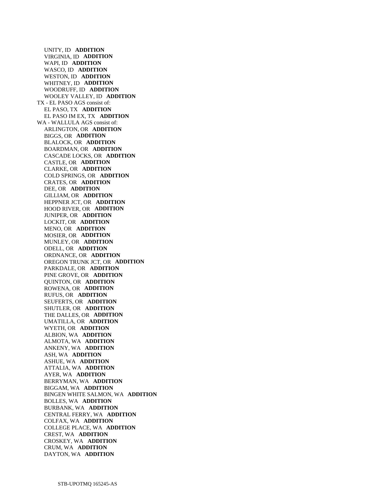UNITY, ID **ADDITION**  VIRGINIA, ID **ADDITION**  WAPI, ID **ADDITION**  WASCO, ID **ADDITION**  WESTON, ID **ADDITION**  WHITNEY, ID **ADDITION**  WOODRUFF, ID **ADDITION**  WOOLEY VALLEY, ID **ADDITION**  TX - EL PASO AGS consist of: EL PASO, TX **ADDITION**  EL PASO IM EX, TX **ADDITION**  WA - WALLULA AGS consist of: ARLINGTON, OR **ADDITION**  BIGGS, OR **ADDITION**  BLALOCK, OR **ADDITION**  BOARDMAN, OR **ADDITION**  CASCADE LOCKS, OR **ADDITION**  CASTLE, OR **ADDITION**  CLARKE, OR **ADDITION**  COLD SPRINGS, OR **ADDITION**  CRATES, OR **ADDITION**  DEE, OR **ADDITION**  GILLIAM, OR **ADDITION**  HEPPNER JCT, OR **ADDITION**  HOOD RIVER, OR **ADDITION**  JUNIPER, OR **ADDITION**  LOCKIT, OR **ADDITION**  MENO, OR **ADDITION**  MOSIER, OR **ADDITION**  MUNLEY, OR **ADDITION**  ODELL, OR **ADDITION**  ORDNANCE, OR **ADDITION**  OREGON TRUNK JCT, OR **ADDITION**  PARKDALE, OR **ADDITION**  PINE GROVE, OR **ADDITION**  QUINTON, OR **ADDITION**  ROWENA, OR **ADDITION**  RUFUS, OR **ADDITION**  SEUFERTS, OR **ADDITION**  SHUTLER, OR **ADDITION**  THE DALLES, OR **ADDITION**  UMATILLA, OR **ADDITION**  WYETH, OR **ADDITION**  ALBION, WA **ADDITION**  ALMOTA, WA **ADDITION**  ANKENY, WA **ADDITION**  ASH, WA **ADDITION**  ASHUE, WA **ADDITION**  ATTALIA, WA **ADDITION**  AYER, WA **ADDITION**  BERRYMAN, WA **ADDITION**  BIGGAM, WA **ADDITION**  BINGEN WHITE SALMON, WA **ADDITION**  BOLLES, WA **ADDITION**  BURBANK, WA **ADDITION**  CENTRAL FERRY, WA **ADDITION**  COLFAX, WA **ADDITION**  COLLEGE PLACE, WA **ADDITION**  CREST, WA **ADDITION**  CROSKEY, WA **ADDITION**  CRUM, WA **ADDITION**  DAYTON, WA **ADDITION**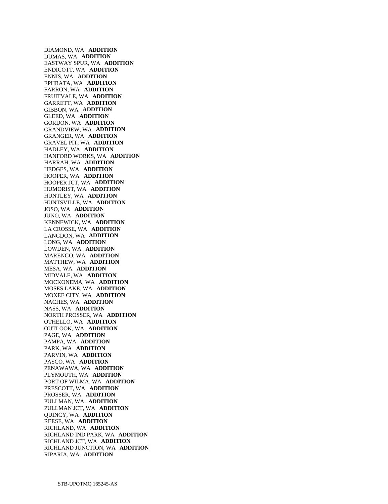DIAMOND, WA **ADDITION**  DUMAS, WA **ADDITION**  EASTWAY SPUR, WA **ADDITION**  ENDICOTT, WA **ADDITION**  ENNIS, WA **ADDITION**  EPHRATA, WA **ADDITION**  FARRON, WA **ADDITION**  FRUITVALE, WA **ADDITION**  GARRETT, WA **ADDITION**  GIBBON, WA **ADDITION**  GLEED, WA **ADDITION**  GORDON, WA **ADDITION**  GRANDVIEW, WA **ADDITION**  GRANGER, WA **ADDITION**  GRAVEL PIT, WA **ADDITION**  HADLEY, WA **ADDITION**  HANFORD WORKS, WA **ADDITION**  HARRAH, WA **ADDITION**  HEDGES, WA **ADDITION**  HOOPER, WA **ADDITION**  HOOPER JCT, WA **ADDITION**  HUMORIST, WA **ADDITION**  HUNTLEY, WA **ADDITION**  HUNTSVILLE, WA **ADDITION**  JOSO, WA **ADDITION**  JUNO, WA **ADDITION**  KENNEWICK, WA **ADDITION**  LA CROSSE, WA **ADDITION**  LANGDON, WA **ADDITION**  LONG, WA **ADDITION**  LOWDEN, WA **ADDITION**  MARENGO, WA **ADDITION**  MATTHEW, WA **ADDITION**  MESA, WA **ADDITION**  MIDVALE, WA **ADDITION**  MOCKONEMA, WA **ADDITION**  MOSES LAKE, WA **ADDITION**  MOXEE CITY, WA **ADDITION**  NACHES, WA **ADDITION**  NASS, WA **ADDITION**  NORTH PROSSER, WA **ADDITION**  OTHELLO, WA **ADDITION**  OUTLOOK, WA **ADDITION**  PAGE, WA **ADDITION**  PAMPA, WA **ADDITION**  PARK, WA **ADDITION**  PARVIN, WA **ADDITION**  PASCO, WA **ADDITION**  PENAWAWA, WA **ADDITION**  PLYMOUTH, WA **ADDITION**  PORT OF WILMA, WA **ADDITION**  PRESCOTT, WA **ADDITION**  PROSSER, WA **ADDITION**  PULLMAN, WA **ADDITION**  PULLMAN JCT, WA **ADDITION**  QUINCY, WA **ADDITION**  REESE, WA **ADDITION**  RICHLAND, WA **ADDITION**  RICHLAND IND PARK, WA **ADDITION**  RICHLAND JCT, WA **ADDITION**  RICHLAND JUNCTION, WA **ADDITION**  RIPARIA, WA **ADDITION**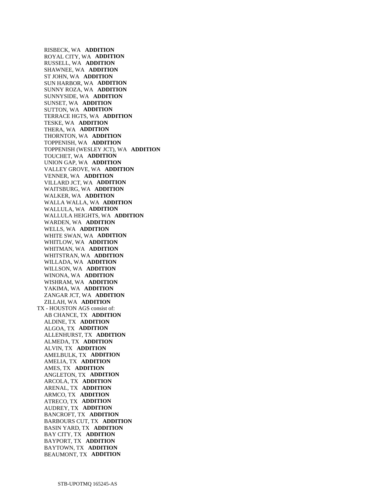RISBECK, WA **ADDITION**  ROYAL CITY, WA **ADDITION**  RUSSELL, WA **ADDITION**  SHAWNEE, WA **ADDITION**  ST JOHN, WA **ADDITION**  SUN HARBOR, WA **ADDITION**  SUNNY ROZA, WA **ADDITION**  SUNNYSIDE, WA **ADDITION**  SUNSET, WA **ADDITION**  SUTTON, WA **ADDITION**  TERRACE HGTS, WA **ADDITION**  TESKE, WA **ADDITION**  THERA, WA **ADDITION**  THORNTON, WA **ADDITION**  TOPPENISH, WA **ADDITION**  TOPPENISH (WESLEY JCT), WA **ADDITION**  TOUCHET, WA **ADDITION**  UNION GAP, WA **ADDITION**  VALLEY GROVE, WA **ADDITION**  VENNER, WA **ADDITION**  VILLARD JCT, WA **ADDITION**  WAITSBURG, WA **ADDITION**  WALKER, WA **ADDITION**  WALLA WALLA, WA **ADDITION**  WALLULA, WA **ADDITION**  WALLULA HEIGHTS, WA **ADDITION**  WARDEN, WA **ADDITION**  WELLS, WA **ADDITION**  WHITE SWAN, WA **ADDITION**  WHITLOW, WA **ADDITION**  WHITMAN, WA **ADDITION**  WHITSTRAN, WA **ADDITION**  WILLADA, WA **ADDITION**  WILLSON, WA **ADDITION**  WINONA, WA **ADDITION**  WISHRAM, WA **ADDITION**  YAKIMA, WA **ADDITION**  ZANGAR JCT, WA **ADDITION**  ZILLAH, WA **ADDITION**  TX - HOUSTON AGS consist of: AB CHANCE, TX **ADDITION**  ALDINE, TX **ADDITION**  ALGOA, TX **ADDITION**  ALLENHURST, TX **ADDITION**  ALMEDA, TX **ADDITION**  ALVIN, TX **ADDITION**  AMELBULK, TX **ADDITION**  AMELIA, TX **ADDITION**  AMES, TX **ADDITION**  ANGLETON, TX **ADDITION**  ARCOLA, TX **ADDITION**  ARENAL, TX **ADDITION**  ARMCO, TX **ADDITION**  ATRECO, TX **ADDITION**  AUDREY, TX **ADDITION**  BANCROFT, TX **ADDITION**  BARBOURS CUT, TX **ADDITION**  BASIN YARD, TX **ADDITION**  BAY CITY, TX **ADDITION**  BAYPORT, TX **ADDITION**  BAYTOWN, TX **ADDITION**  BEAUMONT, TX **ADDITION**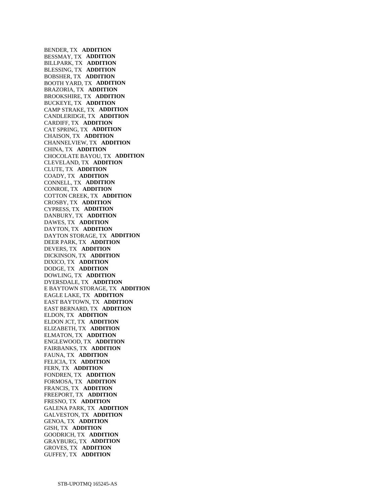BENDER, TX **ADDITION**  BESSMAY, TX **ADDITION**  BILLPARK, TX **ADDITION**  BLESSING, TX **ADDITION**  BOBSHER, TX **ADDITION**  BOOTH YARD, TX **ADDITION**  BRAZORIA, TX **ADDITION**  BROOKSHIRE, TX **ADDITION**  BUCKEYE, TX **ADDITION**  CAMP STRAKE, TX **ADDITION**  CANDLERIDGE, TX **ADDITION**  CARDIFF, TX **ADDITION**  CAT SPRING, TX **ADDITION**  CHAISON, TX **ADDITION**  CHANNELVIEW, TX **ADDITION**  CHINA, TX **ADDITION**  CHOCOLATE BAYOU, TX **ADDITION**  CLEVELAND, TX **ADDITION**  CLUTE, TX **ADDITION**  COADY, TX **ADDITION**  CONNELL, TX **ADDITION**  CONROE, TX **ADDITION**  COTTON CREEK, TX **ADDITION**  CROSBY, TX **ADDITION**  CYPRESS, TX **ADDITION**  DANBURY, TX **ADDITION**  DAWES, TX **ADDITION**  DAYTON, TX **ADDITION**  DAYTON STORAGE, TX **ADDITION**  DEER PARK, TX **ADDITION**  DEVERS, TX **ADDITION**  DICKINSON, TX **ADDITION**  DIXICO, TX **ADDITION**  DODGE, TX **ADDITION**  DOWLING, TX **ADDITION**  DYERSDALE, TX **ADDITION**  E BAYTOWN STORAGE, TX **ADDITION**  EAGLE LAKE, TX **ADDITION**  EAST BAYTOWN, TX **ADDITION**  EAST BERNARD, TX **ADDITION**  ELDON, TX **ADDITION**  ELDON JCT, TX **ADDITION**  ELIZABETH, TX **ADDITION**  ELMATON, TX **ADDITION**  ENGLEWOOD, TX **ADDITION**  FAIRBANKS, TX **ADDITION**  FAUNA, TX **ADDITION**  FELICIA, TX **ADDITION**  FERN, TX **ADDITION**  FONDREN, TX **ADDITION**  FORMOSA, TX **ADDITION**  FRANCIS, TX **ADDITION**  FREEPORT, TX **ADDITION**  FRESNO, TX **ADDITION**  GALENA PARK, TX **ADDITION**  GALVESTON, TX **ADDITION**  GENOA, TX **ADDITION**  GISH, TX **ADDITION**  GOODRICH, TX **ADDITION**  GRAYBURG, TX **ADDITION**  GROVES, TX **ADDITION**  GUFFEY, TX **ADDITION**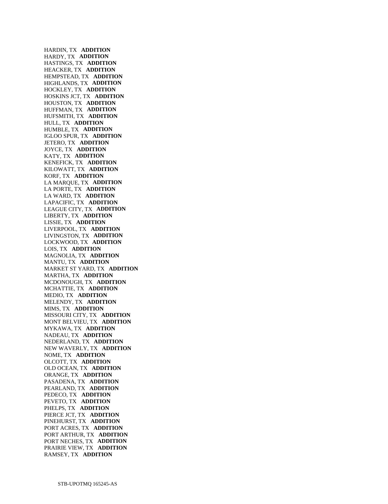HARDIN, TX **ADDITION**  HARDY, TX **ADDITION**  HASTINGS, TX **ADDITION**  HEACKER, TX **ADDITION**  HEMPSTEAD, TX **ADDITION**  HIGHLANDS, TX **ADDITION**  HOCKLEY, TX **ADDITION**  HOSKINS JCT, TX **ADDITION**  HOUSTON, TX **ADDITION**  HUFFMAN, TX **ADDITION**  HUFSMITH, TX **ADDITION**  HULL, TX **ADDITION**  HUMBLE, TX **ADDITION**  IGLOO SPUR, TX **ADDITION**  JETERO, TX **ADDITION**  JOYCE, TX **ADDITION**  KATY, TX **ADDITION**  KENEFICK, TX **ADDITION**  KILOWATT, TX **ADDITION**  KORF, TX **ADDITION**  LA MARQUE, TX **ADDITION**  LA PORTE, TX **ADDITION**  LA WARD, TX **ADDITION**  LAPACIFIC, TX **ADDITION**  LEAGUE CITY, TX **ADDITION**  LIBERTY, TX **ADDITION**  LISSIE, TX **ADDITION**  LIVERPOOL, TX **ADDITION**  LIVINGSTON, TX **ADDITION**  LOCKWOOD, TX **ADDITION**  LOIS, TX **ADDITION**  MAGNOLIA, TX **ADDITION**  MANTU, TX **ADDITION**  MARKET ST YARD, TX **ADDITION**  MARTHA, TX **ADDITION**  MCDONOUGH, TX **ADDITION**  MCHATTIE, TX **ADDITION**  MEDIO, TX **ADDITION**  MELENDY, TX **ADDITION**  MIMS, TX **ADDITION**  MISSOURI CITY, TX **ADDITION**  MONT BELVIEU, TX **ADDITION**  MYKAWA, TX **ADDITION**  NADEAU, TX **ADDITION**  NEDERLAND, TX **ADDITION**  NEW WAVERLY, TX **ADDITION**  NOME, TX **ADDITION**  OLCOTT, TX **ADDITION**  OLD OCEAN, TX **ADDITION**  ORANGE, TX **ADDITION**  PASADENA, TX **ADDITION**  PEARLAND, TX **ADDITION**  PEDECO, TX **ADDITION**  PEVETO, TX **ADDITION**  PHELPS, TX **ADDITION**  PIERCE JCT, TX **ADDITION**  PINEHURST, TX **ADDITION**  PORT ACRES, TX **ADDITION**  PORT ARTHUR, TX **ADDITION**  PORT NECHES, TX **ADDITION**  PRAIRIE VIEW, TX **ADDITION**  RAMSEY, TX **ADDITION**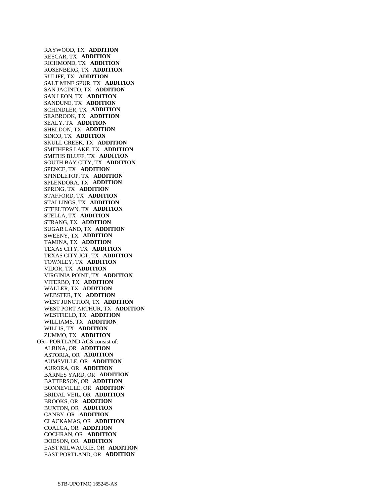RAYWOOD, TX **ADDITION**  RESCAR, TX **ADDITION**  RICHMOND, TX **ADDITION**  ROSENBERG, TX **ADDITION**  RULIFF, TX **ADDITION**  SALT MINE SPUR, TX **ADDITION**  SAN JACINTO, TX **ADDITION**  SAN LEON, TX **ADDITION**  SANDUNE, TX **ADDITION**  SCHINDLER, TX **ADDITION**  SEABROOK, TX **ADDITION**  SEALY, TX **ADDITION**  SHELDON, TX **ADDITION**  SINCO, TX **ADDITION**  SKULL CREEK, TX **ADDITION**  SMITHERS LAKE, TX **ADDITION**  SMITHS BLUFF, TX **ADDITION**  SOUTH BAY CITY, TX **ADDITION**  SPENCE, TX **ADDITION**  SPINDLETOP, TX **ADDITION**  SPLENDORA, TX **ADDITION**  SPRING, TX **ADDITION**  STAFFORD, TX **ADDITION**  STALLINGS, TX **ADDITION**  STEELTOWN, TX **ADDITION**  STELLA, TX **ADDITION**  STRANG, TX **ADDITION**  SUGAR LAND, TX **ADDITION**  SWEENY, TX **ADDITION**  TAMINA, TX **ADDITION**  TEXAS CITY, TX **ADDITION**  TEXAS CITY JCT, TX **ADDITION**  TOWNLEY, TX **ADDITION**  VIDOR, TX **ADDITION**  VIRGINIA POINT, TX **ADDITION**  VITERBO, TX **ADDITION**  WALLER, TX **ADDITION**  WEBSTER, TX **ADDITION**  WEST JUNCTION, TX **ADDITION**  WEST PORT ARTHUR, TX **ADDITION**  WESTFIELD, TX **ADDITION**  WILLIAMS, TX **ADDITION**  WILLIS, TX **ADDITION**  ZUMMO, TX **ADDITION**  OR - PORTLAND AGS consist of: ALBINA, OR **ADDITION**  ASTORIA, OR **ADDITION**  AUMSVILLE, OR **ADDITION**  AURORA, OR **ADDITION**  BARNES YARD, OR **ADDITION**  BATTERSON, OR **ADDITION**  BONNEVILLE, OR **ADDITION**  BRIDAL VEIL, OR **ADDITION**  BROOKS, OR **ADDITION**  BUXTON, OR **ADDITION**  CANBY, OR **ADDITION**  CLACKAMAS, OR **ADDITION**  COALCA, OR **ADDITION**  COCHRAN, OR **ADDITION**  DODSON, OR **ADDITION**  EAST MILWAUKIE, OR **ADDITION**  EAST PORTLAND, OR **ADDITION**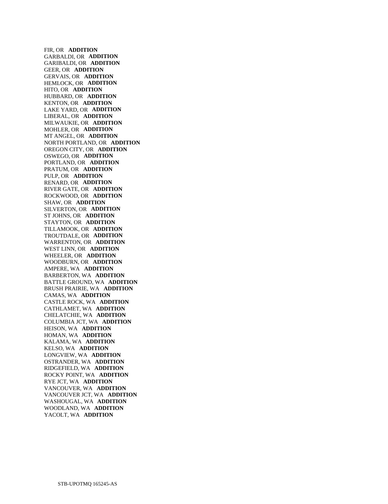FIR, OR **ADDITION**  GARBALDI, OR **ADDITION**  GARIBALDI, OR **ADDITION**  GEER, OR **ADDITION**  GERVAIS, OR **ADDITION**  HEMLOCK, OR **ADDITION**  HITO, OR **ADDITION**  HUBBARD, OR **ADDITION**  KENTON, OR **ADDITION**  LAKE YARD, OR **ADDITION**  LIBERAL, OR **ADDITION**  MILWAUKIE, OR **ADDITION**  MOHLER, OR **ADDITION**  MT ANGEL, OR **ADDITION**  NORTH PORTLAND, OR **ADDITION**  OREGON CITY, OR **ADDITION**  OSWEGO, OR **ADDITION**  PORTLAND, OR **ADDITION**  PRATUM, OR **ADDITION**  PULP, OR **ADDITION**  RENARD, OR **ADDITION**  RIVER GATE, OR **ADDITION**  ROCKWOOD, OR **ADDITION**  SHAW, OR **ADDITION**  SILVERTON, OR **ADDITION**  ST JOHNS, OR **ADDITION**  STAYTON, OR **ADDITION**  TILLAMOOK, OR **ADDITION**  TROUTDALE, OR **ADDITION**  WARRENTON, OR **ADDITION**  WEST LINN, OR **ADDITION**  WHEELER, OR **ADDITION**  WOODBURN, OR **ADDITION**  AMPERE, WA **ADDITION**  BARBERTON, WA **ADDITION**  BATTLE GROUND, WA **ADDITION**  BRUSH PRAIRIE, WA **ADDITION**  CAMAS, WA **ADDITION**  CASTLE ROCK, WA **ADDITION**  CATHLAMET, WA **ADDITION**  CHELATCHIE, WA **ADDITION**  COLUMBIA JCT, WA **ADDITION**  HEISON, WA **ADDITION**  HOMAN, WA **ADDITION**  KALAMA, WA **ADDITION**  KELSO, WA **ADDITION**  LONGVIEW, WA **ADDITION**  OSTRANDER, WA **ADDITION**  RIDGEFIELD, WA **ADDITION**  ROCKY POINT, WA **ADDITION**  RYE JCT, WA **ADDITION**  VANCOUVER, WA **ADDITION**  VANCOUVER JCT, WA **ADDITION**  WASHOUGAL, WA **ADDITION**  WOODLAND, WA **ADDITION**  YACOLT, WA **ADDITION**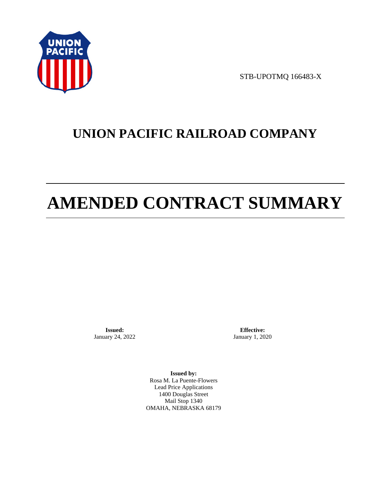

STB-UPOTMQ 166483-X

# **UNION PACIFIC RAILROAD COMPANY**

# **AMENDED CONTRACT SUMMARY**

**Issued:**  January 24, 2022

**Effective:** January 1, 2020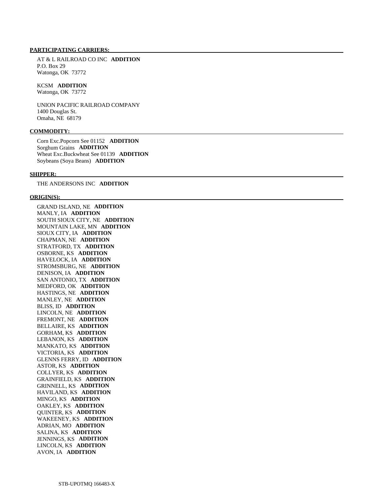AT & L RAILROAD CO INC **ADDITION**  P.O. Box 29 Watonga, OK 73772

# KCSM **ADDITION**

Watonga, OK 73772

 UNION PACIFIC RAILROAD COMPANY 1400 Douglas St. Omaha, NE 68179

# **COMMODITY:**

 Corn Exc.Popcorn See 01152 **ADDITION**  Sorghum Grains **ADDITION**  Wheat Exc.Buckwheat See 01139 **ADDITION**  Soybeans (Soya Beans) **ADDITION** 

#### **SHIPPER:**

THE ANDERSONS INC **ADDITION** 

# **ORIGIN(S):**

 GRAND ISLAND, NE **ADDITION**  MANLY, IA **ADDITION**  SOUTH SIOUX CITY, NE **ADDITION**  MOUNTAIN LAKE, MN **ADDITION**  SIOUX CITY, IA **ADDITION**  CHAPMAN, NE **ADDITION**  STRATFORD, TX **ADDITION**  OSBORNE, KS **ADDITION**  HAVELOCK, IA **ADDITION**  STROMSBURG, NE **ADDITION**  DENISON, IA **ADDITION**  SAN ANTONIO, TX **ADDITION**  MEDFORD, OK **ADDITION**  HASTINGS, NE **ADDITION**  MANLEY, NE **ADDITION**  BLISS, ID **ADDITION**  LINCOLN, NE **ADDITION**  FREMONT, NE **ADDITION**  BELLAIRE, KS **ADDITION**  GORHAM, KS **ADDITION**  LEBANON, KS **ADDITION**  MANKATO, KS **ADDITION**  VICTORIA, KS **ADDITION**  GLENNS FERRY, ID **ADDITION**  ASTOR, KS **ADDITION**  COLLYER, KS **ADDITION**  GRAINFIELD, KS **ADDITION**  GRINNELL, KS **ADDITION**  HAVILAND, KS **ADDITION**  MINGO, KS **ADDITION**  OAKLEY, KS **ADDITION**  QUINTER, KS **ADDITION**  WAKEENEY, KS **ADDITION**  ADRIAN, MO **ADDITION**  SALINA, KS **ADDITION**  JENNINGS, KS **ADDITION**  LINCOLN, KS **ADDITION**  AVON, IA **ADDITION**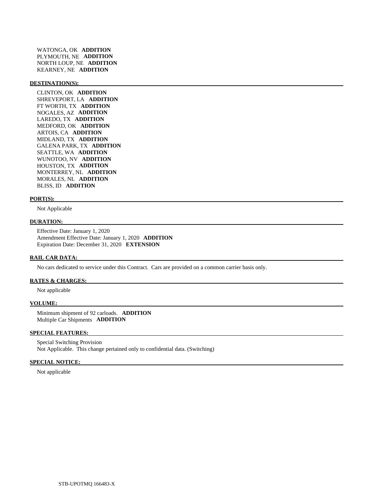WATONGA, OK **ADDITION**  PLYMOUTH, NE **ADDITION**  NORTH LOUP, NE **ADDITION**  KEARNEY, NE **ADDITION** 

### **DESTINATION(S):**

 CLINTON, OK **ADDITION**  SHREVEPORT, LA **ADDITION**  FT WORTH, TX **ADDITION**  NOGALES, AZ **ADDITION**  LAREDO, TX **ADDITION**  MEDFORD, OK **ADDITION**  ARTOIS, CA **ADDITION**  MIDLAND, TX **ADDITION**  GALENA PARK, TX **ADDITION**  SEATTLE, WA **ADDITION**  WUNOTOO, NV **ADDITION**  HOUSTON, TX **ADDITION**  MONTERREY, NL **ADDITION**  MORALES, NL **ADDITION**  BLISS, ID **ADDITION** 

## **PORT(S):**

Not Applicable

# **DURATION:**

 Effective Date: January 1, 2020 Amendment Effective Date: January 1, 2020 **ADDITION**  Expiration Date: December 31, 2020 **EXTENSION** 

#### **RAIL CAR DATA:**

No cars dedicated to service under this Contract. Cars are provided on a common carrier basis only.

# **RATES & CHARGES:**

Not applicable

#### **VOLUME:**

 Minimum shipment of 92 carloads. **ADDITION**  Multiple Car Shipments **ADDITION** 

## **SPECIAL FEATURES:**

 Special Switching Provision Not Applicable. This change pertained only to confidential data. (Switching)

# **SPECIAL NOTICE:**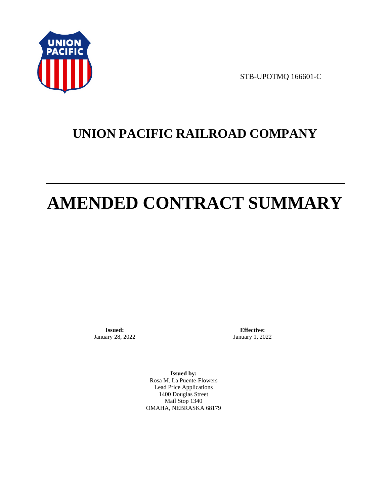

STB-UPOTMQ 166601-C

# **UNION PACIFIC RAILROAD COMPANY**

# **AMENDED CONTRACT SUMMARY**

**Issued:**  January 28, 2022

**Effective:** January 1, 2022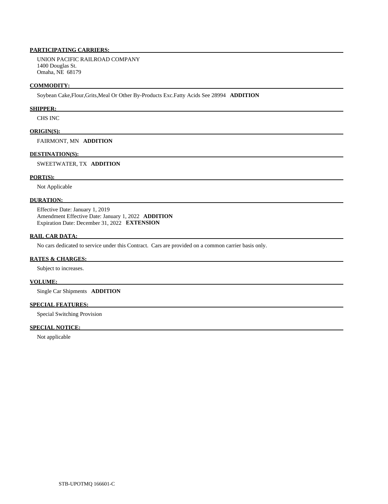UNION PACIFIC RAILROAD COMPANY 1400 Douglas St. Omaha, NE 68179

### **COMMODITY:**

Soybean Cake,Flour,Grits,Meal Or Other By-Products Exc.Fatty Acids See 28994 **ADDITION** 

# **SHIPPER:**

CHS INC

### **ORIGIN(S):**

FAIRMONT, MN **ADDITION** 

# **DESTINATION(S):**

SWEETWATER, TX **ADDITION** 

# **PORT(S):**

Not Applicable

# **DURATION:**

 Effective Date: January 1, 2019 Amendment Effective Date: January 1, 2022 **ADDITION**  Expiration Date: December 31, 2022 **EXTENSION** 

# **RAIL CAR DATA:**

No cars dedicated to service under this Contract. Cars are provided on a common carrier basis only.

# **RATES & CHARGES:**

Subject to increases.

### **VOLUME:**

Single Car Shipments **ADDITION** 

# **SPECIAL FEATURES:**

Special Switching Provision

# **SPECIAL NOTICE:**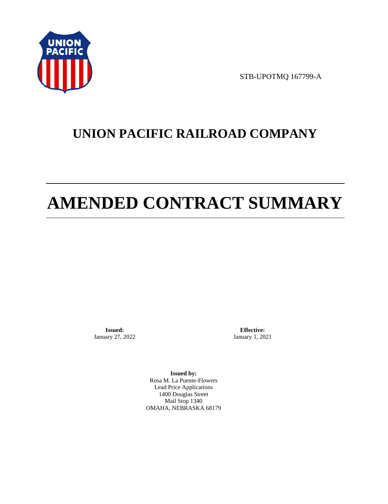

STB-UPOTMQ 167799-A

# **UNION PACIFIC RAILROAD COMPANY**

# **AMENDED CONTRACT SUMMARY**

**Issued:**  January 27, 2022

**Effective:** January 1, 2021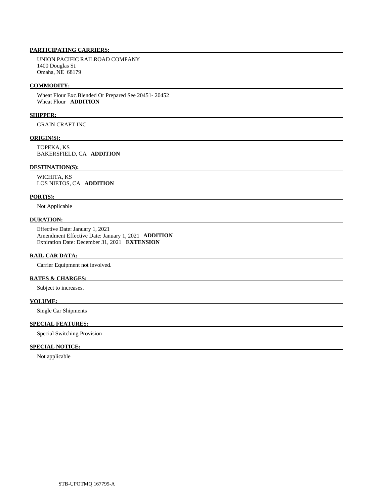UNION PACIFIC RAILROAD COMPANY 1400 Douglas St. Omaha, NE 68179

## **COMMODITY:**

 Wheat Flour Exc.Blended Or Prepared See 20451- 20452 Wheat Flour **ADDITION** 

# **SHIPPER:**

GRAIN CRAFT INC

# **ORIGIN(S):**

 TOPEKA, KS BAKERSFIELD, CA **ADDITION** 

# **DESTINATION(S):**

 WICHITA, KS LOS NIETOS, CA **ADDITION** 

# **PORT(S):**

Not Applicable

# **DURATION:**

 Effective Date: January 1, 2021 Amendment Effective Date: January 1, 2021 **ADDITION**  Expiration Date: December 31, 2021 **EXTENSION** 

# **RAIL CAR DATA:**

Carrier Equipment not involved.

# **RATES & CHARGES:**

Subject to increases.

# **VOLUME:**

Single Car Shipments

# **SPECIAL FEATURES:**

Special Switching Provision

# **SPECIAL NOTICE:**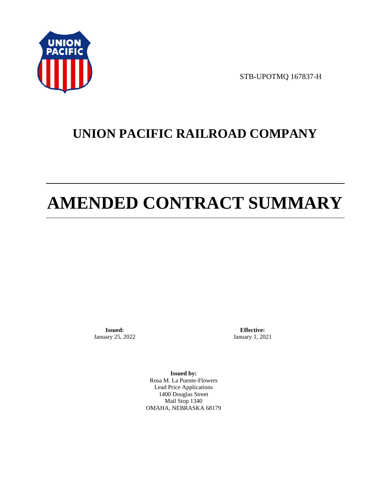

STB-UPOTMQ 167837-H

# **UNION PACIFIC RAILROAD COMPANY**

# **AMENDED CONTRACT SUMMARY**

**Issued:**  January 25, 2022

**Effective:** January 1, 2021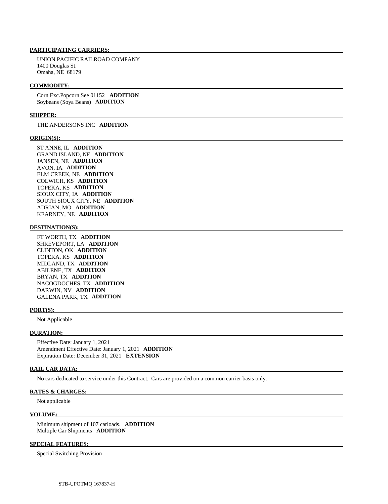UNION PACIFIC RAILROAD COMPANY 1400 Douglas St. Omaha, NE 68179

#### **COMMODITY:**

 Corn Exc.Popcorn See 01152 **ADDITION**  Soybeans (Soya Beans) **ADDITION** 

# **SHIPPER:**

THE ANDERSONS INC **ADDITION** 

### **ORIGIN(S):**

 ST ANNE, IL **ADDITION**  GRAND ISLAND, NE **ADDITION**  JANSEN, NE **ADDITION**  AVON, IA **ADDITION**  ELM CREEK, NE **ADDITION**  COLWICH, KS **ADDITION**  TOPEKA, KS **ADDITION**  SIOUX CITY, IA **ADDITION**  SOUTH SIOUX CITY, NE **ADDITION**  ADRIAN, MO **ADDITION**  KEARNEY, NE **ADDITION** 

# **DESTINATION(S):**

 FT WORTH, TX **ADDITION**  SHREVEPORT, LA **ADDITION**  CLINTON, OK **ADDITION**  TOPEKA, KS **ADDITION**  MIDLAND, TX **ADDITION**  ABILENE, TX **ADDITION**  BRYAN, TX **ADDITION**  NACOGDOCHES, TX **ADDITION**  DARWIN, NV **ADDITION**  GALENA PARK, TX **ADDITION** 

#### **PORT(S):**

Not Applicable

#### **DURATION:**

 Effective Date: January 1, 2021 Amendment Effective Date: January 1, 2021 **ADDITION**  Expiration Date: December 31, 2021 **EXTENSION** 

# **RAIL CAR DATA:**

No cars dedicated to service under this Contract. Cars are provided on a common carrier basis only.

# **RATES & CHARGES:**

Not applicable

#### **VOLUME:**

 Minimum shipment of 107 carloads. **ADDITION**  Multiple Car Shipments **ADDITION** 

# **SPECIAL FEATURES:**

Special Switching Provision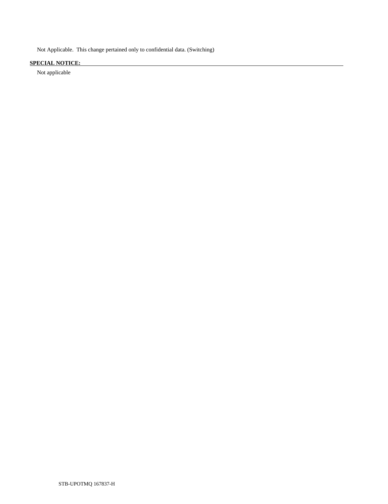Not Applicable. This change pertained only to confidential data. (Switching)

# **SPECIAL NOTICE:**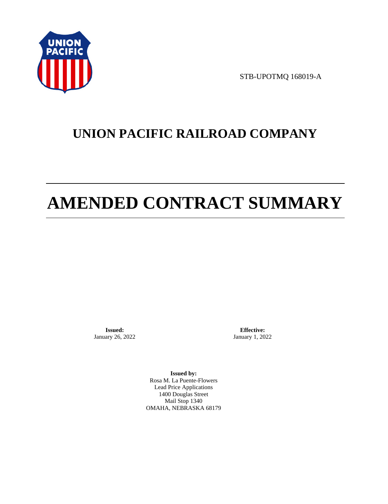

STB-UPOTMQ 168019-A

# **UNION PACIFIC RAILROAD COMPANY**

# **AMENDED CONTRACT SUMMARY**

**Issued:**  January 26, 2022

**Effective:** January 1, 2022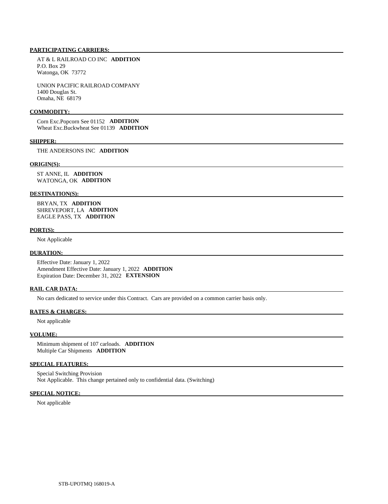AT & L RAILROAD CO INC **ADDITION**  P.O. Box 29 Watonga, OK 73772

 UNION PACIFIC RAILROAD COMPANY 1400 Douglas St. Omaha, NE 68179

### **COMMODITY:**

 Corn Exc.Popcorn See 01152 **ADDITION**  Wheat Exc.Buckwheat See 01139 **ADDITION** 

#### **SHIPPER:**

THE ANDERSONS INC **ADDITION** 

#### **ORIGIN(S):**

 ST ANNE, IL **ADDITION**  WATONGA, OK **ADDITION** 

# **DESTINATION(S):**

 BRYAN, TX **ADDITION**  SHREVEPORT, LA **ADDITION**  EAGLE PASS, TX **ADDITION** 

#### **PORT(S):**

Not Applicable

## **DURATION:**

 Effective Date: January 1, 2022 Amendment Effective Date: January 1, 2022 **ADDITION**  Expiration Date: December 31, 2022 **EXTENSION** 

# **RAIL CAR DATA:**

No cars dedicated to service under this Contract. Cars are provided on a common carrier basis only.

# **RATES & CHARGES:**

Not applicable

# **VOLUME:**

 Minimum shipment of 107 carloads. **ADDITION**  Multiple Car Shipments **ADDITION** 

# **SPECIAL FEATURES:**

 Special Switching Provision Not Applicable. This change pertained only to confidential data. (Switching)

# **SPECIAL NOTICE:**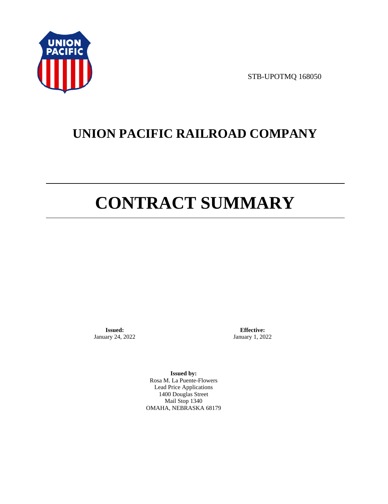

STB-UPOTMQ 168050

# **UNION PACIFIC RAILROAD COMPANY**

# **CONTRACT SUMMARY**

**Issued:**  January 24, 2022

**Effective:** January 1, 2022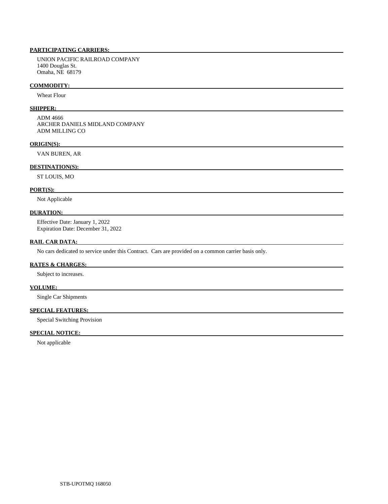UNION PACIFIC RAILROAD COMPANY 1400 Douglas St. Omaha, NE 68179

## **COMMODITY:**

Wheat Flour

# **SHIPPER:**

 ADM 4666 ARCHER DANIELS MIDLAND COMPANY ADM MILLING CO

# **ORIGIN(S):**

VAN BUREN, AR

# **DESTINATION(S):**

ST LOUIS, MO

# **PORT(S):**

Not Applicable

# **DURATION:**

 Effective Date: January 1, 2022 Expiration Date: December 31, 2022

# **RAIL CAR DATA:**

No cars dedicated to service under this Contract. Cars are provided on a common carrier basis only.

# **RATES & CHARGES:**

Subject to increases.

# **VOLUME:**

Single Car Shipments

# **SPECIAL FEATURES:**

Special Switching Provision

# **SPECIAL NOTICE:**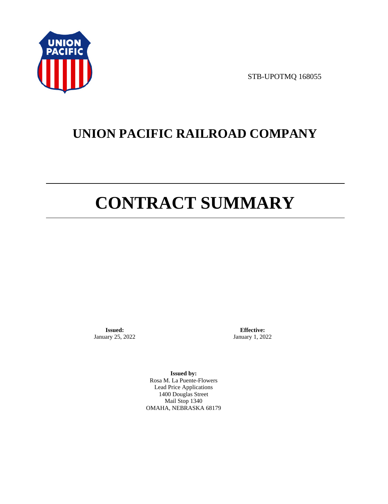

STB-UPOTMQ 168055

# **UNION PACIFIC RAILROAD COMPANY**

# **CONTRACT SUMMARY**

**Issued:**  January 25, 2022

**Effective:** January 1, 2022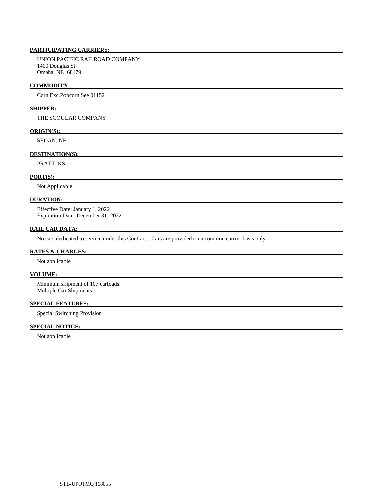UNION PACIFIC RAILROAD COMPANY 1400 Douglas St. Omaha, NE 68179

## **COMMODITY:**

Corn Exc.Popcorn See 01152

# **SHIPPER:**

THE SCOULAR COMPANY

# **ORIGIN(S):**

SEDAN, NE

# **DESTINATION(S):**

PRATT, KS

# **PORT(S):**

Not Applicable

# **DURATION:**

 Effective Date: January 1, 2022 Expiration Date: December 31, 2022

# **RAIL CAR DATA:**

No cars dedicated to service under this Contract. Cars are provided on a common carrier basis only.

## **RATES & CHARGES:**

Not applicable

# **VOLUME:**

 Minimum shipment of 107 carloads. Multiple Car Shipments

# **SPECIAL FEATURES:**

Special Switching Provision

# **SPECIAL NOTICE:**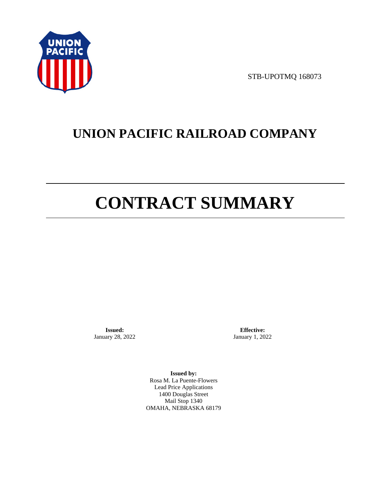

STB-UPOTMQ 168073

# **UNION PACIFIC RAILROAD COMPANY**

# **CONTRACT SUMMARY**

**Issued:**  January 28, 2022

**Effective:** January 1, 2022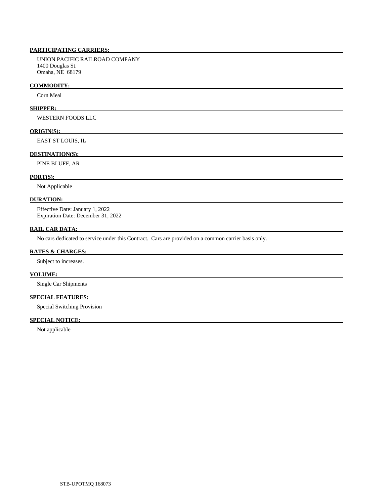# **PARTICIPATING CARRIERS:**

 UNION PACIFIC RAILROAD COMPANY 1400 Douglas St. Omaha, NE 68179

#### **COMMODITY:**

Corn Meal

# **SHIPPER:**

WESTERN FOODS LLC

# **ORIGIN(S):**

EAST ST LOUIS, IL

# **DESTINATION(S):**

PINE BLUFF, AR

# **PORT(S):**

Not Applicable

#### **DURATION:**

 Effective Date: January 1, 2022 Expiration Date: December 31, 2022

# **RAIL CAR DATA:**

No cars dedicated to service under this Contract. Cars are provided on a common carrier basis only.

### **RATES & CHARGES:**

Subject to increases.

# **VOLUME:**

Single Car Shipments

# **SPECIAL FEATURES:**

Special Switching Provision

# **SPECIAL NOTICE:**

Not applicable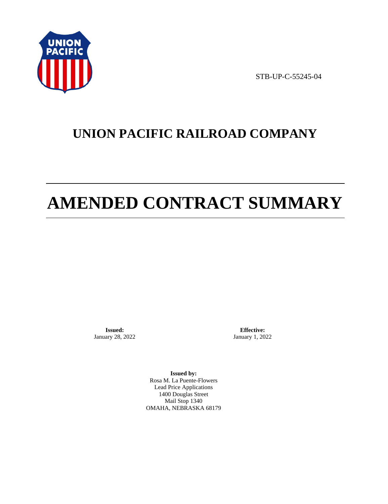

STB-UP-C-55245-04

# **UNION PACIFIC RAILROAD COMPANY**

# **AMENDED CONTRACT SUMMARY**

**Issued:**  January 28, 2022

**Effective:** January 1, 2022

**Issued by:**  Rosa M. La Puente-Flowers Lead Price Applications 1400 Douglas Street Mail Stop 1340 OMAHA, NEBRASKA 68179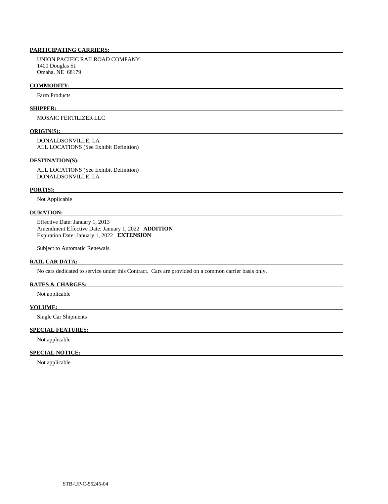# **PARTICIPATING CARRIERS:**

 UNION PACIFIC RAILROAD COMPANY 1400 Douglas St. Omaha, NE 68179

#### **COMMODITY:**

Farm Products

#### **SHIPPER:**

MOSAIC FERTILIZER LLC

#### **ORIGIN(S):**

 DONALDSONVILLE, LA ALL LOCATIONS (See Exhibit Definition)

#### **DESTINATION(S):**

 ALL LOCATIONS (See Exhibit Definition) DONALDSONVILLE, LA

#### **PORT(S):**

Not Applicable

# **DURATION:**

 Effective Date: January 1, 2013 Amendment Effective Date: January 1, 2022 **ADDITION**  Expiration Date: January 1, 2022 **EXTENSION** 

Subject to Automatic Renewals.

## **RAIL CAR DATA:**

No cars dedicated to service under this Contract. Cars are provided on a common carrier basis only.

# **RATES & CHARGES:**

Not applicable

### **VOLUME:**

Single Car Shipments

# **SPECIAL FEATURES:**

Not applicable

# **SPECIAL NOTICE:**

Not applicable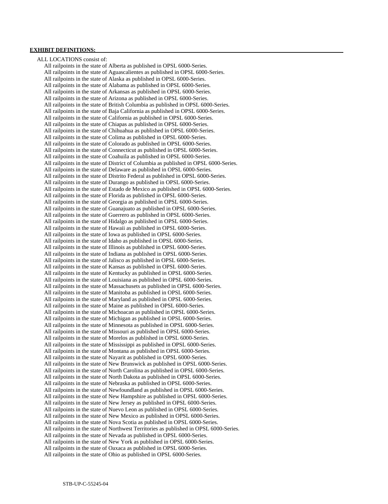# **EXHIBIT DEFINITIONS:**

 ALL LOCATIONS consist of: All railpoints in the state of Alberta as published in OPSL 6000-Series. All railpoints in the state of Aguascalientes as published in OPSL 6000-Series. All railpoints in the state of Alaska as published in OPSL 6000-Series. All railpoints in the state of Alabama as published in OPSL 6000-Series. All railpoints in the state of Arkansas as published in OPSL 6000-Series. All railpoints in the state of Arizona as published in OPSL 6000-Series. All railpoints in the state of British Columbia as published in OPSL 6000-Series. All railpoints in the state of Baja California as published in OPSL 6000-Series. All railpoints in the state of California as published in OPSL 6000-Series. All railpoints in the state of Chiapas as published in OPSL 6000-Series. All railpoints in the state of Chihuahua as published in OPSL 6000-Series. All railpoints in the state of Colima as published in OPSL 6000-Series. All railpoints in the state of Colorado as published in OPSL 6000-Series. All railpoints in the state of Connecticut as published in OPSL 6000-Series. All railpoints in the state of Coahuila as published in OPSL 6000-Series. All railpoints in the state of District of Columbia as published in OPSL 6000-Series. All railpoints in the state of Delaware as published in OPSL 6000-Series. All railpoints in the state of Distrito Federal as published in OPSL 6000-Series. All railpoints in the state of Durango as published in OPSL 6000-Series. All railpoints in the state of Estado de Mexico as published in OPSL 6000-Series. All railpoints in the state of Florida as published in OPSL 6000-Series. All railpoints in the state of Georgia as published in OPSL 6000-Series. All railpoints in the state of Guanajuato as published in OPSL 6000-Series. All railpoints in the state of Guerrero as published in OPSL 6000-Series. All railpoints in the state of Hidalgo as published in OPSL 6000-Series. All railpoints in the state of Hawaii as published in OPSL 6000-Series. All railpoints in the state of Iowa as published in OPSL 6000-Series. All railpoints in the state of Idaho as published in OPSL 6000-Series. All railpoints in the state of Illinois as published in OPSL 6000-Series. All railpoints in the state of Indiana as published in OPSL 6000-Series. All railpoints in the state of Jalisco as published in OPSL 6000-Series. All railpoints in the state of Kansas as published in OPSL 6000-Series. All railpoints in the state of Kentucky as published in OPSL 6000-Series. All railpoints in the state of Louisiana as published in OPSL 6000-Series. All railpoints in the state of Massachusets as published in OPSL 6000-Series. All railpoints in the state of Manitoba as published in OPSL 6000-Series. All railpoints in the state of Maryland as published in OPSL 6000-Series. All railpoints in the state of Maine as published in OPSL 6000-Series. All railpoints in the state of Michoacan as published in OPSL 6000-Series. All railpoints in the state of Michigan as published in OPSL 6000-Series. All railpoints in the state of Minnesota as published in OPSL 6000-Series. All railpoints in the state of Missouri as published in OPSL 6000-Series. All railpoints in the state of Morelos as published in OPSL 6000-Series. All railpoints in the state of Mississippi as published in OPSL 6000-Series. All railpoints in the state of Montana as published in OPSL 6000-Series. All railpoints in the state of Nayarit as published in OPSL 6000-Series. All railpoints in the state of New Brunswick as published in OPSL 6000-Series. All railpoints in the state of North Carolina as published in OPSL 6000-Series. All railpoints in the state of North Dakota as published in OPSL 6000-Series. All railpoints in the state of Nebraska as published in OPSL 6000-Series. All railpoints in the state of Newfoundland as published in OPSL 6000-Series. All railpoints in the state of New Hampshire as published in OPSL 6000-Series. All railpoints in the state of New Jersey as published in OPSL 6000-Series. All railpoints in the state of Nuevo Leon as published in OPSL 6000-Series. All railpoints in the state of New Mexico as published in OPSL 6000-Series. All railpoints in the state of Nova Scotia as published in OPSL 6000-Series. All railpoints in the state of Northwest Territories as published in OPSL 6000-Series. All railpoints in the state of Nevada as published in OPSL 6000-Series. All railpoints in the state of New York as published in OPSL 6000-Series. All railpoints in the state of Oaxaca as published in OPSL 6000-Series. All railpoints in the state of Ohio as published in OPSL 6000-Series.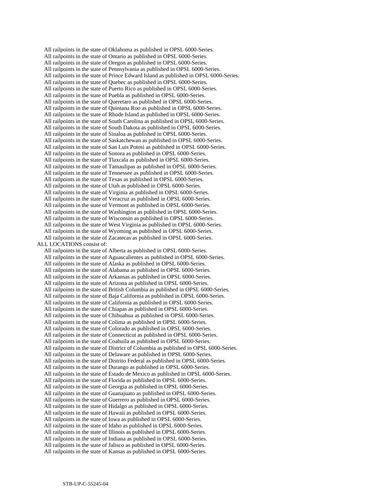All railpoints in the state of Oklahoma as published in OPSL 6000-Series. All railpoints in the state of Ontario as published in OPSL 6000-Series. All railpoints in the state of Oregon as published in OPSL 6000-Series. All railpoints in the state of Pennsylvania as published in OPSL 6000-Series. All railpoints in the state of Prince Edward Island as published in OPSL 6000-Series. All railpoints in the state of Quebec as published in OPSL 6000-Series. All railpoints in the state of Puerto Rico as published in OPSL 6000-Series. All railpoints in the state of Puebla as published in OPSL 6000-Series. All railpoints in the state of Queretaro as published in OPSL 6000-Series. All railpoints in the state of Quintana Roo as published in OPSL 6000-Series. All railpoints in the state of Rhode Island as published in OPSL 6000-Series. All railpoints in the state of South Carolina as published in OPSL 6000-Series. All railpoints in the state of South Dakota as published in OPSL 6000-Series. All railpoints in the state of Sinaloa as published in OPSL 6000-Series. All railpoints in the state of Saskatchewan as published in OPSL 6000-Series. All railpoints in the state of San Luis Potosi as published in OPSL 6000-Series. All railpoints in the state of Sonora as published in OPSL 6000-Series. All railpoints in the state of Tlaxcala as published in OPSL 6000-Series. All railpoints in the state of Tamaulipas as published in OPSL 6000-Series. All railpoints in the state of Tennessee as published in OPSL 6000-Series. All railpoints in the state of Texas as published in OPSL 6000-Series. All railpoints in the state of Utah as published in OPSL 6000-Series. All railpoints in the state of Virginia as published in OPSL 6000-Series. All railpoints in the state of Veracruz as published in OPSL 6000-Series. All railpoints in the state of Vermont as published in OPSL 6000-Series. All railpoints in the state of Washington as published in OPSL 6000-Series. All railpoints in the state of Wisconsin as published in OPSL 6000-Series. All railpoints in the state of West Virginia as published in OPSL 6000-Series. All railpoints in the state of Wyoming as published in OPSL 6000-Series. All railpoints in the state of Zacatecas as published in OPSL 6000-Series. ALL LOCATIONS consist of: All railpoints in the state of Alberta as published in OPSL 6000-Series. All railpoints in the state of Aguascalientes as published in OPSL 6000-Series. All railpoints in the state of Alaska as published in OPSL 6000-Series. All railpoints in the state of Alabama as published in OPSL 6000-Series. All railpoints in the state of Arkansas as published in OPSL 6000-Series. All railpoints in the state of Arizona as published in OPSL 6000-Series. All railpoints in the state of British Columbia as published in OPSL 6000-Series. All railpoints in the state of Baja California as published in OPSL 6000-Series. All railpoints in the state of California as published in OPSL 6000-Series. All railpoints in the state of Chiapas as published in OPSL 6000-Series. All railpoints in the state of Chihuahua as published in OPSL 6000-Series. All railpoints in the state of Colima as published in OPSL 6000-Series. All railpoints in the state of Colorado as published in OPSL 6000-Series. All railpoints in the state of Connecticut as published in OPSL 6000-Series. All railpoints in the state of Coahuila as published in OPSL 6000-Series. All railpoints in the state of District of Columbia as published in OPSL 6000-Series. All railpoints in the state of Delaware as published in OPSL 6000-Series. All railpoints in the state of Distrito Federal as published in OPSL 6000-Series. All railpoints in the state of Durango as published in OPSL 6000-Series. All railpoints in the state of Estado de Mexico as published in OPSL 6000-Series. All railpoints in the state of Florida as published in OPSL 6000-Series. All railpoints in the state of Georgia as published in OPSL 6000-Series. All railpoints in the state of Guanajuato as published in OPSL 6000-Series. All railpoints in the state of Guerrero as published in OPSL 6000-Series. All railpoints in the state of Hidalgo as published in OPSL 6000-Series. All railpoints in the state of Hawaii as published in OPSL 6000-Series. All railpoints in the state of Iowa as published in OPSL 6000-Series. All railpoints in the state of Idaho as published in OPSL 6000-Series. All railpoints in the state of Illinois as published in OPSL 6000-Series. All railpoints in the state of Indiana as published in OPSL 6000-Series. All railpoints in the state of Jalisco as published in OPSL 6000-Series. All railpoints in the state of Kansas as published in OPSL 6000-Series.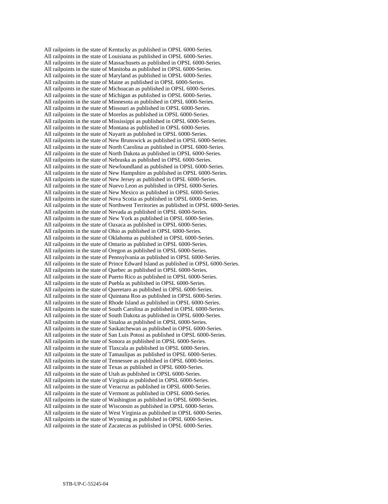All railpoints in the state of Kentucky as published in OPSL 6000-Series. All railpoints in the state of Louisiana as published in OPSL 6000-Series. All railpoints in the state of Massachusets as published in OPSL 6000-Series. All railpoints in the state of Manitoba as published in OPSL 6000-Series. All railpoints in the state of Maryland as published in OPSL 6000-Series. All railpoints in the state of Maine as published in OPSL 6000-Series. All railpoints in the state of Michoacan as published in OPSL 6000-Series. All railpoints in the state of Michigan as published in OPSL 6000-Series. All railpoints in the state of Minnesota as published in OPSL 6000-Series. All railpoints in the state of Missouri as published in OPSL 6000-Series. All railpoints in the state of Morelos as published in OPSL 6000-Series. All railpoints in the state of Mississippi as published in OPSL 6000-Series. All railpoints in the state of Montana as published in OPSL 6000-Series. All railpoints in the state of Nayarit as published in OPSL 6000-Series. All railpoints in the state of New Brunswick as published in OPSL 6000-Series. All railpoints in the state of North Carolina as published in OPSL 6000-Series. All railpoints in the state of North Dakota as published in OPSL 6000-Series. All railpoints in the state of Nebraska as published in OPSL 6000-Series. All railpoints in the state of Newfoundland as published in OPSL 6000-Series. All railpoints in the state of New Hampshire as published in OPSL 6000-Series. All railpoints in the state of New Jersey as published in OPSL 6000-Series. All railpoints in the state of Nuevo Leon as published in OPSL 6000-Series. All railpoints in the state of New Mexico as published in OPSL 6000-Series. All railpoints in the state of Nova Scotia as published in OPSL 6000-Series. All railpoints in the state of Northwest Territories as published in OPSL 6000-Series. All railpoints in the state of Nevada as published in OPSL 6000-Series. All railpoints in the state of New York as published in OPSL 6000-Series. All railpoints in the state of Oaxaca as published in OPSL 6000-Series. All railpoints in the state of Ohio as published in OPSL 6000-Series. All railpoints in the state of Oklahoma as published in OPSL 6000-Series. All railpoints in the state of Ontario as published in OPSL 6000-Series. All railpoints in the state of Oregon as published in OPSL 6000-Series. All railpoints in the state of Pennsylvania as published in OPSL 6000-Series. All railpoints in the state of Prince Edward Island as published in OPSL 6000-Series. All railpoints in the state of Quebec as published in OPSL 6000-Series. All railpoints in the state of Puerto Rico as published in OPSL 6000-Series. All railpoints in the state of Puebla as published in OPSL 6000-Series. All railpoints in the state of Queretaro as published in OPSL 6000-Series. All railpoints in the state of Quintana Roo as published in OPSL 6000-Series. All railpoints in the state of Rhode Island as published in OPSL 6000-Series. All railpoints in the state of South Carolina as published in OPSL 6000-Series. All railpoints in the state of South Dakota as published in OPSL 6000-Series. All railpoints in the state of Sinaloa as published in OPSL 6000-Series. All railpoints in the state of Saskatchewan as published in OPSL 6000-Series. All railpoints in the state of San Luis Potosi as published in OPSL 6000-Series. All railpoints in the state of Sonora as published in OPSL 6000-Series. All railpoints in the state of Tlaxcala as published in OPSL 6000-Series. All railpoints in the state of Tamaulipas as published in OPSL 6000-Series. All railpoints in the state of Tennessee as published in OPSL 6000-Series. All railpoints in the state of Texas as published in OPSL 6000-Series. All railpoints in the state of Utah as published in OPSL 6000-Series. All railpoints in the state of Virginia as published in OPSL 6000-Series. All railpoints in the state of Veracruz as published in OPSL 6000-Series. All railpoints in the state of Vermont as published in OPSL 6000-Series. All railpoints in the state of Washington as published in OPSL 6000-Series. All railpoints in the state of Wisconsin as published in OPSL 6000-Series. All railpoints in the state of West Virginia as published in OPSL 6000-Series. All railpoints in the state of Wyoming as published in OPSL 6000-Series. All railpoints in the state of Zacatecas as published in OPSL 6000-Series.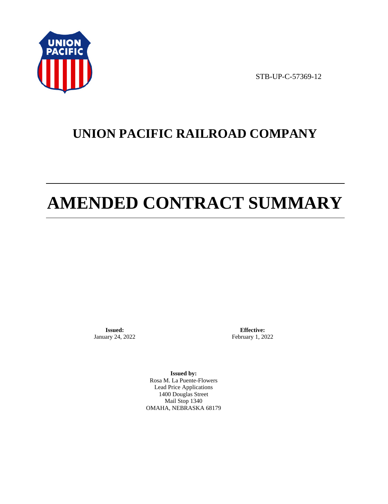

STB-UP-C-57369-12

# **UNION PACIFIC RAILROAD COMPANY**

# **AMENDED CONTRACT SUMMARY**

**Issued:**  January 24, 2022

**Effective:** February 1, 2022

**Issued by:**  Rosa M. La Puente-Flowers Lead Price Applications 1400 Douglas Street Mail Stop 1340 OMAHA, NEBRASKA 68179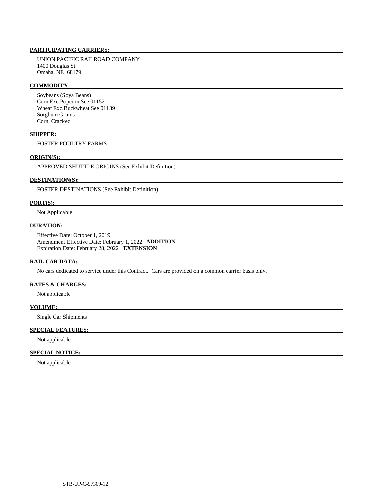# **PARTICIPATING CARRIERS:**

 UNION PACIFIC RAILROAD COMPANY 1400 Douglas St. Omaha, NE 68179

#### **COMMODITY:**

 Soybeans (Soya Beans) Corn Exc.Popcorn See 01152 Wheat Exc.Buckwheat See 01139 Sorghum Grains Corn, Cracked

### **SHIPPER:**

FOSTER POULTRY FARMS

# **ORIGIN(S):**

APPROVED SHUTTLE ORIGINS (See Exhibit Definition)

# **DESTINATION(S):**

FOSTER DESTINATIONS (See Exhibit Definition)

#### **PORT(S):**

Not Applicable

# **DURATION:**

 Effective Date: October 1, 2019 Amendment Effective Date: February 1, 2022 **ADDITION**  Expiration Date: February 28, 2022 **EXTENSION** 

#### **RAIL CAR DATA:**

No cars dedicated to service under this Contract. Cars are provided on a common carrier basis only.

# **RATES & CHARGES:**

Not applicable

### **VOLUME:**

Single Car Shipments

# **SPECIAL FEATURES:**

Not applicable

# **SPECIAL NOTICE:**

Not applicable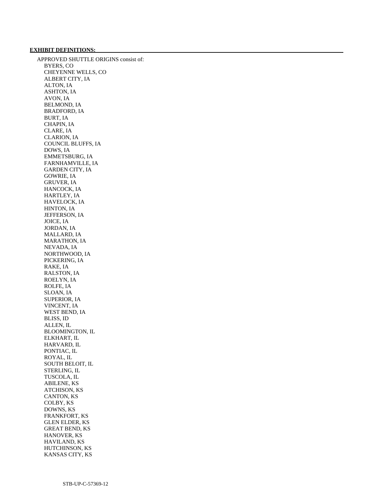# **EXHIBIT DEFINITIONS:**

 APPROVED SHUTTLE ORIGINS consist of: BYERS, CO CHEYENNE WELLS, CO ALBERT CITY, IA ALTON, IA ASHTON, IA AVON, IA BELMOND, IA BRADFORD, IA BURT, IA CHAPIN, IA CLARE, IA CLARION, IA COUNCIL BLUFFS, IA DOWS, IA EMMETSBURG, IA FARNHAMVILLE, IA GARDEN CITY, IA GOWRIE, IA GRUVER, IA HANCOCK, IA HARTLEY, IA HAVELOCK, IA HINTON, IA JEFFERSON, IA JOICE, IA JORDAN, IA MALLARD, IA MARATHON, IA NEVADA, IA NORTHWOOD, IA PICKERING, IA RAKE, IA RALSTON, IA ROELYN, IA ROLFE, IA SLOAN, IA SUPERIOR, IA VINCENT, IA WEST BEND, IA BLISS, ID ALLEN, IL BLOOMINGTON, IL ELKHART, IL HARVARD, IL PONTIAC, IL ROYAL, IL SOUTH BELOIT, IL STERLING, IL TUSCOLA, IL ABILENE, KS ATCHISON, KS CANTON, KS COLBY, KS DOWNS, KS FRANKFORT, KS GLEN ELDER, KS GREAT BEND, KS HANOVER, KS HAVILAND, KS HUTCHINSON, KS KANSAS CITY, KS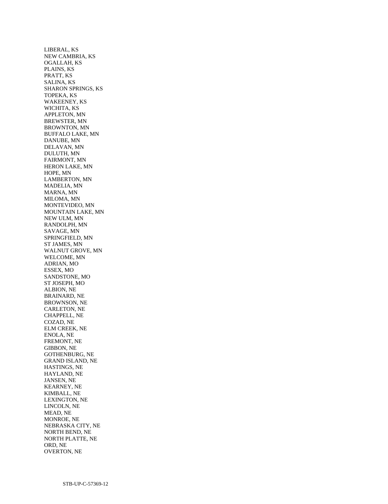LIBERAL, KS NEW CAMBRIA, KS OGALLAH, KS PLAINS, KS PRATT, KS SALINA, KS SHARON SPRINGS, KS TOPEKA, KS WAKEENEY, KS WICHITA, KS APPLETON, MN BREWSTER, MN BROWNTON, MN BUFFALO LAKE, MN DANUBE, MN DELAVAN, MN DULUTH, MN FAIRMONT, MN HERON LAKE, MN HOPE, MN LAMBERTON, MN MADELIA, MN MARNA, MN MILOMA, MN MONTEVIDEO, MN MOUNTAIN LAKE, MN NEW ULM, MN RANDOLPH, MN SAVAGE, MN SPRINGFIELD, MN ST JAMES, MN WALNUT GROVE, MN WELCOME, MN ADRIAN, MO ESSEX, MO SANDSTONE, MO ST JOSEPH, MO ALBION, NE BRAINARD, NE BROWNSON, NE CARLETON, NE CHAPPELL, NE COZAD, NE ELM CREEK, NE ENOLA, NE FREMONT, NE GIBBON, NE GOTHENBURG, NE GRAND ISLAND, NE HASTINGS, NE HAYLAND, NE JANSEN, NE KEARNEY, NE KIMBALL, NE LEXINGTON, NE LINCOLN, NE MEAD, NE MONROE, NE NEBRASKA CITY, NE NORTH BEND, NE NORTH PLATTE, NE ORD, NE OVERTON, NE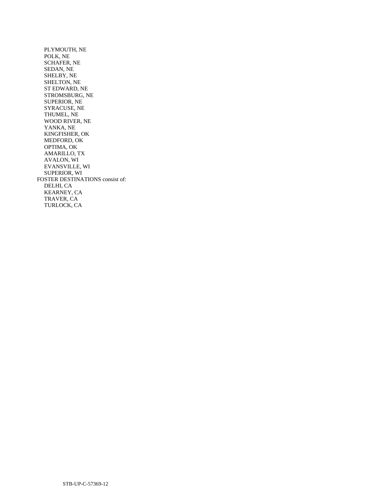PLYMOUTH, NE POLK, NE SCHAFER, NE SEDAN, NE SHELBY, NE SHELTON, NE ST EDWARD, NE STROMSBURG, NE SUPERIOR, NE SYRACUSE, NE THUMEL, NE WOOD RIVER, NE YANKA, NE KINGFISHER, OK MEDFORD, OK OPTIMA, OK AMARILLO, TX AVALON, WI EVANSVILLE, WI SUPERIOR, WI FOSTER DESTINATIONS consist of: DELHI, CA KEARNEY, CA TRAVER, CA TURLOCK, CA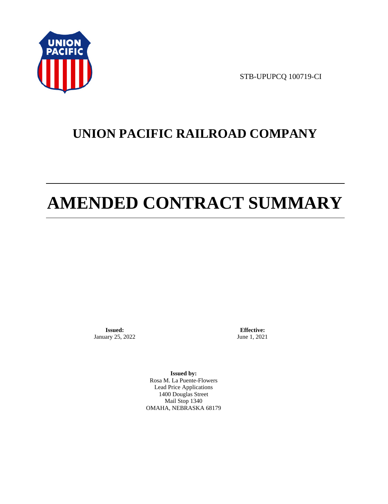

STB-UPUPCQ 100719-CI

# **UNION PACIFIC RAILROAD COMPANY**

# **AMENDED CONTRACT SUMMARY**

**Issued:**  January 25, 2022

**Effective:** June 1, 2021

**Issued by:**  Rosa M. La Puente-Flowers Lead Price Applications 1400 Douglas Street Mail Stop 1340 OMAHA, NEBRASKA 68179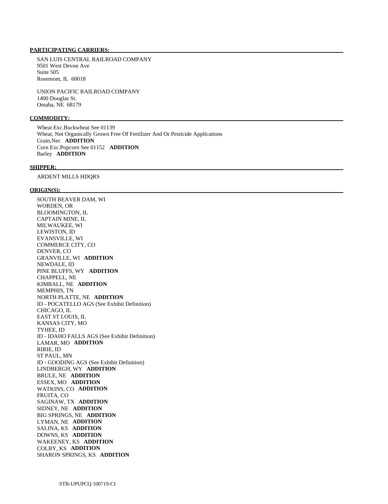# **PARTICIPATING CARRIERS:**

 SAN LUIS CENTRAL RAILROAD COMPANY 9501 West Devon Ave Suite 505 Rosemont, IL 60018

 UNION PACIFIC RAILROAD COMPANY 1400 Douglas St. Omaha, NE 68179

# **COMMODITY:**

 Wheat Exc.Buckwheat See 01139 Wheat, Not Organically Grown Free Of Fertilizer And Or Pesticide Applications Grain,Nec **ADDITION**  Corn Exc.Popcorn See 01152 **ADDITION**  Barley **ADDITION** 

#### **SHIPPER:**

ARDENT MILLS HDQRS

#### **ORIGIN(S):**

 SOUTH BEAVER DAM, WI WORDEN, OR BLOOMINGTON, IL CAPTAIN MINE, IL MILWAUKEE, WI LEWISTON, ID EVANSVILLE, WI COMMERCE CITY, CO DENVER, CO GRANVILLE, WI **ADDITION**  NEWDALE, ID PINE BLUFFS, WY **ADDITION**  CHAPPELL, NE KIMBALL, NE **ADDITION**  MEMPHIS, TN NORTH PLATTE, NE **ADDITION**  ID - POCATELLO AGS (See Exhibit Definition) CHICAGO, IL EAST ST LOUIS, IL KANSAS CITY, MO TYHEE, ID ID - IDAHO FALLS AGS (See Exhibit Definition) LAMAR, MO **ADDITION**  RIRIE, ID ST PAUL, MN ID - GOODING AGS (See Exhibit Definition) LINDBERGH, WY **ADDITION**  BRULE, NE **ADDITION**  ESSEX, MO **ADDITION**  WATKINS, CO **ADDITION**  FRUITA, CO SAGINAW, TX **ADDITION**  SIDNEY, NE **ADDITION**  BIG SPRINGS, NE **ADDITION**  LYMAN, NE **ADDITION**  SALINA, KS **ADDITION**  DOWNS, KS **ADDITION**  WAKEENEY, KS **ADDITION**  COLBY, KS **ADDITION**  SHARON SPRINGS, KS **ADDITION**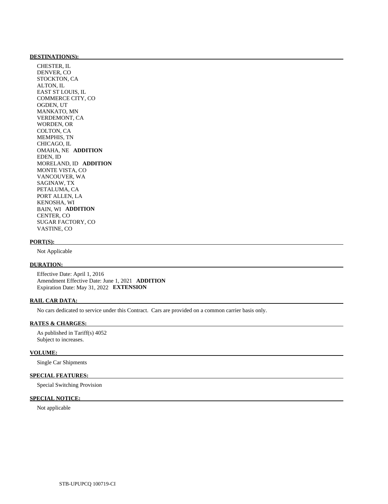#### **DESTINATION(S):**

 CHESTER, IL DENVER, CO STOCKTON, CA ALTON, IL EAST ST LOUIS, IL COMMERCE CITY, CO OGDEN, UT MANKATO, MN VERDEMONT, CA WORDEN, OR COLTON, CA MEMPHIS, TN CHICAGO, IL OMAHA, NE **ADDITION**  EDEN, ID MORELAND, ID **ADDITION**  MONTE VISTA, CO VANCOUVER, WA SAGINAW, TX PETALUMA, CA PORT ALLEN, LA KENOSHA, WI BAIN, WI **ADDITION**  CENTER, CO SUGAR FACTORY, CO VASTINE, CO

#### **PORT(S):**

Not Applicable

# **DURATION:**

 Effective Date: April 1, 2016 Amendment Effective Date: June 1, 2021 **ADDITION**  Expiration Date: May 31, 2022 **EXTENSION** 

### **RAIL CAR DATA:**

No cars dedicated to service under this Contract. Cars are provided on a common carrier basis only.

# **RATES & CHARGES:**

 As published in Tariff(s) 4052 Subject to increases.

# **VOLUME:**

Single Car Shipments

# **SPECIAL FEATURES:**

Special Switching Provision

### **SPECIAL NOTICE:**

Not applicable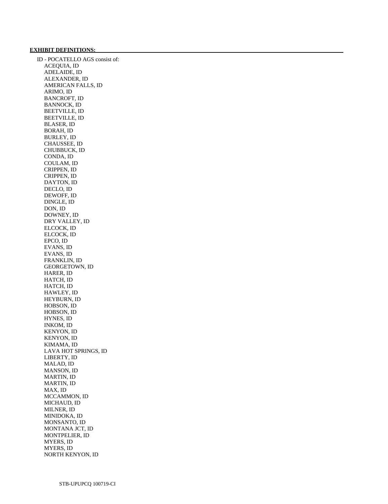### **EXHIBIT DEFINITIONS:**

 ID - POCATELLO AGS consist of: ACEQUIA, ID ADELAIDE, ID ALEXANDER, ID AMERICAN FALLS, ID ARIMO, ID BANCROFT, ID BANNOCK, ID BEETVILLE, ID BEETVILLE, ID BLASER, ID BORAH, ID BURLEY, ID CHAUSSEE, ID CHUBBUCK, ID CONDA, ID COULAM, ID CRIPPEN, ID CRIPPEN, ID DAYTON, ID DECLO, ID DEWOFF, ID DINGLE, ID DON, ID DOWNEY, ID DRY VALLEY, ID ELCOCK, ID ELCOCK, ID EPCO, ID EVANS, ID EVANS, ID FRANKLIN, ID GEORGETOWN, ID HARER, ID HATCH, ID HATCH, ID HAWLEY, ID HEYBURN, ID HOBSON, ID HOBSON, ID HYNES, ID INKOM, ID KENYON, ID KENYON, ID KIMAMA, ID LAVA HOT SPRINGS, ID LIBERTY, ID MALAD, ID MANSON, ID MARTIN, ID MARTIN, ID MAX, ID MCCAMMON, ID MICHAUD, ID MILNER, ID MINIDOKA, ID MONSANTO, ID MONTANA JCT, ID MONTPELIER, ID MYERS, ID MYERS, ID NORTH KENYON, ID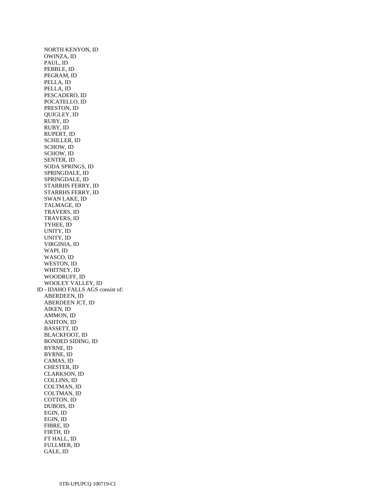NORTH KENYON, ID OWINZA, ID PAUL, ID PEBBLE, ID PEGRAM, ID PELLA, ID PELLA, ID PESCADERO, ID POCATELLO, ID PRESTON, ID QUIGLEY, ID RUBY, ID RUBY, ID RUPERT, ID SCHILLER, ID SCHOW, ID SCHOW, ID SENTER, ID SODA SPRINGS, ID SPRINGDALE, ID SPRINGDALE, ID STARRHS FERRY, ID STARRHS FERRY, ID SWAN LAKE, ID TALMAGE, ID TRAVERS, ID TRAVERS, ID TYHEE, ID UNITY, ID UNITY, ID VIRGINIA, ID WAPI, ID WASCO, ID WESTON, ID WHITNEY, ID WOODRUFF, ID WOOLEY VALLEY, ID ID - IDAHO FALLS AGS consist of: ABERDEEN, ID ABERDEEN JCT, ID AIKEN, ID AMMON, ID ASHTON, ID BASSETT, ID BLACKFOOT, ID BONDED SIDING, ID BYRNE, ID BYRNE, ID CAMAS, ID CHESTER, ID CLARKSON, ID COLLINS, ID COLTMAN, ID COLTMAN, ID COTTON, ID DUBOIS, ID EGIN, ID EGIN, ID FIBRE, ID FIRTH, ID FT HALL, ID FULLMER, ID GALE, ID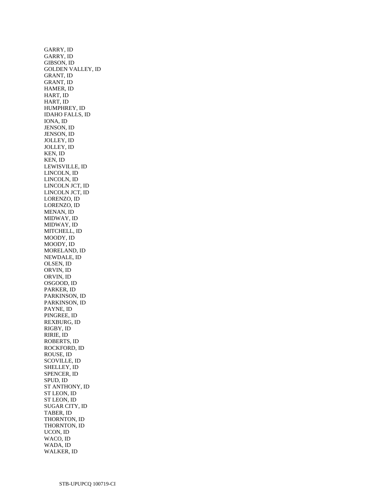GARRY, ID GARRY, ID GIBSON, ID GOLDEN VALLEY, ID GRANT, ID GRANT, ID HAMER, ID HART, ID HART, ID HUMPHREY, ID IDAHO FALLS, ID IONA, ID JENSON, ID JENSON, ID JOLLEY, ID JOLLEY, ID KEN, ID KEN, ID LEWISVILLE, ID LINCOLN, ID LINCOLN, ID LINCOLN JCT, ID LINCOLN JCT, ID LORENZO, ID LORENZO, ID MENAN, ID MIDWAY, ID MIDWAY, ID MITCHELL, ID MOODY, ID MOODY, ID MORELAND, ID NEWDALE, ID OLSEN, ID ORVIN, ID ORVIN, ID OSGOOD, ID PARKER, ID PARKINSON, ID PARKINSON, ID PAYNE, ID PINGREE, ID REXBURG, ID RIGBY, ID RIRIE, ID ROBERTS, ID ROCKFORD, ID ROUSE, ID SCOVILLE, ID SHELLEY, ID SPENCER, ID SPUD, ID ST ANTHONY, ID ST LEON, ID ST LEON, ID SUGAR CITY, ID TABER, ID THORNTON, ID THORNTON, ID UCON, ID WACO, ID WADA, ID WALKER, ID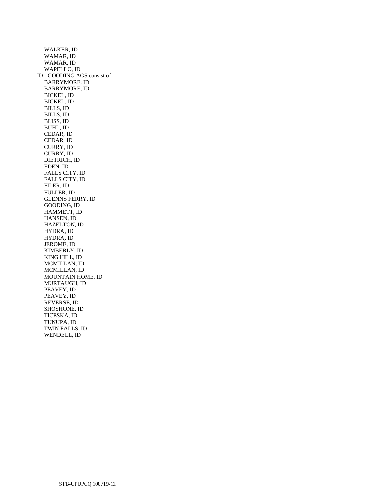WALKER, ID WAMAR, ID WAMAR, ID WAPELLO, ID ID - GOODING AGS consist of: BARRYMORE, ID BARRYMORE, ID BICKEL, ID BICKEL, ID BILLS, ID BILLS, ID BLISS, ID BUHL, ID CEDAR, ID CEDAR, ID CURRY, ID CURRY, ID DIETRICH, ID EDEN, ID FALLS CITY, ID FALLS CITY, ID FILER, ID FULLER, ID GLENNS FERRY, ID GOODING, ID HAMMETT, ID HANSEN, ID HAZELTON, ID HYDRA, ID HYDRA, ID JEROME, ID KIMBERLY, ID KING HILL, ID MCMILLAN, ID MCMILLAN, ID MOUNTAIN HOME, ID MURTAUGH, ID PEAVEY, ID PEAVEY, ID REVERSE, ID SHOSHONE, ID TICESKA, ID TUNUPA, ID TWIN FALLS, ID WENDELL, ID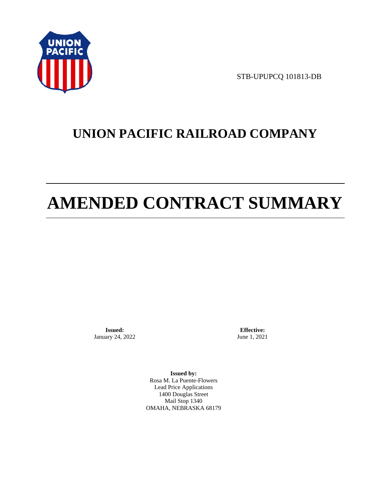

STB-UPUPCQ 101813-DB

# **UNION PACIFIC RAILROAD COMPANY**

# **AMENDED CONTRACT SUMMARY**

**Issued:**  January 24, 2022

**Effective:** June 1, 2021

**Issued by:**  Rosa M. La Puente-Flowers Lead Price Applications 1400 Douglas Street Mail Stop 1340 OMAHA, NEBRASKA 68179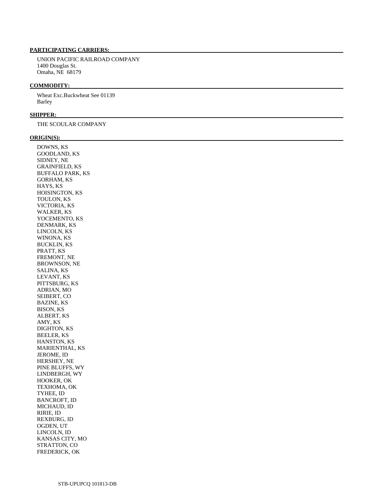# **PARTICIPATING CARRIERS:**

 UNION PACIFIC RAILROAD COMPANY 1400 Douglas St. Omaha, NE 68179

#### **COMMODITY:**

 Wheat Exc.Buckwheat See 01139 Barley

#### **SHIPPER:**

THE SCOULAR COMPANY

#### **ORIGIN(S):**

 DOWNS, KS GOODLAND, KS SIDNEY, NE GRAINFIELD, KS BUFFALO PARK, KS GORHAM, KS HAYS, KS HOISINGTON, KS TOULON, KS VICTORIA, KS WALKER, KS YOCEMENTO, KS DENMARK, KS LINCOLN, KS WINONA, KS BUCKLIN, KS PRATT, KS FREMONT, NE BROWNSON, NE SALINA, KS LEVANT, KS PITTSBURG, KS ADRIAN, MO SEIBERT, CO BAZINE, KS BISON, KS ALBERT, KS AMY, KS DIGHTON, KS BEELER, KS HANSTON, KS MARIENTHAL, KS JEROME, ID HERSHEY, NE PINE BLUFFS, WY LINDBERGH, WY HOOKER, OK TEXHOMA, OK TYHEE, ID BANCROFT, ID MICHAUD, ID RIRIE, ID REXBURG, ID OGDEN, UT LINCOLN, ID KANSAS CITY, MO STRATTON, CO FREDERICK, OK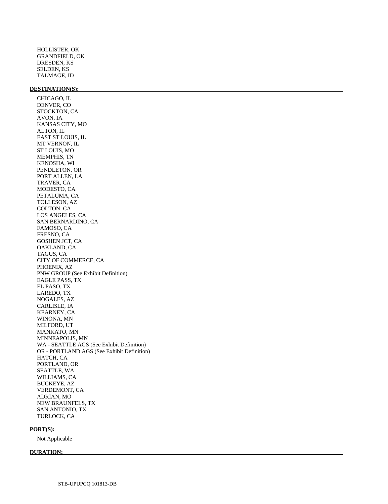HOLLISTER, OK GRANDFIELD, OK DRESDEN, KS SELDEN, KS TALMAGE, ID

#### **DESTINATION(S):**

 CHICAGO, IL DENVER, CO STOCKTON, CA AVON, IA KANSAS CITY, MO ALTON, IL EAST ST LOUIS, IL MT VERNON, IL ST LOUIS, MO MEMPHIS, TN KENOSHA, WI PENDLETON, OR PORT ALLEN, LA TRAVER, CA MODESTO, CA PETALUMA, CA TOLLESON, AZ COLTON, CA LOS ANGELES, CA SAN BERNARDINO, CA FAMOSO, CA FRESNO, CA GOSHEN JCT, CA OAKLAND, CA TAGUS, CA CITY OF COMMERCE, CA PHOENIX, AZ PNW GROUP (See Exhibit Definition) EAGLE PASS, TX EL PASO, TX LAREDO, TX NOGALES, AZ CARLISLE, IA KEARNEY, CA WINONA, MN MILFORD, UT MANKATO, MN MINNEAPOLIS, MN WA - SEATTLE AGS (See Exhibit Definition) OR - PORTLAND AGS (See Exhibit Definition) HATCH, CA PORTLAND, OR SEATTLE, WA WILLIAMS, CA BUCKEYE, AZ VERDEMONT, CA ADRIAN, MO NEW BRAUNFELS, TX SAN ANTONIO, TX

#### **PORT(S):**

Not Applicable

TURLOCK, CA

#### **DURATION:**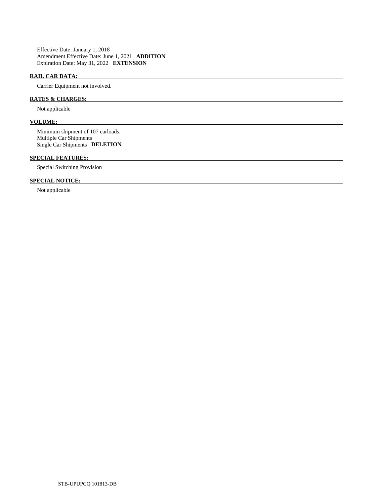Effective Date: January 1, 2018 Amendment Effective Date: June 1, 2021 **ADDITION**  Expiration Date: May 31, 2022 **EXTENSION** 

# **RAIL CAR DATA:**

Carrier Equipment not involved.

# **RATES & CHARGES:**

Not applicable

# **VOLUME:**

 Minimum shipment of 107 carloads. Multiple Car Shipments Single Car Shipments **DELETION** 

# **SPECIAL FEATURES:**

Special Switching Provision

# **SPECIAL NOTICE:**

Not applicable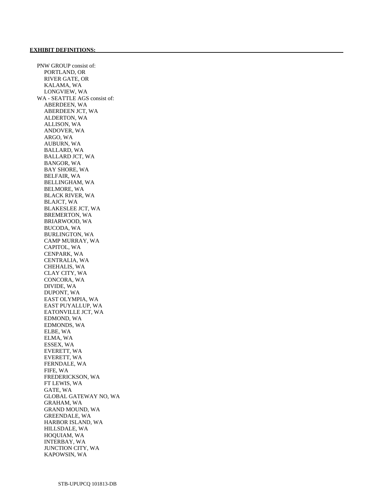PNW GROUP consist of: PORTLAND, OR RIVER GATE, OR KALAMA, WA LONGVIEW, WA WA - SEATTLE AGS consist of: ABERDEEN, WA ABERDEEN JCT, WA ALDERTON, WA ALLISON, WA ANDOVER, WA ARGO, WA AUBURN, WA BALLARD, WA BALLARD JCT, WA BANGOR, WA BAY SHORE, WA BELFAIR, WA BELLINGHAM, WA BELMORE, WA BLACK RIVER, WA BLAJCT, WA BLAKESLEE JCT, WA BREMERTON, WA BRIARWOOD, WA BUCODA, WA BURLINGTON, WA CAMP MURRAY, WA CAPITOL, WA CENPARK, WA CENTRALIA, WA CHEHALIS, WA CLAY CITY, WA CONCORA, WA DIVIDE, WA DUPONT, WA EAST OLYMPIA, WA EAST PUYALLUP, WA EATONVILLE JCT, WA EDMOND, WA EDMONDS, WA ELBE, WA ELMA, WA ESSEX, WA EVERETT, WA EVERETT, WA FERNDALE, WA FIFE, WA FREDERICKSON, WA FT LEWIS, WA GATE, WA GLOBAL GATEWAY NO, WA GRAHAM, WA GRAND MOUND, WA GREENDALE, WA HARBOR ISLAND, WA HILLSDALE, WA HOQUIAM, WA INTERBAY, WA JUNCTION CITY, WA KAPOWSIN, WA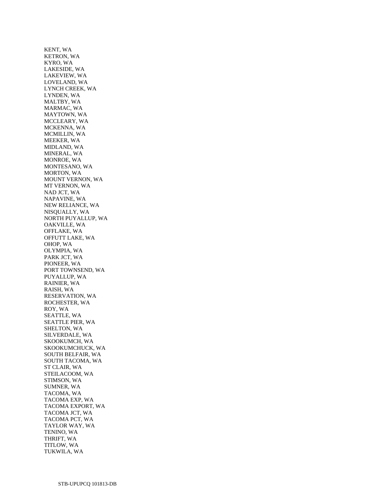KENT, WA KETRON, WA KYRO, WA LAKESIDE, WA LAKEVIEW, WA LOVELAND, WA LYNCH CREEK, WA LYNDEN, WA MALTBY, WA MARMAC, WA MAYTOWN, WA MCCLEARY, WA MCKENNA, WA MCMILLIN, WA MEEKER, WA MIDLAND, WA MINERAL, WA MONROE, WA MONTESANO, WA MORTON, WA MOUNT VERNON, WA MT VERNON, WA NAD JCT, WA NAPAVINE, WA NEW RELIANCE, WA NISQUALLY, WA NORTH PUYALLUP, WA OAKVILLE, WA OFFLAKE, WA OFFUTT LAKE, WA OHOP, WA OLYMPIA, WA PARK JCT, WA PIONEER, WA PORT TOWNSEND, WA PUYALLUP, WA RAINIER, WA RAISH, WA RESERVATION, WA ROCHESTER, WA ROY, WA SEATTLE, WA SEATTLE PIER, WA SHELTON, WA SILVERDALE, WA SKOOKUMCH, WA SKOOKUMCHUCK, WA SOUTH BELFAIR, WA SOUTH TACOMA, WA ST CLAIR, WA STEILACOOM, WA STIMSON, WA SUMNER, WA TACOMA, WA TACOMA EXP, WA TACOMA EXPORT, WA TACOMA JCT, WA TACOMA PCT, WA TAYLOR WAY, WA TENINO, WA THRIFT, WA TITLOW, WA TUKWILA, WA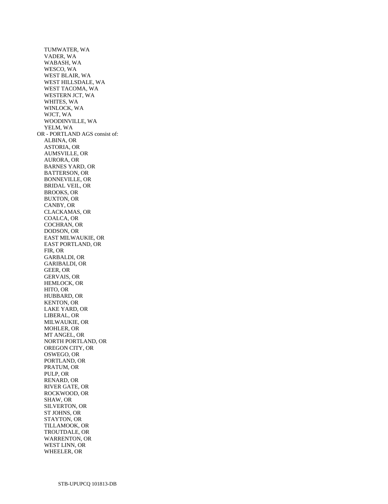TUMWATER, WA VADER, WA WABASH, WA WESCO, WA WEST BLAIR, WA WEST HILLSDALE, WA WEST TACOMA, WA WESTERN JCT, WA WHITES, WA WINLOCK, WA WJCT, WA WOODINVILLE, WA YELM, WA OR - PORTLAND AGS consist of: ALBINA, OR ASTORIA, OR AUMSVILLE, OR AURORA, OR BARNES YARD, OR BATTERSON, OR BONNEVILLE, OR BRIDAL VEIL, OR BROOKS, OR BUXTON, OR CANBY, OR CLACKAMAS, OR COALCA, OR COCHRAN, OR DODSON, OR EAST MILWAUKIE, OR EAST PORTLAND, OR FIR, OR GARBALDI, OR GARIBALDI, OR GEER, OR GERVAIS, OR HEMLOCK, OR HITO, OR HUBBARD, OR KENTON, OR LAKE YARD, OR LIBERAL, OR MILWAUKIE, OR MOHLER, OR MT ANGEL, OR NORTH PORTLAND, OR OREGON CITY, OR OSWEGO, OR PORTLAND, OR PRATUM, OR PULP, OR RENARD, OR RIVER GATE, OR ROCKWOOD, OR SHAW, OR SILVERTON, OR ST JOHNS, OR STAYTON, OR TILLAMOOK, OR TROUTDALE, OR WARRENTON, OR WEST LINN, OR WHEELER, OR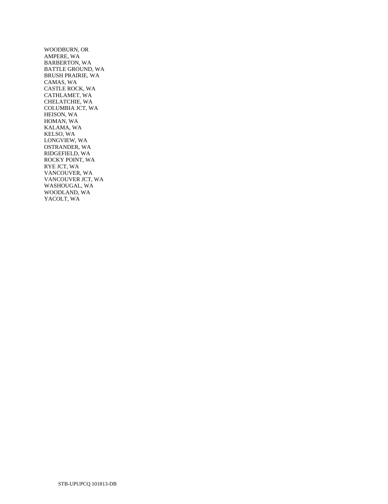WOODBURN, OR AMPERE, WA BARBERTON, WA BATTLE GROUND, WA BRUSH PRAIRIE, WA CAMAS, WA CASTLE ROCK, WA CATHLAMET, WA CHELATCHIE, WA COLUMBIA JCT, WA HEISON, WA HOMAN, WA KALAMA, WA KELSO, WA LONGVIEW, WA OSTRANDER, WA RIDGEFIELD, WA ROCKY POINT, WA RYE JCT, WA VANCOUVER, WA VANCOUVER JCT, WA WASHOUGAL, WA WOODLAND, WA YACOLT, WA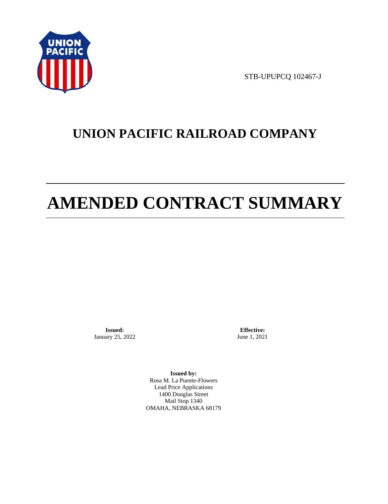

STB-UPUPCQ 102467-J

# **UNION PACIFIC RAILROAD COMPANY**

# **AMENDED CONTRACT SUMMARY**

**Issued:**  January 25, 2022

**Effective:** June 1, 2021

**Issued by:**  Rosa M. La Puente-Flowers Lead Price Applications 1400 Douglas Street Mail Stop 1340 OMAHA, NEBRASKA 68179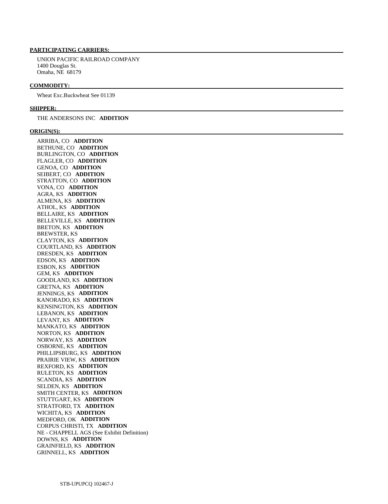# **PARTICIPATING CARRIERS:**

 UNION PACIFIC RAILROAD COMPANY 1400 Douglas St. Omaha, NE 68179

#### **COMMODITY:**

Wheat Exc.Buckwheat See 01139

#### **SHIPPER:**

#### THE ANDERSONS INC **ADDITION**

#### **ORIGIN(S):**

 ARRIBA, CO **ADDITION**  BETHUNE, CO **ADDITION**  BURLINGTON, CO **ADDITION**  FLAGLER, CO **ADDITION**  GENOA, CO **ADDITION**  SEIBERT, CO **ADDITION**  STRATTON, CO **ADDITION**  VONA, CO **ADDITION**  AGRA, KS **ADDITION**  ALMENA, KS **ADDITION**  ATHOL, KS **ADDITION**  BELLAIRE, KS **ADDITION**  BELLEVILLE, KS **ADDITION**  BRETON, KS **ADDITION**  BREWSTER, KS CLAYTON, KS **ADDITION**  COURTLAND, KS **ADDITION**  DRESDEN, KS **ADDITION**  EDSON, KS **ADDITION**  ESBON, KS **ADDITION**  GEM, KS **ADDITION**  GOODLAND, KS **ADDITION**  GRETNA, KS **ADDITION**  JENNINGS, KS **ADDITION**  KANORADO, KS **ADDITION**  KENSINGTON, KS **ADDITION**  LEBANON, KS **ADDITION**  LEVANT, KS **ADDITION**  MANKATO, KS **ADDITION**  NORTON, KS **ADDITION**  NORWAY, KS **ADDITION**  OSBORNE, KS **ADDITION**  PHILLIPSBURG, KS **ADDITION**  PRAIRIE VIEW, KS **ADDITION**  REXFORD, KS **ADDITION**  RULETON, KS **ADDITION**  SCANDIA, KS **ADDITION**  SELDEN, KS **ADDITION**  SMITH CENTER, KS **ADDITION**  STUTTGART, KS **ADDITION**  STRATFORD, TX **ADDITION**  WICHITA, KS **ADDITION**  MEDFORD, OK **ADDITION**  CORPUS CHRISTI, TX **ADDITION**  NE - CHAPPELL AGS (See Exhibit Definition) DOWNS, KS **ADDITION**  GRAINFIELD, KS **ADDITION**  GRINNELL, KS **ADDITION**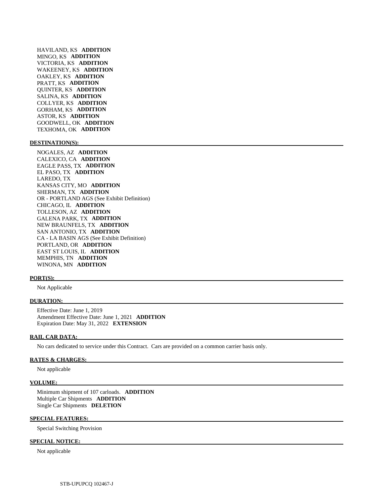HAVILAND, KS **ADDITION**  MINGO, KS **ADDITION**  VICTORIA, KS **ADDITION**  WAKEENEY, KS **ADDITION**  OAKLEY, KS **ADDITION**  PRATT, KS **ADDITION**  QUINTER, KS **ADDITION**  SALINA, KS **ADDITION**  COLLYER, KS **ADDITION**  GORHAM, KS **ADDITION**  ASTOR, KS **ADDITION**  GOODWELL, OK **ADDITION**  TEXHOMA, OK **ADDITION** 

#### **DESTINATION(S):**

 NOGALES, AZ **ADDITION**  CALEXICO, CA **ADDITION**  EAGLE PASS, TX **ADDITION**  EL PASO, TX **ADDITION**  LAREDO, TX KANSAS CITY, MO **ADDITION**  SHERMAN, TX **ADDITION**  OR - PORTLAND AGS (See Exhibit Definition) CHICAGO, IL **ADDITION**  TOLLESON, AZ **ADDITION**  GALENA PARK, TX **ADDITION**  NEW BRAUNFELS, TX **ADDITION**  SAN ANTONIO, TX **ADDITION**  CA - LA BASIN AGS (See Exhibit Definition) PORTLAND, OR **ADDITION**  EAST ST LOUIS, IL **ADDITION**  MEMPHIS, TN **ADDITION**  WINONA, MN **ADDITION** 

#### **PORT(S):**

Not Applicable

### **DURATION:**

 Effective Date: June 1, 2019 Amendment Effective Date: June 1, 2021 **ADDITION**  Expiration Date: May 31, 2022 **EXTENSION** 

#### **RAIL CAR DATA:**

No cars dedicated to service under this Contract. Cars are provided on a common carrier basis only.

#### **RATES & CHARGES:**

Not applicable

#### **VOLUME:**

 Minimum shipment of 107 carloads. **ADDITION**  Multiple Car Shipments **ADDITION**  Single Car Shipments **DELETION** 

#### **SPECIAL FEATURES:**

Special Switching Provision

#### **SPECIAL NOTICE:**

Not applicable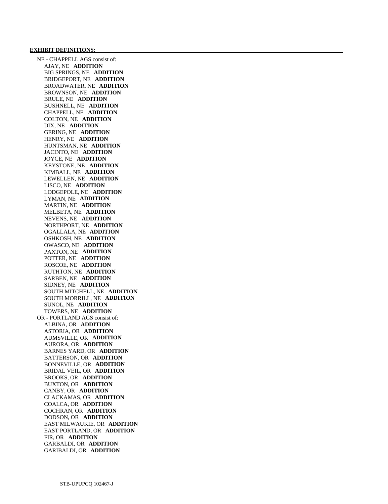#### **EXHIBIT DEFINITIONS:**

 NE - CHAPPELL AGS consist of: AJAY, NE **ADDITION**  BIG SPRINGS, NE **ADDITION**  BRIDGEPORT, NE **ADDITION**  BROADWATER, NE **ADDITION**  BROWNSON, NE **ADDITION**  BRULE, NE **ADDITION**  BUSHNELL, NE **ADDITION**  CHAPPELL, NE **ADDITION**  COLTON, NE **ADDITION**  DIX, NE **ADDITION**  GERING, NE **ADDITION**  HENRY, NE **ADDITION**  HUNTSMAN, NE **ADDITION**  JACINTO, NE **ADDITION**  JOYCE, NE **ADDITION**  KEYSTONE, NE **ADDITION**  KIMBALL, NE **ADDITION**  LEWELLEN, NE **ADDITION**  LISCO, NE **ADDITION**  LODGEPOLE, NE **ADDITION**  LYMAN, NE **ADDITION**  MARTIN, NE **ADDITION**  MELBETA, NE **ADDITION**  NEVENS, NE **ADDITION**  NORTHPORT, NE **ADDITION**  OGALLALA, NE **ADDITION**  OSHKOSH, NE **ADDITION**  OWASCO, NE **ADDITION**  PAXTON, NE **ADDITION**  POTTER, NE **ADDITION**  ROSCOE, NE **ADDITION**  RUTHTON, NE **ADDITION**  SARBEN, NE **ADDITION**  SIDNEY, NE **ADDITION**  SOUTH MITCHELL, NE **ADDITION**  SOUTH MORRILL, NE **ADDITION**  SUNOL, NE **ADDITION**  TOWERS, NE **ADDITION**  OR - PORTLAND AGS consist of: ALBINA, OR **ADDITION**  ASTORIA, OR **ADDITION**  AUMSVILLE, OR **ADDITION**  AURORA, OR **ADDITION**  BARNES YARD, OR **ADDITION**  BATTERSON, OR **ADDITION**  BONNEVILLE, OR **ADDITION**  BRIDAL VEIL, OR **ADDITION**  BROOKS, OR **ADDITION**  BUXTON, OR **ADDITION**  CANBY, OR **ADDITION**  CLACKAMAS, OR **ADDITION**  COALCA, OR **ADDITION**  COCHRAN, OR **ADDITION**  DODSON, OR **ADDITION**  EAST MILWAUKIE, OR **ADDITION**  EAST PORTLAND, OR **ADDITION**  FIR, OR **ADDITION**  GARBALDI, OR **ADDITION**  GARIBALDI, OR **ADDITION**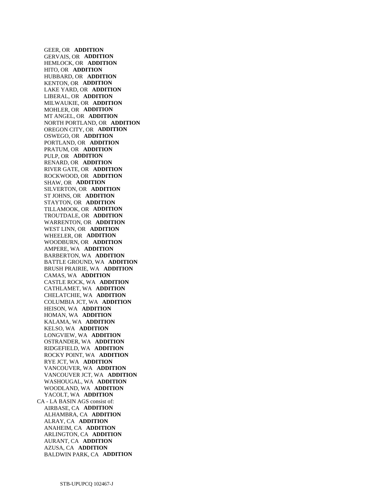GEER, OR **ADDITION**  GERVAIS, OR **ADDITION**  HEMLOCK, OR **ADDITION**  HITO, OR **ADDITION**  HUBBARD, OR **ADDITION**  KENTON, OR **ADDITION**  LAKE YARD, OR **ADDITION**  LIBERAL, OR **ADDITION**  MILWAUKIE, OR **ADDITION**  MOHLER, OR **ADDITION**  MT ANGEL, OR **ADDITION**  NORTH PORTLAND, OR **ADDITION**  OREGON CITY, OR **ADDITION**  OSWEGO, OR **ADDITION**  PORTLAND, OR **ADDITION**  PRATUM, OR **ADDITION**  PULP, OR **ADDITION**  RENARD, OR **ADDITION**  RIVER GATE, OR **ADDITION**  ROCKWOOD, OR **ADDITION**  SHAW, OR **ADDITION**  SILVERTON, OR **ADDITION**  ST JOHNS, OR **ADDITION**  STAYTON, OR **ADDITION**  TILLAMOOK, OR **ADDITION**  TROUTDALE, OR **ADDITION**  WARRENTON, OR **ADDITION**  WEST LINN, OR **ADDITION**  WHEELER, OR **ADDITION**  WOODBURN, OR **ADDITION**  AMPERE, WA **ADDITION**  BARBERTON, WA **ADDITION**  BATTLE GROUND, WA **ADDITION**  BRUSH PRAIRIE, WA **ADDITION**  CAMAS, WA **ADDITION**  CASTLE ROCK, WA **ADDITION**  CATHLAMET, WA **ADDITION**  CHELATCHIE, WA **ADDITION**  COLUMBIA JCT, WA **ADDITION**  HEISON, WA **ADDITION**  HOMAN, WA **ADDITION**  KALAMA, WA **ADDITION**  KELSO, WA **ADDITION**  LONGVIEW, WA **ADDITION**  OSTRANDER, WA **ADDITION**  RIDGEFIELD, WA **ADDITION**  ROCKY POINT, WA **ADDITION**  RYE JCT, WA **ADDITION**  VANCOUVER, WA **ADDITION**  VANCOUVER JCT, WA **ADDITION**  WASHOUGAL, WA **ADDITION**  WOODLAND, WA **ADDITION**  YACOLT, WA **ADDITION**  CA - LA BASIN AGS consist of: AIRBASE, CA **ADDITION**  ALHAMBRA, CA **ADDITION**  ALRAY, CA **ADDITION**  ANAHEIM, CA **ADDITION**  ARLINGTON, CA **ADDITION**  AURANT, CA **ADDITION**  AZUSA, CA **ADDITION**  BALDWIN PARK, CA **ADDITION**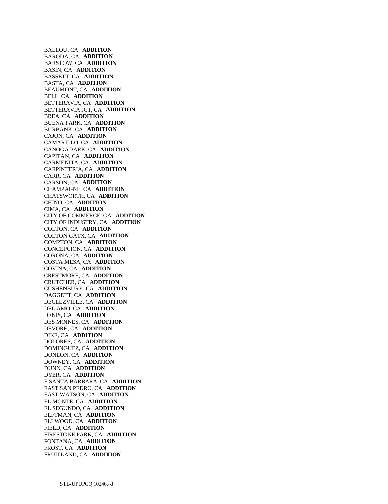BALLOU, CA **ADDITION**  BARODA, CA **ADDITION**  BARSTOW, CA **ADDITION**  BASIN, CA **ADDITION**  BASSETT, CA **ADDITION**  BASTA, CA **ADDITION**  BEAUMONT, CA **ADDITION**  BELL, CA **ADDITION**  BETTERAVIA, CA **ADDITION**  BETTERAVIA JCT, CA **ADDITION**  BREA, CA **ADDITION**  BUENA PARK, CA **ADDITION**  BURBANK, CA **ADDITION**  CAJON, CA **ADDITION**  CAMARILLO, CA **ADDITION**  CANOGA PARK, CA **ADDITION**  CAPITAN, CA **ADDITION**  CARMENITA, CA **ADDITION**  CARPINTERIA, CA **ADDITION**  CARR, CA **ADDITION**  CARSON, CA **ADDITION**  CHAMPAGNE, CA **ADDITION**  CHATSWORTH, CA **ADDITION**  CHINO, CA **ADDITION**  CIMA, CA **ADDITION**  CITY OF COMMERCE, CA **ADDITION**  CITY OF INDUSTRY, CA **ADDITION**  COLTON, CA **ADDITION**  COLTON GATX, CA **ADDITION**  COMPTON, CA **ADDITION**  CONCEPCION, CA **ADDITION**  CORONA, CA **ADDITION**  COSTA MESA, CA **ADDITION**  COVINA, CA **ADDITION**  CRESTMORE, CA **ADDITION**  CRUTCHER, CA **ADDITION**  CUSHENBURY, CA **ADDITION**  DAGGETT, CA **ADDITION**  DECLEZVILLE, CA **ADDITION**  DEL AMO, CA **ADDITION**  DENIS, CA **ADDITION**  DES MOINES, CA **ADDITION**  DEVORE, CA **ADDITION**  DIKE, CA **ADDITION**  DOLORES, CA **ADDITION**  DOMINGUEZ, CA **ADDITION**  DONLON, CA **ADDITION**  DOWNEY, CA **ADDITION**  DUNN, CA **ADDITION**  DYER, CA **ADDITION**  E SANTA BARBARA, CA **ADDITION**  EAST SAN PEDRO, CA **ADDITION**  EAST WATSON, CA **ADDITION**  EL MONTE, CA **ADDITION**  EL SEGUNDO, CA **ADDITION**  ELFTMAN, CA **ADDITION**  ELLWOOD, CA **ADDITION**  FIELD, CA **ADDITION**  FIRESTONE PARK, CA **ADDITION**  FONTANA, CA **ADDITION**  FROST, CA **ADDITION**  FRUITLAND, CA **ADDITION**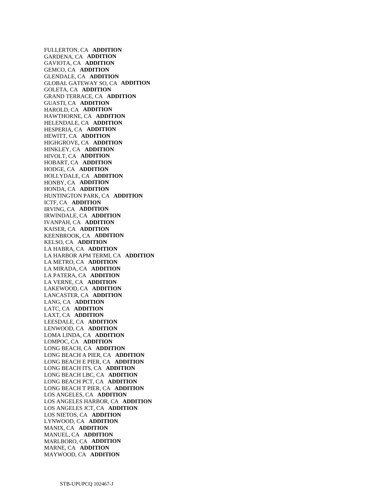FULLERTON, CA **ADDITION**  GARDENA, CA **ADDITION**  GAVIOTA, CA **ADDITION**  GEMCO, CA **ADDITION**  GLENDALE, CA **ADDITION**  GLOBAL GATEWAY SO, CA **ADDITION**  GOLETA, CA **ADDITION**  GRAND TERRACE, CA **ADDITION**  GUASTI, CA **ADDITION**  HAROLD, CA **ADDITION**  HAWTHORNE, CA **ADDITION**  HELENDALE, CA **ADDITION**  HESPERIA, CA **ADDITION**  HEWITT, CA **ADDITION**  HIGHGROVE, CA **ADDITION**  HINKLEY, CA **ADDITION**  HIVOLT, CA **ADDITION**  HOBART, CA **ADDITION**  HODGE, CA **ADDITION**  HOLLYDALE, CA **ADDITION**  HONBY, CA **ADDITION**  HONDA, CA **ADDITION**  HUNTINGTON PARK, CA **ADDITION**  ICTF, CA **ADDITION**  IRVING, CA **ADDITION**  IRWINDALE, CA **ADDITION**  IVANPAH, CA **ADDITION**  KAISER, CA **ADDITION**  KEENBROOK, CA **ADDITION**  KELSO, CA **ADDITION**  LA HABRA, CA **ADDITION**  LA HARBOR APM TERMI, CA **ADDITION**  LA METRO, CA **ADDITION**  LA MIRADA, CA **ADDITION**  LA PATERA, CA **ADDITION**  LA VERNE, CA **ADDITION**  LAKEWOOD, CA **ADDITION**  LANCASTER, CA **ADDITION**  LANG, CA **ADDITION**  LATC, CA **ADDITION**  LAXT, CA **ADDITION**  LEESDALE, CA **ADDITION**  LENWOOD, CA **ADDITION**  LOMA LINDA, CA **ADDITION**  LOMPOC, CA **ADDITION**  LONG BEACH, CA **ADDITION**  LONG BEACH A PIER, CA **ADDITION**  LONG BEACH E PIER, CA **ADDITION**  LONG BEACH ITS, CA **ADDITION**  LONG BEACH LBC, CA **ADDITION**  LONG BEACH PCT, CA **ADDITION**  LONG BEACH T PIER, CA **ADDITION**  LOS ANGELES, CA **ADDITION**  LOS ANGELES HARBOR, CA **ADDITION**  LOS ANGELES JCT, CA **ADDITION**  LOS NIETOS, CA **ADDITION**  LYNWOOD, CA **ADDITION**  MANIX, CA **ADDITION**  MANUEL, CA **ADDITION**  MARLBORO, CA **ADDITION**  MARNE, CA **ADDITION**  MAYWOOD, CA **ADDITION**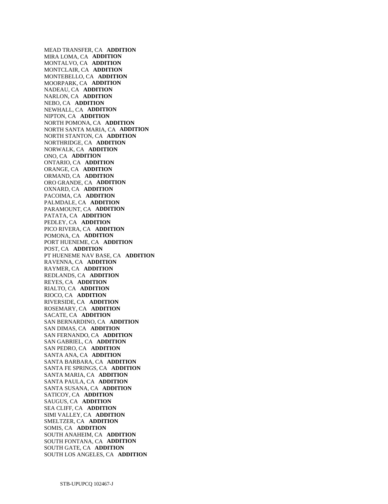MEAD TRANSFER, CA **ADDITION**  MIRA LOMA, CA **ADDITION**  MONTALVO, CA **ADDITION**  MONTCLAIR, CA **ADDITION**  MONTEBELLO, CA **ADDITION**  MOORPARK, CA **ADDITION**  NADEAU, CA **ADDITION**  NARLON, CA **ADDITION**  NEBO, CA **ADDITION**  NEWHALL, CA **ADDITION**  NIPTON, CA **ADDITION**  NORTH POMONA, CA **ADDITION**  NORTH SANTA MARIA, CA **ADDITION**  NORTH STANTON, CA **ADDITION**  NORTHRIDGE, CA **ADDITION**  NORWALK, CA **ADDITION**  ONO, CA **ADDITION**  ONTARIO, CA **ADDITION**  ORANGE, CA **ADDITION**  ORMAND, CA **ADDITION**  ORO GRANDE, CA **ADDITION**  OXNARD, CA **ADDITION**  PACOIMA, CA **ADDITION**  PALMDALE, CA **ADDITION**  PARAMOUNT, CA **ADDITION**  PATATA, CA **ADDITION**  PEDLEY, CA **ADDITION**  PICO RIVERA, CA **ADDITION**  POMONA, CA **ADDITION**  PORT HUENEME, CA **ADDITION**  POST, CA **ADDITION**  PT HUENEME NAV BASE, CA **ADDITION**  RAVENNA, CA **ADDITION**  RAYMER, CA **ADDITION**  REDLANDS, CA **ADDITION**  REYES, CA **ADDITION**  RIALTO, CA **ADDITION**  RIOCO, CA **ADDITION**  RIVERSIDE, CA **ADDITION**  ROSEMARY, CA **ADDITION**  SACATE, CA **ADDITION**  SAN BERNARDINO, CA **ADDITION**  SAN DIMAS, CA **ADDITION**  SAN FERNANDO, CA **ADDITION**  SAN GABRIEL, CA **ADDITION**  SAN PEDRO, CA **ADDITION**  SANTA ANA, CA **ADDITION**  SANTA BARBARA, CA **ADDITION**  SANTA FE SPRINGS, CA **ADDITION**  SANTA MARIA, CA **ADDITION**  SANTA PAULA, CA **ADDITION**  SANTA SUSANA, CA **ADDITION**  SATICOY, CA **ADDITION**  SAUGUS, CA **ADDITION**  SEA CLIFF, CA **ADDITION**  SIMI VALLEY, CA **ADDITION**  SMELTZER, CA **ADDITION**  SOMIS, CA **ADDITION**  SOUTH ANAHEIM, CA **ADDITION**  SOUTH FONTANA, CA **ADDITION**  SOUTH GATE, CA **ADDITION**  SOUTH LOS ANGELES, CA **ADDITION**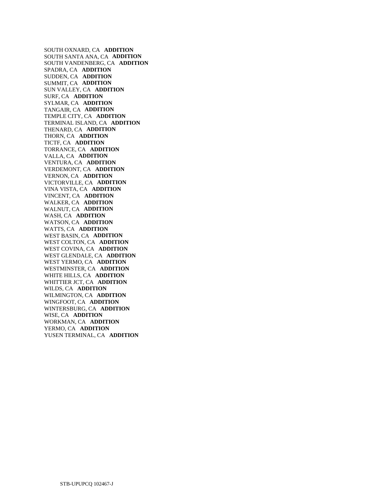SOUTH OXNARD, CA **ADDITION**  SOUTH SANTA ANA, CA **ADDITION**  SOUTH VANDENBERG, CA **ADDITION**  SPADRA, CA **ADDITION**  SUDDEN, CA **ADDITION**  SUMMIT, CA **ADDITION**  SUN VALLEY, CA **ADDITION**  SURF, CA **ADDITION**  SYLMAR, CA **ADDITION**  TANGAIR, CA **ADDITION**  TEMPLE CITY, CA **ADDITION**  TERMINAL ISLAND, CA **ADDITION**  THENARD, CA **ADDITION**  THORN, CA **ADDITION**  TICTF, CA **ADDITION**  TORRANCE, CA **ADDITION**  VALLA, CA **ADDITION**  VENTURA, CA **ADDITION**  VERDEMONT, CA **ADDITION**  VERNON, CA **ADDITION**  VICTORVILLE, CA **ADDITION**  VINA VISTA, CA **ADDITION**  VINCENT, CA **ADDITION**  WALKER, CA **ADDITION**  WALNUT, CA **ADDITION**  WASH, CA **ADDITION**  WATSON, CA **ADDITION**  WATTS, CA **ADDITION**  WEST BASIN, CA **ADDITION**  WEST COLTON, CA **ADDITION**  WEST COVINA, CA **ADDITION**  WEST GLENDALE, CA **ADDITION**  WEST YERMO, CA **ADDITION**  WESTMINSTER, CA **ADDITION**  WHITE HILLS, CA **ADDITION**  WHITTIER JCT, CA **ADDITION**  WILDS, CA **ADDITION**  WILMINGTON, CA **ADDITION**  WINGFOOT, CA **ADDITION**  WINTERSBURG, CA **ADDITION**  WISE, CA **ADDITION**  WORKMAN, CA **ADDITION**  YERMO, CA **ADDITION**  YUSEN TERMINAL, CA **ADDITION**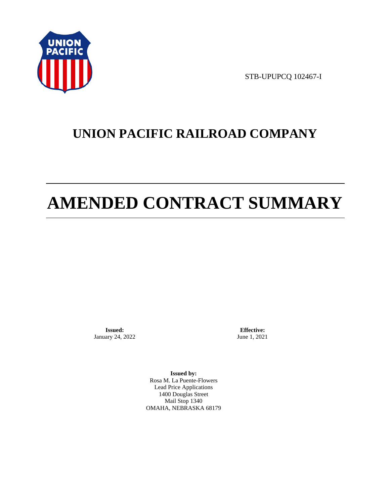

STB-UPUPCQ 102467-I

# **UNION PACIFIC RAILROAD COMPANY**

# **AMENDED CONTRACT SUMMARY**

**Issued:**  January 24, 2022

**Effective:** June 1, 2021

**Issued by:**  Rosa M. La Puente-Flowers Lead Price Applications 1400 Douglas Street Mail Stop 1340 OMAHA, NEBRASKA 68179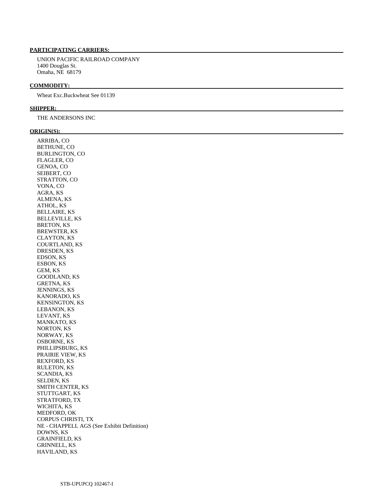# **PARTICIPATING CARRIERS:**

 UNION PACIFIC RAILROAD COMPANY 1400 Douglas St. Omaha, NE 68179

# **COMMODITY:**

Wheat Exc.Buckwheat See 01139

# **SHIPPER:**

THE ANDERSONS INC

# **ORIGIN(S):**

| ARRIBA, CO                                 |
|--------------------------------------------|
| BETHUNE, CO                                |
| BURLINGTON, CO                             |
| FLAGLER, CO                                |
| GENOA, CO                                  |
| SEIBERT, CO                                |
| STRATTON, CO                               |
| VONA, CO                                   |
| AGRA, KS                                   |
| ALMENA, KS                                 |
| ATHOL, KS                                  |
| <b>BELLAIRE, KS</b>                        |
| <b>BELLEVILLE, KS</b>                      |
| <b>BRETON, KS</b>                          |
| <b>BREWSTER, KS</b>                        |
| CLAYTON, KS                                |
| <b>COURTLAND, KS</b>                       |
|                                            |
| DRESDEN, KS                                |
| EDSON, KS                                  |
| ESBON, KS                                  |
| GEM, KS                                    |
| <b>GOODLAND, KS</b>                        |
| <b>GRETNA, KS</b>                          |
| <b>JENNINGS, KS</b>                        |
| KANORADO, KS                               |
| <b>KENSINGTON, KS</b>                      |
| LEBANON, KS                                |
| LEVANT, KS                                 |
| <b>MANKATO, KS</b>                         |
| NORTON, KS                                 |
| NORWAY, KS                                 |
| <b>OSBORNE, KS</b>                         |
| PHILLIPSBURG, KS                           |
| PRAIRIE VIEW, KS                           |
| <b>REXFORD, KS</b>                         |
| RULETON, KS                                |
| SCANDIA, KS                                |
| SELDEN, KS                                 |
| <b>SMITH CENTER, KS</b>                    |
| STUTTGART, KS                              |
| STRATFORD, TX                              |
| WICHITA, KS                                |
| MEDFORD, OK                                |
| <b>CORPUS CHRISTI, TX</b>                  |
| NE - CHAPPELL AGS (See Exhibit Definition) |
| DOWNS, KS                                  |
| <b>GRAINFIELD, KS</b>                      |
| <b>GRINNELL, KS</b>                        |
| <b>HAVILAND, KS</b>                        |
|                                            |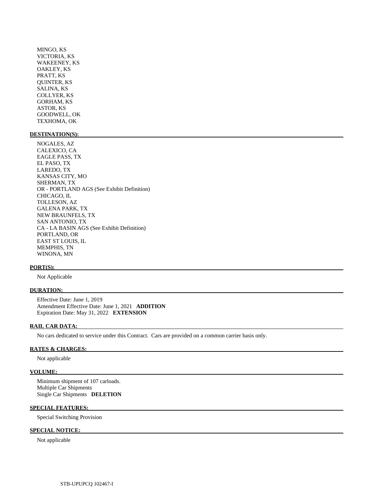MINGO, KS VICTORIA, KS WAKEENEY, KS OAKLEY, KS PRATT, KS QUINTER, KS SALINA, KS COLLYER, KS GORHAM, KS ASTOR, KS GOODWELL, OK TEXHOMA, OK

# **DESTINATION(S):**

 NOGALES, AZ CALEXICO, CA EAGLE PASS, TX EL PASO, TX LAREDO, TX KANSAS CITY, MO SHERMAN, TX OR - PORTLAND AGS (See Exhibit Definition) CHICAGO, IL TOLLESON, AZ GALENA PARK, TX NEW BRAUNFELS, TX SAN ANTONIO, TX CA - LA BASIN AGS (See Exhibit Definition) PORTLAND, OR EAST ST LOUIS, IL MEMPHIS, TN WINONA, MN

# **PORT(S):**

Not Applicable

# **DURATION:**

 Effective Date: June 1, 2019 Amendment Effective Date: June 1, 2021 **ADDITION**  Expiration Date: May 31, 2022 **EXTENSION** 

# **RAIL CAR DATA:**

No cars dedicated to service under this Contract. Cars are provided on a common carrier basis only.

## **RATES & CHARGES:**

Not applicable

# **VOLUME:**

 Minimum shipment of 107 carloads. Multiple Car Shipments Single Car Shipments **DELETION** 

# **SPECIAL FEATURES:**

Special Switching Provision

# **SPECIAL NOTICE:**

Not applicable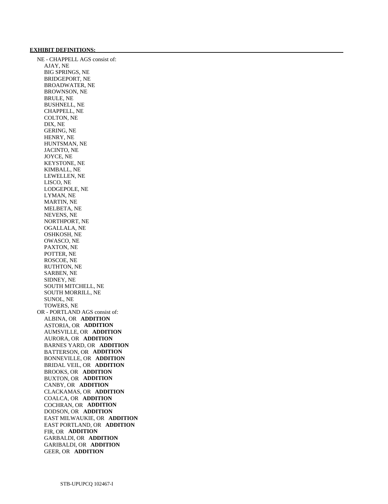# **EXHIBIT DEFINITIONS:**

 NE - CHAPPELL AGS consist of: AJAY, NE BIG SPRINGS, NE BRIDGEPORT, NE BROADWATER, NE BROWNSON, NE BRULE, NE BUSHNELL, NE CHAPPELL, NE COLTON, NE DIX, NE GERING, NE HENRY, NE HUNTSMAN, NE JACINTO, NE JOYCE, NE KEYSTONE, NE KIMBALL, NE LEWELLEN, NE LISCO, NE LODGEPOLE, NE LYMAN, NE MARTIN, NE MELBETA, NE NEVENS, NE NORTHPORT, NE OGALLALA, NE OSHKOSH, NE OWASCO, NE PAXTON, NE POTTER, NE ROSCOE, NE RUTHTON, NE SARBEN, NE SIDNEY, NE SOUTH MITCHELL, NE SOUTH MORRILL, NE SUNOL, NE TOWERS, NE OR - PORTLAND AGS consist of: ALBINA, OR **ADDITION**  ASTORIA, OR **ADDITION**  AUMSVILLE, OR **ADDITION**  AURORA, OR **ADDITION**  BARNES YARD, OR **ADDITION**  BATTERSON, OR **ADDITION**  BONNEVILLE, OR **ADDITION**  BRIDAL VEIL, OR **ADDITION**  BROOKS, OR **ADDITION**  BUXTON, OR **ADDITION**  CANBY, OR **ADDITION**  CLACKAMAS, OR **ADDITION**  COALCA, OR **ADDITION**  COCHRAN, OR **ADDITION**  DODSON, OR **ADDITION**  EAST MILWAUKIE, OR **ADDITION**  EAST PORTLAND, OR **ADDITION**  FIR, OR **ADDITION**  GARBALDI, OR **ADDITION**  GARIBALDI, OR **ADDITION**  GEER, OR **ADDITION**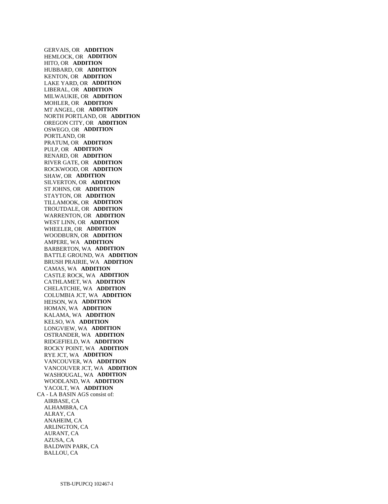GERVAIS, OR **ADDITION**  HEMLOCK, OR **ADDITION**  HITO, OR **ADDITION**  HUBBARD, OR **ADDITION**  KENTON, OR **ADDITION**  LAKE YARD, OR **ADDITION**  LIBERAL, OR **ADDITION**  MILWAUKIE, OR **ADDITION**  MOHLER, OR **ADDITION**  MT ANGEL, OR **ADDITION**  NORTH PORTLAND, OR **ADDITION**  OREGON CITY, OR **ADDITION**  OSWEGO, OR **ADDITION**  PORTLAND, OR PRATUM, OR **ADDITION**  PULP, OR **ADDITION**  RENARD, OR **ADDITION**  RIVER GATE, OR **ADDITION**  ROCKWOOD, OR **ADDITION**  SHAW, OR **ADDITION**  SILVERTON, OR **ADDITION**  ST JOHNS, OR **ADDITION**  STAYTON, OR **ADDITION**  TILLAMOOK, OR **ADDITION**  TROUTDALE, OR **ADDITION**  WARRENTON, OR **ADDITION**  WEST LINN, OR **ADDITION**  WHEELER, OR **ADDITION**  WOODBURN, OR **ADDITION**  AMPERE, WA **ADDITION**  BARBERTON, WA **ADDITION**  BATTLE GROUND, WA **ADDITION**  BRUSH PRAIRIE, WA **ADDITION**  CAMAS, WA **ADDITION**  CASTLE ROCK, WA **ADDITION**  CATHLAMET, WA **ADDITION**  CHELATCHIE, WA **ADDITION**  COLUMBIA JCT, WA **ADDITION**  HEISON, WA **ADDITION**  HOMAN, WA **ADDITION**  KALAMA, WA **ADDITION**  KELSO, WA **ADDITION**  LONGVIEW, WA **ADDITION**  OSTRANDER, WA **ADDITION**  RIDGEFIELD, WA **ADDITION**  ROCKY POINT, WA **ADDITION**  RYE JCT, WA **ADDITION**  VANCOUVER, WA **ADDITION**  VANCOUVER JCT, WA **ADDITION**  WASHOUGAL, WA **ADDITION**  WOODLAND, WA **ADDITION**  YACOLT, WA **ADDITION**  CA - LA BASIN AGS consist of: AIRBASE, CA ALHAMBRA, CA ALRAY, CA ANAHEIM, CA ARLINGTON, CA AURANT, CA AZUSA, CA BALDWIN PARK, CA BALLOU, CA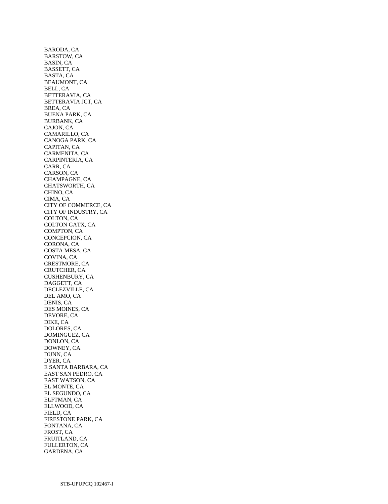BARODA, CA BARSTOW, CA BASIN, CA BASSETT, CA BASTA, CA BEAUMONT, CA BELL, CA BETTERAVIA, CA BETTERAVIA JCT, CA BREA, CA BUENA PARK, CA BURBANK, CA CAJON, CA CAMARILLO, CA CANOGA PARK, CA CAPITAN, CA CARMENITA, CA CARPINTERIA, CA CARR, CA CARSON, CA CHAMPAGNE, CA CHATSWORTH, CA CHINO, CA CIMA, CA CITY OF COMMERCE, CA CITY OF INDUSTRY, CA COLTON, CA COLTON GATX, CA COMPTON, CA CONCEPCION, CA CORONA, CA COSTA MESA, CA COVINA, CA CRESTMORE, CA CRUTCHER, CA CUSHENBURY, CA DAGGETT, CA DECLEZVILLE, CA DEL AMO, CA DENIS, CA DES MOINES, CA DEVORE, CA DIKE, CA DOLORES, CA DOMINGUEZ, CA DONLON, CA DOWNEY, CA DUNN, CA DYER, CA E SANTA BARBARA, CA EAST SAN PEDRO, CA EAST WATSON, CA EL MONTE, CA EL SEGUNDO, CA ELFTMAN, CA ELLWOOD, CA FIELD, CA FIRESTONE PARK, CA FONTANA, CA FROST, CA FRUITLAND, CA FULLERTON, CA GARDENA, CA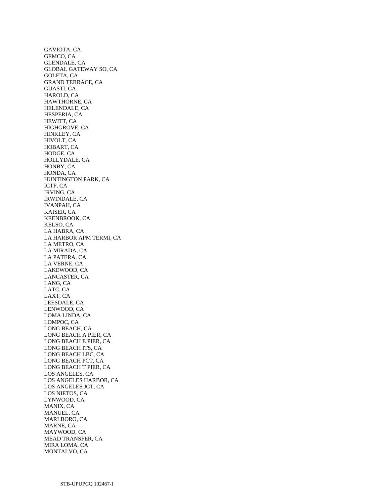GAVIOTA, CA GEMCO, CA GLENDALE, CA GLOBAL GATEWAY SO, CA GOLETA, CA GRAND TERRACE, CA GUASTI, CA HAROLD, CA HAWTHORNE, CA HELENDALE, CA HESPERIA, CA HEWITT, CA HIGHGROVE, CA HINKLEY, CA HIVOLT, CA HOBART, CA HODGE, CA HOLLYDALE, CA HONBY, CA HONDA, CA HUNTINGTON PARK, CA ICTF, CA IRVING, CA IRWINDALE, CA IVANPAH, CA KAISER, CA KEENBROOK, CA KELSO, CA LA HABRA, CA LA HARBOR APM TERMI, CA LA METRO, CA LA MIRADA, CA LA PATERA, CA LA VERNE, CA LAKEWOOD, CA LANCASTER, CA LANG, CA LATC, CA LAXT, CA LEESDALE, CA LENWOOD, CA LOMA LINDA, CA LOMPOC, CA LONG BEACH, CA LONG BEACH A PIER, CA LONG BEACH E PIER, CA LONG BEACH ITS, CA LONG BEACH LBC, CA LONG BEACH PCT, CA LONG BEACH T PIER, CA LOS ANGELES, CA LOS ANGELES HARBOR, CA LOS ANGELES JCT, CA LOS NIETOS, CA LYNWOOD, CA MANIX, CA MANUEL, CA MARLBORO, CA MARNE, CA MAYWOOD, CA MEAD TRANSFER, CA MIRA LOMA, CA MONTALVO, CA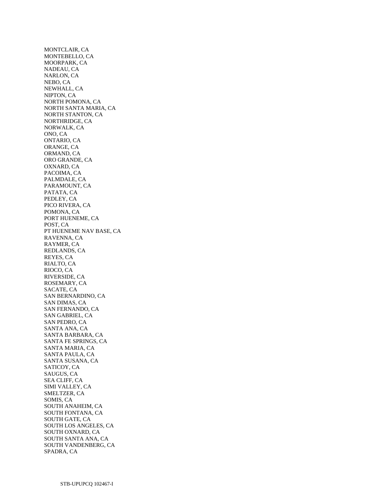MONTCLAIR, CA MONTEBELLO, CA MOORPARK, CA NADEAU, CA NARLON, CA NEBO, CA NEWHALL, CA NIPTON, CA NORTH POMONA, CA NORTH SANTA MARIA, CA NORTH STANTON, CA NORTHRIDGE, CA NORWALK, CA ONO, CA ONTARIO, CA ORANGE, CA ORMAND, CA ORO GRANDE, CA OXNARD, CA PACOIMA, CA PALMDALE, CA PARAMOUNT, CA PATATA, CA PEDLEY, CA PICO RIVERA, CA POMONA, CA PORT HUENEME, CA POST, CA PT HUENEME NAV BASE, CA RAVENNA, CA RAYMER, CA REDLANDS, CA REYES, CA RIALTO, CA RIOCO, CA RIVERSIDE, CA ROSEMARY, CA SACATE, CA SAN BERNARDINO, CA SAN DIMAS, CA SAN FERNANDO, CA SAN GABRIEL, CA SAN PEDRO, CA SANTA ANA, CA SANTA BARBARA, CA SANTA FE SPRINGS, CA SANTA MARIA, CA SANTA PAULA, CA SANTA SUSANA, CA SATICOY, CA SAUGUS, CA SEA CLIFF, CA SIMI VALLEY, CA SMELTZER, CA SOMIS, CA SOUTH ANAHEIM, CA SOUTH FONTANA, CA SOUTH GATE, CA SOUTH LOS ANGELES, CA SOUTH OXNARD, CA SOUTH SANTA ANA, CA SOUTH VANDENBERG, CA SPADRA, CA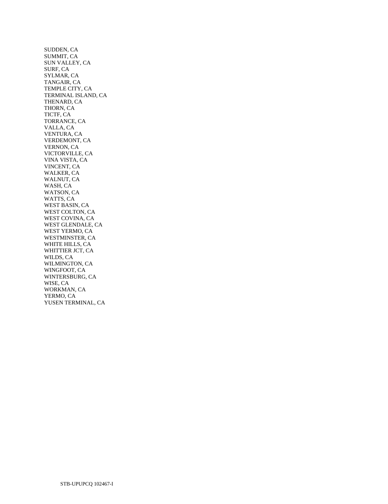SUDDEN, CA SUMMIT, CA SUN VALLEY, CA SURF, CA SYLMAR, CA TANGAIR, CA TEMPLE CITY, CA TERMINAL ISLAND, CA THENARD, CA THORN, CA TICTF, CA TORRANCE, CA VALLA, CA VENTURA, CA VERDEMONT, CA VERNON, CA VICTORVILLE, CA VINA VISTA, CA VINCENT, CA WALKER, CA WALNUT, CA WASH, CA WATSON, CA WATTS, CA WEST BASIN, CA WEST COLTON, CA WEST COVINA, CA WEST GLENDALE, CA WEST YERMO, CA WESTMINSTER, CA WHITE HILLS, CA WHITTIER JCT, CA WILDS, CA WILMINGTON, CA WINGFOOT, CA WINTERSBURG, CA WISE, CA WORKMAN, CA YERMO, CA YUSEN TERMINAL, CA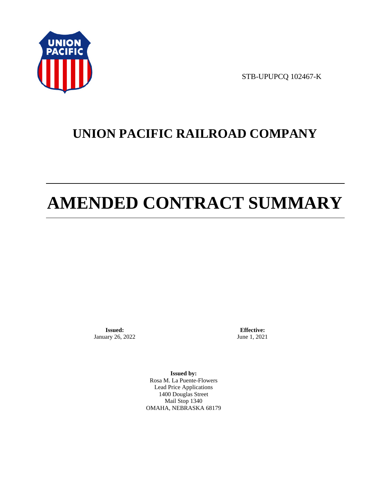

STB-UPUPCQ 102467-K

# **UNION PACIFIC RAILROAD COMPANY**

# **AMENDED CONTRACT SUMMARY**

**Issued:**  January 26, 2022

**Effective:** June 1, 2021

**Issued by:**  Rosa M. La Puente-Flowers Lead Price Applications 1400 Douglas Street Mail Stop 1340 OMAHA, NEBRASKA 68179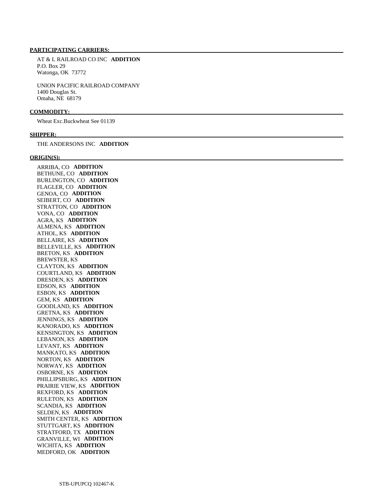## **PARTICIPATING CARRIERS:**

 AT & L RAILROAD CO INC **ADDITION**  P.O. Box 29 Watonga, OK 73772

 UNION PACIFIC RAILROAD COMPANY 1400 Douglas St. Omaha, NE 68179

#### **COMMODITY:**

Wheat Exc.Buckwheat See 01139

#### **SHIPPER:**

THE ANDERSONS INC **ADDITION** 

#### **ORIGIN(S):**

 ARRIBA, CO **ADDITION**  BETHUNE, CO **ADDITION**  BURLINGTON, CO **ADDITION**  FLAGLER, CO **ADDITION**  GENOA, CO **ADDITION**  SEIBERT, CO **ADDITION**  STRATTON, CO **ADDITION**  VONA, CO **ADDITION**  AGRA, KS **ADDITION**  ALMENA, KS **ADDITION**  ATHOL, KS **ADDITION**  BELLAIRE, KS **ADDITION**  BELLEVILLE, KS **ADDITION**  BRETON, KS **ADDITION**  BREWSTER, KS CLAYTON, KS **ADDITION**  COURTLAND, KS **ADDITION**  DRESDEN, KS **ADDITION**  EDSON, KS **ADDITION**  ESBON, KS **ADDITION**  GEM, KS **ADDITION**  GOODLAND, KS **ADDITION**  GRETNA, KS **ADDITION**  JENNINGS, KS **ADDITION**  KANORADO, KS **ADDITION**  KENSINGTON, KS **ADDITION**  LEBANON, KS **ADDITION**  LEVANT, KS **ADDITION**  MANKATO, KS **ADDITION**  NORTON, KS **ADDITION**  NORWAY, KS **ADDITION**  OSBORNE, KS **ADDITION**  PHILLIPSBURG, KS **ADDITION**  PRAIRIE VIEW, KS **ADDITION**  REXFORD, KS **ADDITION**  RULETON, KS **ADDITION**  SCANDIA, KS **ADDITION**  SELDEN, KS **ADDITION**  SMITH CENTER, KS **ADDITION**  STUTTGART, KS **ADDITION**  STRATFORD, TX **ADDITION**  GRANVILLE, WI **ADDITION**  WICHITA, KS **ADDITION**  MEDFORD, OK **ADDITION**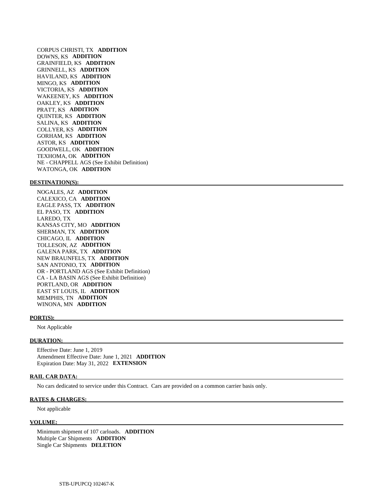CORPUS CHRISTI, TX **ADDITION**  DOWNS, KS **ADDITION**  GRAINFIELD, KS **ADDITION**  GRINNELL, KS **ADDITION**  HAVILAND, KS **ADDITION**  MINGO, KS **ADDITION**  VICTORIA, KS **ADDITION**  WAKEENEY, KS **ADDITION**  OAKLEY, KS **ADDITION**  PRATT, KS **ADDITION**  QUINTER, KS **ADDITION**  SALINA, KS **ADDITION**  COLLYER, KS **ADDITION**  GORHAM, KS **ADDITION**  ASTOR, KS **ADDITION**  GOODWELL, OK **ADDITION**  TEXHOMA, OK **ADDITION**  NE - CHAPPELL AGS (See Exhibit Definition) WATONGA, OK **ADDITION** 

#### **DESTINATION(S):**

 NOGALES, AZ **ADDITION**  CALEXICO, CA **ADDITION**  EAGLE PASS, TX **ADDITION**  EL PASO, TX **ADDITION**  LAREDO, TX KANSAS CITY, MO **ADDITION**  SHERMAN, TX **ADDITION**  CHICAGO, IL **ADDITION**  TOLLESON, AZ **ADDITION**  GALENA PARK, TX **ADDITION**  NEW BRAUNFELS, TX **ADDITION**  SAN ANTONIO, TX **ADDITION**  OR - PORTLAND AGS (See Exhibit Definition) CA - LA BASIN AGS (See Exhibit Definition) PORTLAND, OR **ADDITION**  EAST ST LOUIS, IL **ADDITION**  MEMPHIS, TN **ADDITION**  WINONA, MN **ADDITION** 

#### **PORT(S):**

Not Applicable

#### **DURATION:**

 Effective Date: June 1, 2019 Amendment Effective Date: June 1, 2021 **ADDITION**  Expiration Date: May 31, 2022 **EXTENSION** 

#### **RAIL CAR DATA:**

No cars dedicated to service under this Contract. Cars are provided on a common carrier basis only.

#### **RATES & CHARGES:**

Not applicable

# **VOLUME:**

 Minimum shipment of 107 carloads. **ADDITION**  Multiple Car Shipments **ADDITION**  Single Car Shipments **DELETION**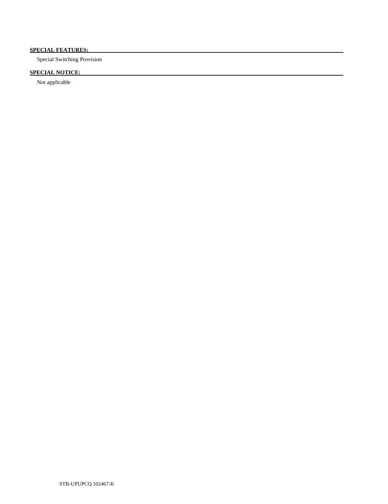# **SPECIAL FEATURES:**

Special Switching Provision

# **SPECIAL NOTICE:**

Not applicable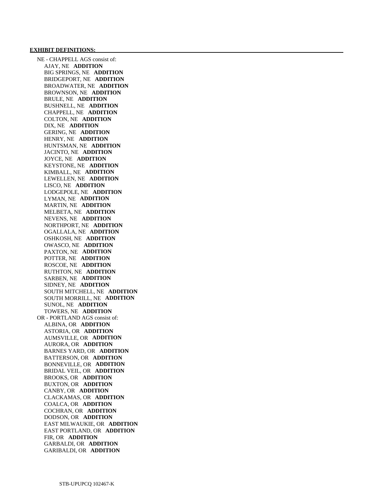#### **EXHIBIT DEFINITIONS:**

 NE - CHAPPELL AGS consist of: AJAY, NE **ADDITION**  BIG SPRINGS, NE **ADDITION**  BRIDGEPORT, NE **ADDITION**  BROADWATER, NE **ADDITION**  BROWNSON, NE **ADDITION**  BRULE, NE **ADDITION**  BUSHNELL, NE **ADDITION**  CHAPPELL, NE **ADDITION**  COLTON, NE **ADDITION**  DIX, NE **ADDITION**  GERING, NE **ADDITION**  HENRY, NE **ADDITION**  HUNTSMAN, NE **ADDITION**  JACINTO, NE **ADDITION**  JOYCE, NE **ADDITION**  KEYSTONE, NE **ADDITION**  KIMBALL, NE **ADDITION**  LEWELLEN, NE **ADDITION**  LISCO, NE **ADDITION**  LODGEPOLE, NE **ADDITION**  LYMAN, NE **ADDITION**  MARTIN, NE **ADDITION**  MELBETA, NE **ADDITION**  NEVENS, NE **ADDITION**  NORTHPORT, NE **ADDITION**  OGALLALA, NE **ADDITION**  OSHKOSH, NE **ADDITION**  OWASCO, NE **ADDITION**  PAXTON, NE **ADDITION**  POTTER, NE **ADDITION**  ROSCOE, NE **ADDITION**  RUTHTON, NE **ADDITION**  SARBEN, NE **ADDITION**  SIDNEY, NE **ADDITION**  SOUTH MITCHELL, NE **ADDITION**  SOUTH MORRILL, NE **ADDITION**  SUNOL, NE **ADDITION**  TOWERS, NE **ADDITION**  OR - PORTLAND AGS consist of: ALBINA, OR **ADDITION**  ASTORIA, OR **ADDITION**  AUMSVILLE, OR **ADDITION**  AURORA, OR **ADDITION**  BARNES YARD, OR **ADDITION**  BATTERSON, OR **ADDITION**  BONNEVILLE, OR **ADDITION**  BRIDAL VEIL, OR **ADDITION**  BROOKS, OR **ADDITION**  BUXTON, OR **ADDITION**  CANBY, OR **ADDITION**  CLACKAMAS, OR **ADDITION**  COALCA, OR **ADDITION**  COCHRAN, OR **ADDITION**  DODSON, OR **ADDITION**  EAST MILWAUKIE, OR **ADDITION**  EAST PORTLAND, OR **ADDITION**  FIR, OR **ADDITION**  GARBALDI, OR **ADDITION**  GARIBALDI, OR **ADDITION**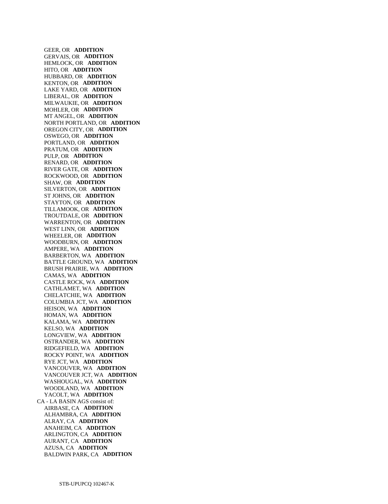GEER, OR **ADDITION**  GERVAIS, OR **ADDITION**  HEMLOCK, OR **ADDITION**  HITO, OR **ADDITION**  HUBBARD, OR **ADDITION**  KENTON, OR **ADDITION**  LAKE YARD, OR **ADDITION**  LIBERAL, OR **ADDITION**  MILWAUKIE, OR **ADDITION**  MOHLER, OR **ADDITION**  MT ANGEL, OR **ADDITION**  NORTH PORTLAND, OR **ADDITION**  OREGON CITY, OR **ADDITION**  OSWEGO, OR **ADDITION**  PORTLAND, OR **ADDITION**  PRATUM, OR **ADDITION**  PULP, OR **ADDITION**  RENARD, OR **ADDITION**  RIVER GATE, OR **ADDITION**  ROCKWOOD, OR **ADDITION**  SHAW, OR **ADDITION**  SILVERTON, OR **ADDITION**  ST JOHNS, OR **ADDITION**  STAYTON, OR **ADDITION**  TILLAMOOK, OR **ADDITION**  TROUTDALE, OR **ADDITION**  WARRENTON, OR **ADDITION**  WEST LINN, OR **ADDITION**  WHEELER, OR **ADDITION**  WOODBURN, OR **ADDITION**  AMPERE, WA **ADDITION**  BARBERTON, WA **ADDITION**  BATTLE GROUND, WA **ADDITION**  BRUSH PRAIRIE, WA **ADDITION**  CAMAS, WA **ADDITION**  CASTLE ROCK, WA **ADDITION**  CATHLAMET, WA **ADDITION**  CHELATCHIE, WA **ADDITION**  COLUMBIA JCT, WA **ADDITION**  HEISON, WA **ADDITION**  HOMAN, WA **ADDITION**  KALAMA, WA **ADDITION**  KELSO, WA **ADDITION**  LONGVIEW, WA **ADDITION**  OSTRANDER, WA **ADDITION**  RIDGEFIELD, WA **ADDITION**  ROCKY POINT, WA **ADDITION**  RYE JCT, WA **ADDITION**  VANCOUVER, WA **ADDITION**  VANCOUVER JCT, WA **ADDITION**  WASHOUGAL, WA **ADDITION**  WOODLAND, WA **ADDITION**  YACOLT, WA **ADDITION**  CA - LA BASIN AGS consist of: AIRBASE, CA **ADDITION**  ALHAMBRA, CA **ADDITION**  ALRAY, CA **ADDITION**  ANAHEIM, CA **ADDITION**  ARLINGTON, CA **ADDITION**  AURANT, CA **ADDITION**  AZUSA, CA **ADDITION**  BALDWIN PARK, CA **ADDITION**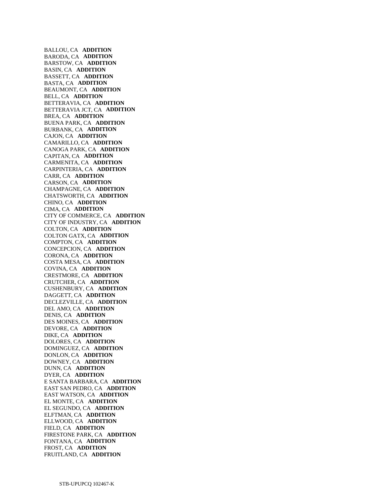BALLOU, CA **ADDITION**  BARODA, CA **ADDITION**  BARSTOW, CA **ADDITION**  BASIN, CA **ADDITION**  BASSETT, CA **ADDITION**  BASTA, CA **ADDITION**  BEAUMONT, CA **ADDITION**  BELL, CA **ADDITION**  BETTERAVIA, CA **ADDITION**  BETTERAVIA JCT, CA **ADDITION**  BREA, CA **ADDITION**  BUENA PARK, CA **ADDITION**  BURBANK, CA **ADDITION**  CAJON, CA **ADDITION**  CAMARILLO, CA **ADDITION**  CANOGA PARK, CA **ADDITION**  CAPITAN, CA **ADDITION**  CARMENITA, CA **ADDITION**  CARPINTERIA, CA **ADDITION**  CARR, CA **ADDITION**  CARSON, CA **ADDITION**  CHAMPAGNE, CA **ADDITION**  CHATSWORTH, CA **ADDITION**  CHINO, CA **ADDITION**  CIMA, CA **ADDITION**  CITY OF COMMERCE, CA **ADDITION**  CITY OF INDUSTRY, CA **ADDITION**  COLTON, CA **ADDITION**  COLTON GATX, CA **ADDITION**  COMPTON, CA **ADDITION**  CONCEPCION, CA **ADDITION**  CORONA, CA **ADDITION**  COSTA MESA, CA **ADDITION**  COVINA, CA **ADDITION**  CRESTMORE, CA **ADDITION**  CRUTCHER, CA **ADDITION**  CUSHENBURY, CA **ADDITION**  DAGGETT, CA **ADDITION**  DECLEZVILLE, CA **ADDITION**  DEL AMO, CA **ADDITION**  DENIS, CA **ADDITION**  DES MOINES, CA **ADDITION**  DEVORE, CA **ADDITION**  DIKE, CA **ADDITION**  DOLORES, CA **ADDITION**  DOMINGUEZ, CA **ADDITION**  DONLON, CA **ADDITION**  DOWNEY, CA **ADDITION**  DUNN, CA **ADDITION**  DYER, CA **ADDITION**  E SANTA BARBARA, CA **ADDITION**  EAST SAN PEDRO, CA **ADDITION**  EAST WATSON, CA **ADDITION**  EL MONTE, CA **ADDITION**  EL SEGUNDO, CA **ADDITION**  ELFTMAN, CA **ADDITION**  ELLWOOD, CA **ADDITION**  FIELD, CA **ADDITION**  FIRESTONE PARK, CA **ADDITION**  FONTANA, CA **ADDITION**  FROST, CA **ADDITION**  FRUITLAND, CA **ADDITION**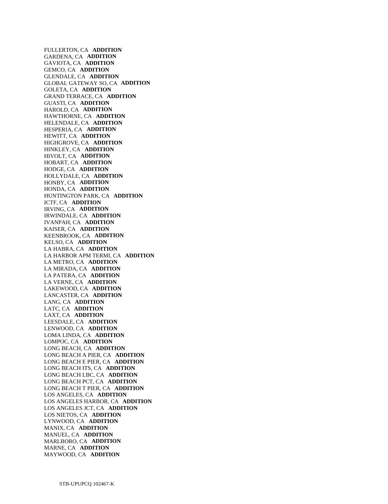FULLERTON, CA **ADDITION**  GARDENA, CA **ADDITION**  GAVIOTA, CA **ADDITION**  GEMCO, CA **ADDITION**  GLENDALE, CA **ADDITION**  GLOBAL GATEWAY SO, CA **ADDITION**  GOLETA, CA **ADDITION**  GRAND TERRACE, CA **ADDITION**  GUASTI, CA **ADDITION**  HAROLD, CA **ADDITION**  HAWTHORNE, CA **ADDITION**  HELENDALE, CA **ADDITION**  HESPERIA, CA **ADDITION**  HEWITT, CA **ADDITION**  HIGHGROVE, CA **ADDITION**  HINKLEY, CA **ADDITION**  HIVOLT, CA **ADDITION**  HOBART, CA **ADDITION**  HODGE, CA **ADDITION**  HOLLYDALE, CA **ADDITION**  HONBY, CA **ADDITION**  HONDA, CA **ADDITION**  HUNTINGTON PARK, CA **ADDITION**  ICTF, CA **ADDITION**  IRVING, CA **ADDITION**  IRWINDALE, CA **ADDITION**  IVANPAH, CA **ADDITION**  KAISER, CA **ADDITION**  KEENBROOK, CA **ADDITION**  KELSO, CA **ADDITION**  LA HABRA, CA **ADDITION**  LA HARBOR APM TERMI, CA **ADDITION**  LA METRO, CA **ADDITION**  LA MIRADA, CA **ADDITION**  LA PATERA, CA **ADDITION**  LA VERNE, CA **ADDITION**  LAKEWOOD, CA **ADDITION**  LANCASTER, CA **ADDITION**  LANG, CA **ADDITION**  LATC, CA **ADDITION**  LAXT, CA **ADDITION**  LEESDALE, CA **ADDITION**  LENWOOD, CA **ADDITION**  LOMA LINDA, CA **ADDITION**  LOMPOC, CA **ADDITION**  LONG BEACH, CA **ADDITION**  LONG BEACH A PIER, CA **ADDITION**  LONG BEACH E PIER, CA **ADDITION**  LONG BEACH ITS, CA **ADDITION**  LONG BEACH LBC, CA **ADDITION**  LONG BEACH PCT, CA **ADDITION**  LONG BEACH T PIER, CA **ADDITION**  LOS ANGELES, CA **ADDITION**  LOS ANGELES HARBOR, CA **ADDITION**  LOS ANGELES JCT, CA **ADDITION**  LOS NIETOS, CA **ADDITION**  LYNWOOD, CA **ADDITION**  MANIX, CA **ADDITION**  MANUEL, CA **ADDITION**  MARLBORO, CA **ADDITION**  MARNE, CA **ADDITION**  MAYWOOD, CA **ADDITION**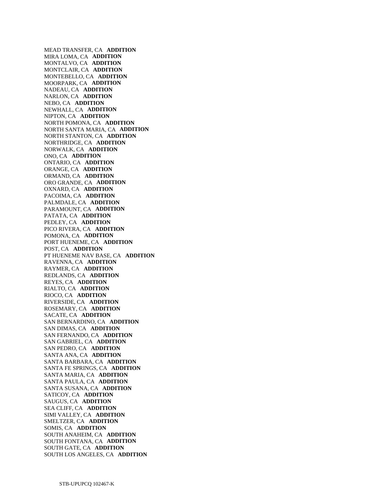MEAD TRANSFER, CA **ADDITION**  MIRA LOMA, CA **ADDITION**  MONTALVO, CA **ADDITION**  MONTCLAIR, CA **ADDITION**  MONTEBELLO, CA **ADDITION**  MOORPARK, CA **ADDITION**  NADEAU, CA **ADDITION**  NARLON, CA **ADDITION**  NEBO, CA **ADDITION**  NEWHALL, CA **ADDITION**  NIPTON, CA **ADDITION**  NORTH POMONA, CA **ADDITION**  NORTH SANTA MARIA, CA **ADDITION**  NORTH STANTON, CA **ADDITION**  NORTHRIDGE, CA **ADDITION**  NORWALK, CA **ADDITION**  ONO, CA **ADDITION**  ONTARIO, CA **ADDITION**  ORANGE, CA **ADDITION**  ORMAND, CA **ADDITION**  ORO GRANDE, CA **ADDITION**  OXNARD, CA **ADDITION**  PACOIMA, CA **ADDITION**  PALMDALE, CA **ADDITION**  PARAMOUNT, CA **ADDITION**  PATATA, CA **ADDITION**  PEDLEY, CA **ADDITION**  PICO RIVERA, CA **ADDITION**  POMONA, CA **ADDITION**  PORT HUENEME, CA **ADDITION**  POST, CA **ADDITION**  PT HUENEME NAV BASE, CA **ADDITION**  RAVENNA, CA **ADDITION**  RAYMER, CA **ADDITION**  REDLANDS, CA **ADDITION**  REYES, CA **ADDITION**  RIALTO, CA **ADDITION**  RIOCO, CA **ADDITION**  RIVERSIDE, CA **ADDITION**  ROSEMARY, CA **ADDITION**  SACATE, CA **ADDITION**  SAN BERNARDINO, CA **ADDITION**  SAN DIMAS, CA **ADDITION**  SAN FERNANDO, CA **ADDITION**  SAN GABRIEL, CA **ADDITION**  SAN PEDRO, CA **ADDITION**  SANTA ANA, CA **ADDITION**  SANTA BARBARA, CA **ADDITION**  SANTA FE SPRINGS, CA **ADDITION**  SANTA MARIA, CA **ADDITION**  SANTA PAULA, CA **ADDITION**  SANTA SUSANA, CA **ADDITION**  SATICOY, CA **ADDITION**  SAUGUS, CA **ADDITION**  SEA CLIFF, CA **ADDITION**  SIMI VALLEY, CA **ADDITION**  SMELTZER, CA **ADDITION**  SOMIS, CA **ADDITION**  SOUTH ANAHEIM, CA **ADDITION**  SOUTH FONTANA, CA **ADDITION**  SOUTH GATE, CA **ADDITION**  SOUTH LOS ANGELES, CA **ADDITION**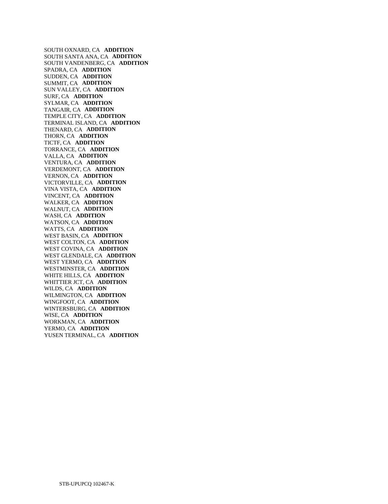SOUTH OXNARD, CA **ADDITION**  SOUTH SANTA ANA, CA **ADDITION**  SOUTH VANDENBERG, CA **ADDITION**  SPADRA, CA **ADDITION**  SUDDEN, CA **ADDITION**  SUMMIT, CA **ADDITION**  SUN VALLEY, CA **ADDITION**  SURF, CA **ADDITION**  SYLMAR, CA **ADDITION**  TANGAIR, CA **ADDITION**  TEMPLE CITY, CA **ADDITION**  TERMINAL ISLAND, CA **ADDITION**  THENARD, CA **ADDITION**  THORN, CA **ADDITION**  TICTF, CA **ADDITION**  TORRANCE, CA **ADDITION**  VALLA, CA **ADDITION**  VENTURA, CA **ADDITION**  VERDEMONT, CA **ADDITION**  VERNON, CA **ADDITION**  VICTORVILLE, CA **ADDITION**  VINA VISTA, CA **ADDITION**  VINCENT, CA **ADDITION**  WALKER, CA **ADDITION**  WALNUT, CA **ADDITION**  WASH, CA **ADDITION**  WATSON, CA **ADDITION**  WATTS, CA **ADDITION**  WEST BASIN, CA **ADDITION**  WEST COLTON, CA **ADDITION**  WEST COVINA, CA **ADDITION**  WEST GLENDALE, CA **ADDITION**  WEST YERMO, CA **ADDITION**  WESTMINSTER, CA **ADDITION**  WHITE HILLS, CA **ADDITION**  WHITTIER JCT, CA **ADDITION**  WILDS, CA **ADDITION**  WILMINGTON, CA **ADDITION**  WINGFOOT, CA **ADDITION**  WINTERSBURG, CA **ADDITION**  WISE, CA **ADDITION**  WORKMAN, CA **ADDITION**  YERMO, CA **ADDITION**  YUSEN TERMINAL, CA **ADDITION**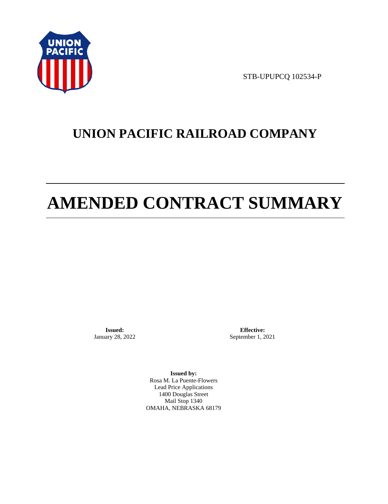

STB-UPUPCQ 102534-P

# **UNION PACIFIC RAILROAD COMPANY**

# **AMENDED CONTRACT SUMMARY**

**Issued:**  January 28, 2022

**Effective:** September 1, 2021

**Issued by:**  Rosa M. La Puente-Flowers Lead Price Applications 1400 Douglas Street Mail Stop 1340 OMAHA, NEBRASKA 68179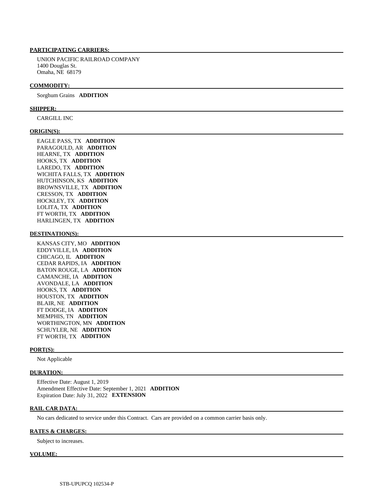# **PARTICIPATING CARRIERS:**

 UNION PACIFIC RAILROAD COMPANY 1400 Douglas St. Omaha, NE 68179

#### **COMMODITY:**

Sorghum Grains **ADDITION** 

#### **SHIPPER:**

CARGILL INC

## **ORIGIN(S):**

 EAGLE PASS, TX **ADDITION**  PARAGOULD, AR **ADDITION**  HEARNE, TX **ADDITION**  HOOKS, TX **ADDITION**  LAREDO, TX **ADDITION**  WICHITA FALLS, TX **ADDITION**  HUTCHINSON, KS **ADDITION**  BROWNSVILLE, TX **ADDITION**  CRESSON, TX **ADDITION**  HOCKLEY, TX **ADDITION**  LOLITA, TX **ADDITION**  FT WORTH, TX **ADDITION**  HARLINGEN, TX **ADDITION** 

# **DESTINATION(S):**

 KANSAS CITY, MO **ADDITION**  EDDYVILLE, IA **ADDITION**  CHICAGO, IL **ADDITION**  CEDAR RAPIDS, IA **ADDITION**  BATON ROUGE, LA **ADDITION**  CAMANCHE, IA **ADDITION**  AVONDALE, LA **ADDITION**  HOOKS, TX **ADDITION**  HOUSTON, TX **ADDITION**  BLAIR, NE **ADDITION**  FT DODGE, IA **ADDITION**  MEMPHIS, TN **ADDITION**  WORTHINGTON, MN **ADDITION**  SCHUYLER, NE **ADDITION**  FT WORTH, TX **ADDITION** 

#### **PORT(S):**

Not Applicable

#### **DURATION:**

 Effective Date: August 1, 2019 Amendment Effective Date: September 1, 2021 **ADDITION**  Expiration Date: July 31, 2022 **EXTENSION** 

#### **RAIL CAR DATA:**

No cars dedicated to service under this Contract. Cars are provided on a common carrier basis only.

## **RATES & CHARGES:**

Subject to increases.

#### **VOLUME:**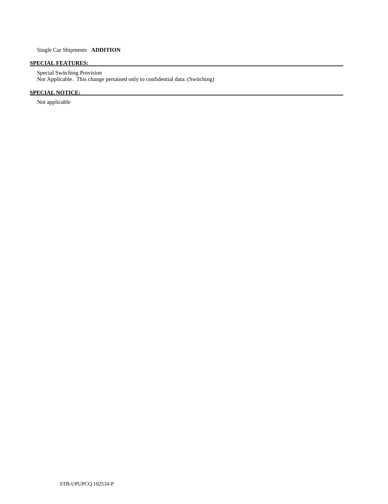# **SPECIAL FEATURES:**

 Special Switching Provision Not Applicable. This change pertained only to confidential data. (Switching)

# **SPECIAL NOTICE:**

Not applicable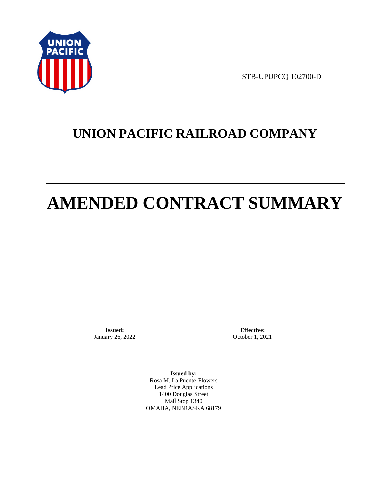

STB-UPUPCQ 102700-D

# **UNION PACIFIC RAILROAD COMPANY**

# **AMENDED CONTRACT SUMMARY**

**Issued:**  January 26, 2022

**Effective:** October 1, 2021

**Issued by:**  Rosa M. La Puente-Flowers Lead Price Applications 1400 Douglas Street Mail Stop 1340 OMAHA, NEBRASKA 68179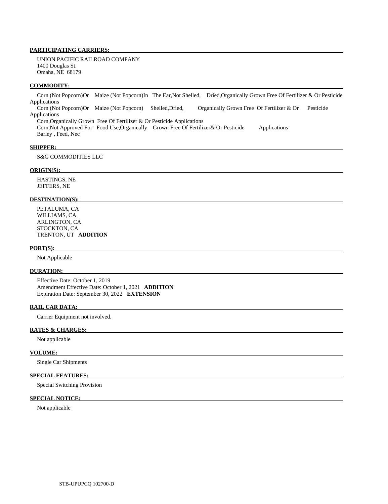# **PARTICIPATING CARRIERS:**

 UNION PACIFIC RAILROAD COMPANY 1400 Douglas St. Omaha, NE 68179

#### **COMMODITY:**

 Corn (Not Popcorn)Or Maize (Not Popcorn)In The Ear,Not Shelled, Dried,Organically Grown Free Of Fertilizer & Or Pesticide Applications Corn (Not Popcorn)Or Maize (Not Popcorn) Shelled,Dried, Organically Grown Free Of Fertilizer & Or Pesticide Applications Corn,Organically Grown Free Of Fertilizer & Or Pesticide Applications

 Corn,Not Approved For Food Use,Organically Grown Free Of Fertilizer& Or Pesticide Applications Barley , Feed, Nec

#### **SHIPPER:**

S&G COMMODITIES LLC

# **ORIGIN(S):**

 HASTINGS, NE JEFFERS, NE

#### **DESTINATION(S):**

 PETALUMA, CA WILLIAMS, CA ARLINGTON, CA STOCKTON, CA TRENTON, UT **ADDITION** 

#### **PORT(S):**

Not Applicable

### **DURATION:**

 Effective Date: October 1, 2019 Amendment Effective Date: October 1, 2021 **ADDITION**  Expiration Date: September 30, 2022 **EXTENSION** 

## **RAIL CAR DATA:**

Carrier Equipment not involved.

# **RATES & CHARGES:**

Not applicable

#### **VOLUME:**

Single Car Shipments

# **SPECIAL FEATURES:**

Special Switching Provision

# **SPECIAL NOTICE:**

Not applicable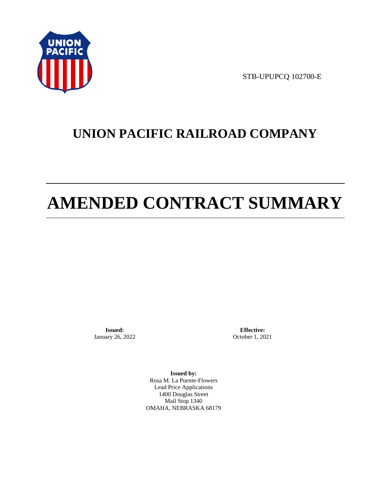

STB-UPUPCQ 102700-E

# **UNION PACIFIC RAILROAD COMPANY**

# **AMENDED CONTRACT SUMMARY**

**Issued:**  January 26, 2022

**Effective:** October 1, 2021

**Issued by:**  Rosa M. La Puente-Flowers Lead Price Applications 1400 Douglas Street Mail Stop 1340 OMAHA, NEBRASKA 68179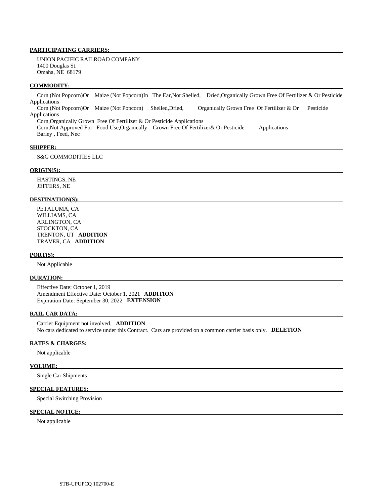# **PARTICIPATING CARRIERS:**

 UNION PACIFIC RAILROAD COMPANY 1400 Douglas St. Omaha, NE 68179

#### **COMMODITY:**

 Corn (Not Popcorn)Or Maize (Not Popcorn)In The Ear,Not Shelled, Dried,Organically Grown Free Of Fertilizer & Or Pesticide Applications Corn (Not Popcorn)Or Maize (Not Popcorn) Shelled,Dried, Organically Grown Free Of Fertilizer & Or Pesticide Applications

 Corn,Organically Grown Free Of Fertilizer & Or Pesticide Applications Corn,Not Approved For Food Use,Organically Grown Free Of Fertilizer& Or Pesticide Applications Barley , Feed, Nec

#### **SHIPPER:**

S&G COMMODITIES LLC

# **ORIGIN(S):**

 HASTINGS, NE JEFFERS, NE

#### **DESTINATION(S):**

 PETALUMA, CA WILLIAMS, CA ARLINGTON, CA STOCKTON, CA TRENTON, UT **ADDITION**  TRAVER, CA **ADDITION** 

#### **PORT(S):**

Not Applicable

# **DURATION:**

 Effective Date: October 1, 2019 Amendment Effective Date: October 1, 2021 **ADDITION**  Expiration Date: September 30, 2022 **EXTENSION** 

#### **RAIL CAR DATA:**

 Carrier Equipment not involved. **ADDITION**  No cars dedicated to service under this Contract. Cars are provided on a common carrier basis only. **DELETION** 

## **RATES & CHARGES:**

Not applicable

#### **VOLUME:**

Single Car Shipments

# **SPECIAL FEATURES:**

Special Switching Provision

# **SPECIAL NOTICE:**

Not applicable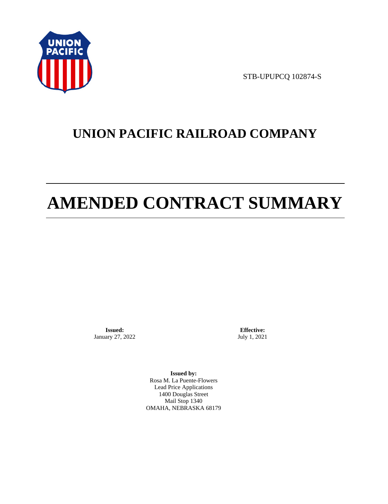

STB-UPUPCQ 102874-S

# **UNION PACIFIC RAILROAD COMPANY**

# **AMENDED CONTRACT SUMMARY**

**Issued:**  January 27, 2022

**Effective:** July 1, 2021

**Issued by:**  Rosa M. La Puente-Flowers Lead Price Applications 1400 Douglas Street Mail Stop 1340 OMAHA, NEBRASKA 68179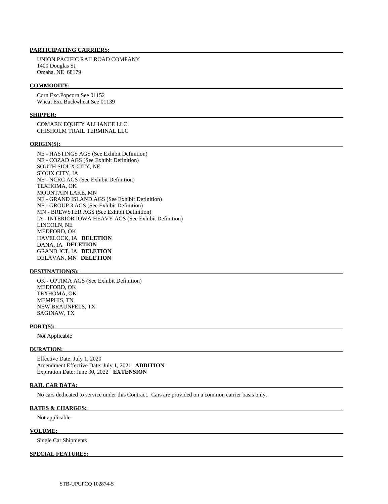# **PARTICIPATING CARRIERS:**

 UNION PACIFIC RAILROAD COMPANY 1400 Douglas St. Omaha, NE 68179

## **COMMODITY:**

 Corn Exc.Popcorn See 01152 Wheat Exc.Buckwheat See 01139

# **SHIPPER:**

 COMARK EQUITY ALLIANCE LLC CHISHOLM TRAIL TERMINAL LLC

#### **ORIGIN(S):**

 NE - HASTINGS AGS (See Exhibit Definition) NE - COZAD AGS (See Exhibit Definition) SOUTH SIOUX CITY, NE SIOUX CITY, IA NE - NCRC AGS (See Exhibit Definition) TEXHOMA, OK MOUNTAIN LAKE, MN NE - GRAND ISLAND AGS (See Exhibit Definition) NE - GROUP 3 AGS (See Exhibit Definition) MN - BREWSTER AGS (See Exhibit Definition) IA - INTERIOR IOWA HEAVY AGS (See Exhibit Definition) LINCOLN, NE MEDFORD, OK HAVELOCK, IA **DELETION**  DANA, IA **DELETION**  GRAND JCT, IA **DELETION**  DELAVAN, MN **DELETION** 

### **DESTINATION(S):**

 OK - OPTIMA AGS (See Exhibit Definition) MEDFORD, OK TEXHOMA, OK MEMPHIS, TN NEW BRAUNFELS, TX SAGINAW, TX

# **PORT(S):**

Not Applicable

#### **DURATION:**

 Effective Date: July 1, 2020 Amendment Effective Date: July 1, 2021 **ADDITION**  Expiration Date: June 30, 2022 **EXTENSION** 

# **RAIL CAR DATA:**

No cars dedicated to service under this Contract. Cars are provided on a common carrier basis only.

### **RATES & CHARGES:**

Not applicable

#### **VOLUME:**

Single Car Shipments

# **SPECIAL FEATURES:**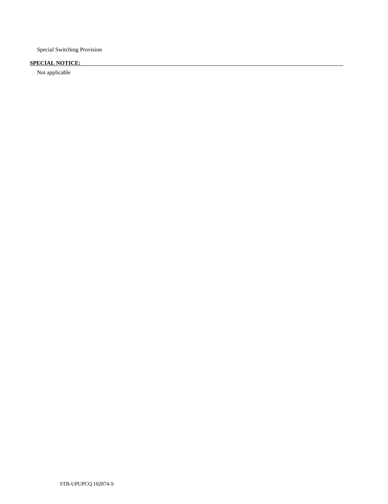Special Switching Provision

# **SPECIAL NOTICE:**

Not applicable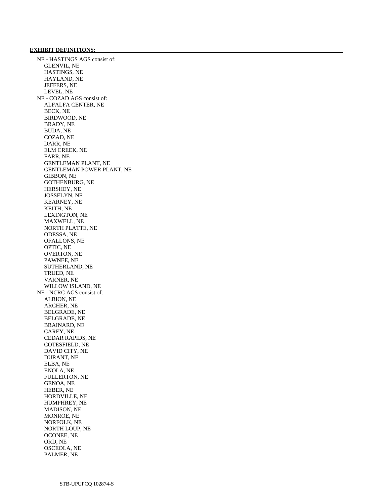# **EXHIBIT DEFINITIONS:**

 NE - HASTINGS AGS consist of: GLENVIL, NE HASTINGS, NE HAYLAND, NE JEFFERS, NE LEVEL, NE NE - COZAD AGS consist of: ALFALFA CENTER, NE BECK, NE BIRDWOOD, NE BRADY, NE BUDA, NE COZAD, NE DARR, NE ELM CREEK, NE FARR, NE GENTLEMAN PLANT, NE GENTLEMAN POWER PLANT, NE GIBBON, NE GOTHENBURG, NE HERSHEY, NE JOSSELYN, NE KEARNEY, NE KEITH, NE LEXINGTON, NE MAXWELL, NE NORTH PLATTE, NE ODESSA, NE OFALLONS, NE OPTIC, NE OVERTON, NE PAWNEE, NE SUTHERLAND, NE TRUED, NE VARNER, NE WILLOW ISLAND, NE NE - NCRC AGS consist of: ALBION, NE ARCHER, NE BELGRADE, NE BELGRADE, NE BRAINARD, NE CAREY, NE CEDAR RAPIDS, NE COTESFIELD, NE DAVID CITY, NE DURANT, NE ELBA, NE ENOLA, NE FULLERTON, NE GENOA, NE HEBER, NE HORDVILLE, NE HUMPHREY, NE MADISON, NE MONROE, NE NORFOLK, NE NORTH LOUP, NE OCONEE, NE ORD, NE OSCEOLA, NE PALMER, NE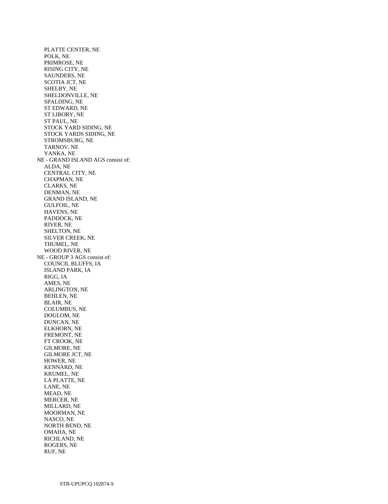PLATTE CENTER, NE POLK, NE PRIMROSE, NE RISING CITY, NE SAUNDERS, NE SCOTIA JCT, NE SHELBY, NE SHELDONVILLE, NE SPALDING, NE ST EDWARD, NE ST LIBORY, NE ST PAUL, NE STOCK YARD SIDING, NE STOCK YARDS SIDING, NE STROMSBURG, NE TARNOV, NE YANKA, NE NE - GRAND ISLAND AGS consist of: ALDA, NE CENTRAL CITY, NE CHAPMAN, NE CLARKS, NE DENMAN, NE GRAND ISLAND, NE GULFOIL, NE HAVENS, NE PADDOCK, NE RIVER, NE SHELTON, NE SILVER CREEK, NE THUMEL, NE WOOD RIVER, NE NE - GROUP 3 AGS consist of: COUNCIL BLUFFS, IA ISLAND PARK, IA RIGG, IA AMES, NE ARLINGTON, NE BEHLEN, NE BLAIR, NE COLUMBUS, NE DOULOM, NE DUNCAN, NE ELKHORN, NE FREMONT, NE FT CROOK, NE GILMORE, NE GILMORE JCT, NE HOWER, NE KENNARD, NE KRUMEL, NE LA PLATTE, NE LANE, NE MEAD, NE MERCER, NE MILLARD, NE MOORMAN, NE NASCO, NE NORTH BEND, NE OMAHA, NE RICHLAND, NE ROGERS, NE RUF, NE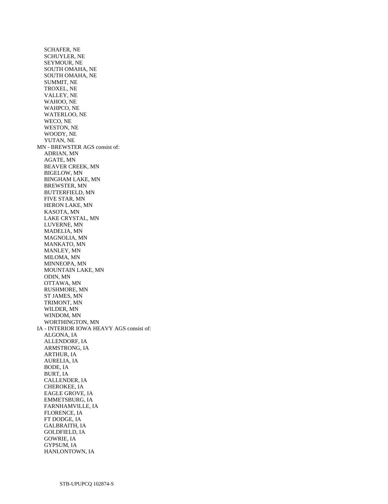SCHAFER, NE SCHUYLER, NE SEYMOUR, NE SOUTH OMAHA, NE SOUTH OMAHA, NE SUMMIT, NE TROXEL, NE VALLEY, NE WAHOO, NE WAHPCO, NE WATERLOO, NE WECO, NE WESTON, NE WOODY, NE YUTAN, NE MN - BREWSTER AGS consist of: ADRIAN, MN AGATE, MN BEAVER CREEK, MN BIGELOW, MN BINGHAM LAKE, MN BREWSTER, MN BUTTERFIELD, MN FIVE STAR, MN HERON LAKE, MN KASOTA, MN LAKE CRYSTAL, MN LUVERNE, MN MADELIA, MN MAGNOLIA, MN MANKATO, MN MANLEY, MN MILOMA, MN MINNEOPA, MN MOUNTAIN LAKE, MN ODIN, MN OTTAWA, MN RUSHMORE, MN ST JAMES, MN TRIMONT, MN WILDER, MN WINDOM, MN WORTHINGTON, MN IA - INTERIOR IOWA HEAVY AGS consist of: ALGONA, IA ALLENDORF, IA ARMSTRONG, IA ARTHUR, IA AURELIA, IA BODE, IA BURT, IA CALLENDER, IA CHEROKEE, IA EAGLE GROVE, IA EMMETSBURG, IA FARNHAMVILLE, IA FLORENCE, IA FT DODGE, IA GALBRAITH, IA GOLDFIELD, IA GOWRIE, IA GYPSUM, IA HANLONTOWN, IA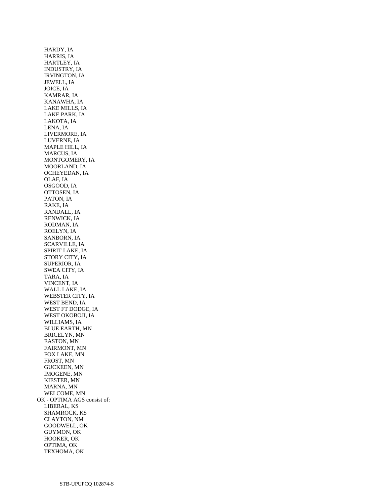HARDY, IA HARRIS, IA HARTLEY, IA INDUSTRY, IA IRVINGTON, IA JEWELL, IA JOICE, IA KAMRAR, IA KANAWHA, IA LAKE MILLS, IA LAKE PARK, IA LAKOTA, IA LENA, IA LIVERMORE, IA LUVERNE, IA MAPLE HILL, IA MARCUS, IA MONTGOMERY, IA MOORLAND, IA OCHEYEDAN, IA OLAF, IA OSGOOD, IA OTTOSEN, IA PATON, IA RAKE, IA RANDALL, IA RENWICK, IA RODMAN, IA ROELYN, IA SANBORN, IA SCARVILLE, IA SPIRIT LAKE, IA STORY CITY, IA SUPERIOR, IA SWEA CITY, IA TARA, IA VINCENT, IA WALL LAKE, IA WEBSTER CITY, IA WEST BEND, IA WEST FT DODGE, IA WEST OKOBOJI, IA WILLIAMS, IA BLUE EARTH, MN BRICELYN, MN EASTON, MN FAIRMONT, MN FOX LAKE, MN FROST, MN GUCKEEN, MN IMOGENE, MN KIESTER, MN MARNA, MN WELCOME, MN OK - OPTIMA AGS consist of: LIBERAL, KS SHAMROCK, KS CLAYTON, NM GOODWELL, OK GUYMON, OK HOOKER, OK OPTIMA, OK TEXHOMA, OK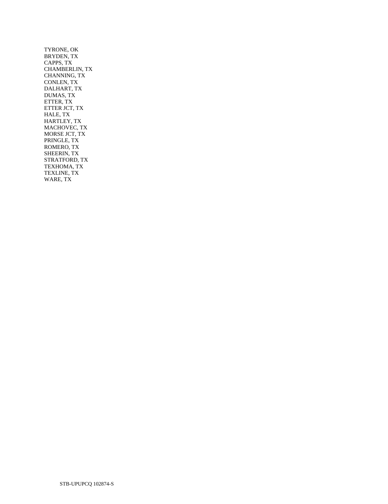TYRONE, OK BRYDEN, TX CAPPS, TX CHAMBERLIN, TX CHANNING, TX CONLEN, TX DALHART, TX DUMAS, TX ETTER, TX ETTER JCT, TX HALE, TX HARTLEY, TX MACHOVEC, TX MORSE JCT, TX PRINGLE, TX ROMERO, TX SHEERIN, TX STRATFORD, TX TEXHOMA, TX TEXLINE, TX WARE, TX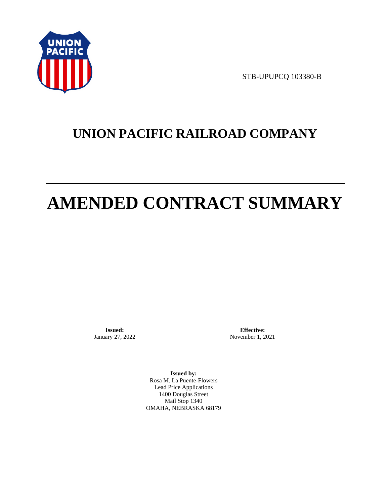

STB-UPUPCQ 103380-B

# **UNION PACIFIC RAILROAD COMPANY**

# **AMENDED CONTRACT SUMMARY**

**Issued:**  January 27, 2022

**Effective:** November 1, 2021

**Issued by:**  Rosa M. La Puente-Flowers Lead Price Applications 1400 Douglas Street Mail Stop 1340 OMAHA, NEBRASKA 68179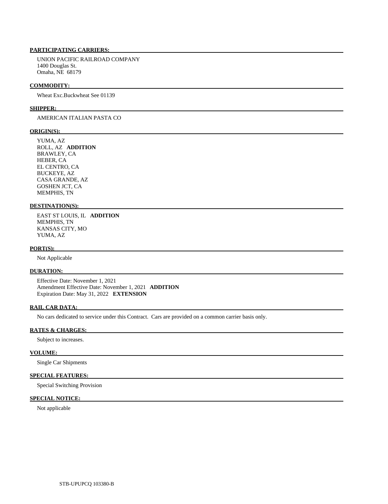# **PARTICIPATING CARRIERS:**

 UNION PACIFIC RAILROAD COMPANY 1400 Douglas St. Omaha, NE 68179

#### **COMMODITY:**

Wheat Exc.Buckwheat See 01139

#### **SHIPPER:**

# AMERICAN ITALIAN PASTA CO

## **ORIGIN(S):**

 YUMA, AZ ROLL, AZ **ADDITION**  BRAWLEY, CA HEBER, CA EL CENTRO, CA BUCKEYE, AZ CASA GRANDE, AZ GOSHEN JCT, CA MEMPHIS, TN

# **DESTINATION(S):**

 EAST ST LOUIS, IL **ADDITION**  MEMPHIS, TN KANSAS CITY, MO YUMA, AZ

### **PORT(S):**

Not Applicable

# **DURATION:**

 Effective Date: November 1, 2021 Amendment Effective Date: November 1, 2021 **ADDITION**  Expiration Date: May 31, 2022 **EXTENSION** 

## **RAIL CAR DATA:**

No cars dedicated to service under this Contract. Cars are provided on a common carrier basis only.

# **RATES & CHARGES:**

Subject to increases.

### **VOLUME:**

Single Car Shipments

# **SPECIAL FEATURES:**

Special Switching Provision

# **SPECIAL NOTICE:**

Not applicable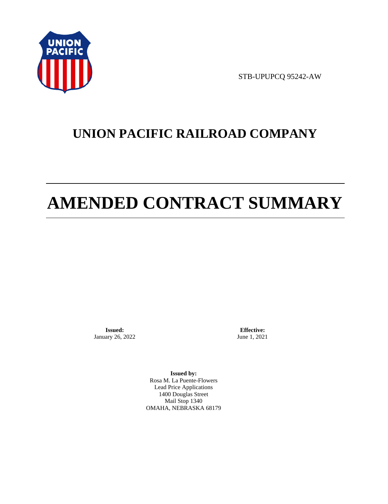

STB-UPUPCQ 95242-AW

# **UNION PACIFIC RAILROAD COMPANY**

# **AMENDED CONTRACT SUMMARY**

**Issued:**  January 26, 2022

**Effective:** June 1, 2021

**Issued by:**  Rosa M. La Puente-Flowers Lead Price Applications 1400 Douglas Street Mail Stop 1340 OMAHA, NEBRASKA 68179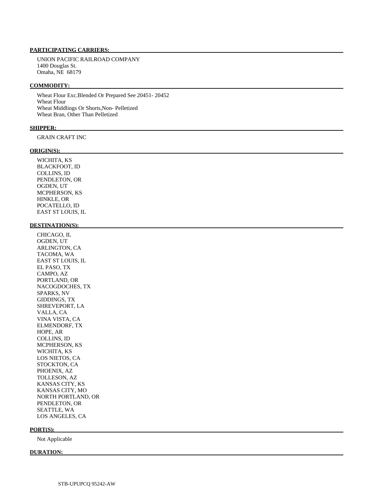### **PARTICIPATING CARRIERS:**

 UNION PACIFIC RAILROAD COMPANY 1400 Douglas St. Omaha, NE 68179

### **COMMODITY:**

 Wheat Flour Exc.Blended Or Prepared See 20451- 20452 Wheat Flour Wheat Middlings Or Shorts,Non- Pelletized Wheat Bran, Other Than Pelletized

## **SHIPPER:**

GRAIN CRAFT INC

### **ORIGIN(S):**

 WICHITA, KS BLACKFOOT, ID COLLINS, ID PENDLETON, OR OGDEN, UT MCPHERSON, KS HINKLE, OR POCATELLO, ID EAST ST LOUIS, IL

## **DESTINATION(S):**

 CHICAGO, IL OGDEN, UT ARLINGTON, CA TACOMA, WA EAST ST LOUIS, IL EL PASO, TX CAMPO, AZ PORTLAND, OR NACOGDOCHES, TX SPARKS, NV GIDDINGS, TX SHREVEPORT, LA VALLA, CA VINA VISTA, CA ELMENDORF, TX HOPE, AR COLLINS, ID MCPHERSON, KS WICHITA, KS LOS NIETOS, CA STOCKTON, CA PHOENIX, AZ TOLLESON, AZ KANSAS CITY, KS KANSAS CITY, MO NORTH PORTLAND, OR PENDLETON, OR SEATTLE, WA LOS ANGELES, CA

### **PORT(S):**

Not Applicable

### **DURATION:**